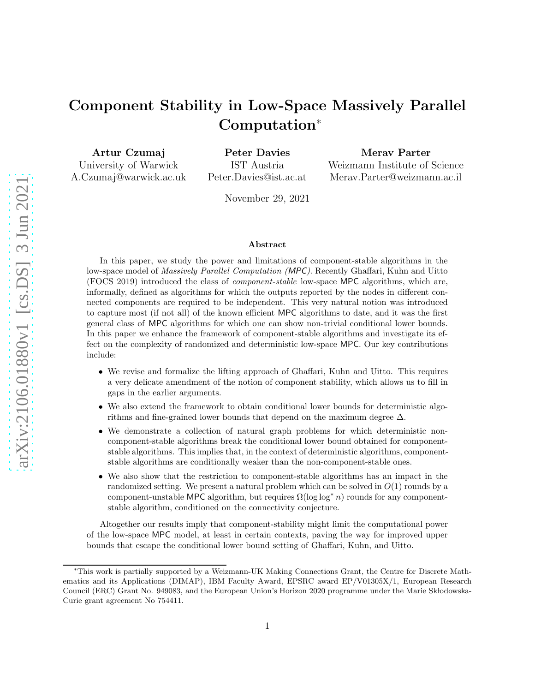# Component Stability in Low-Space Massively Parallel Computation<sup>∗</sup>

Artur Czumaj University of Warwick A.Czumaj@warwick.ac.uk

Peter Davies IST Austria Peter.Davies@ist.ac.at Merav Parter

Weizmann Institute of Science Merav.Parter@weizmann.ac.il

November 29, 2021

### Abstract

In this paper, we study the power and limitations of component-stable algorithms in the low-space model of Massively Parallel Computation (MPC). Recently Ghaffari, Kuhn and Uitto (FOCS 2019) introduced the class of *component-stable* low-space MPC algorithms, which are, informally, defined as algorithms for which the outputs reported by the nodes in different connected components are required to be independent. This very natural notion was introduced to capture most (if not all) of the known efficient MPC algorithms to date, and it was the first general class of MPC algorithms for which one can show non-trivial conditional lower bounds. In this paper we enhance the framework of component-stable algorithms and investigate its effect on the complexity of randomized and deterministic low-space MPC. Our key contributions include:

- We revise and formalize the lifting approach of Ghaffari, Kuhn and Uitto. This requires a very delicate amendment of the notion of component stability, which allows us to fill in gaps in the earlier arguments.
- We also extend the framework to obtain conditional lower bounds for deterministic algorithms and fine-grained lower bounds that depend on the maximum degree  $\Delta$ .
- We demonstrate a collection of natural graph problems for which deterministic noncomponent-stable algorithms break the conditional lower bound obtained for componentstable algorithms. This implies that, in the context of deterministic algorithms, componentstable algorithms are conditionally weaker than the non-component-stable ones.
- We also show that the restriction to component-stable algorithms has an impact in the randomized setting. We present a natural problem which can be solved in  $O(1)$  rounds by a component-unstable MPC algorithm, but requires  $\Omega(\log \log^* n)$  rounds for any componentstable algorithm, conditioned on the connectivity conjecture.

Altogether our results imply that component-stability might limit the computational power of the low-space MPC model, at least in certain contexts, paving the way for improved upper bounds that escape the conditional lower bound setting of Ghaffari, Kuhn, and Uitto.

<sup>∗</sup>This work is partially supported by a Weizmann-UK Making Connections Grant, the Centre for Discrete Mathematics and its Applications (DIMAP), IBM Faculty Award, EPSRC award EP/V01305X/1, European Research Council (ERC) Grant No. 949083, and the European Union's Horizon 2020 programme under the Marie Skłodowska-Curie grant agreement No 754411.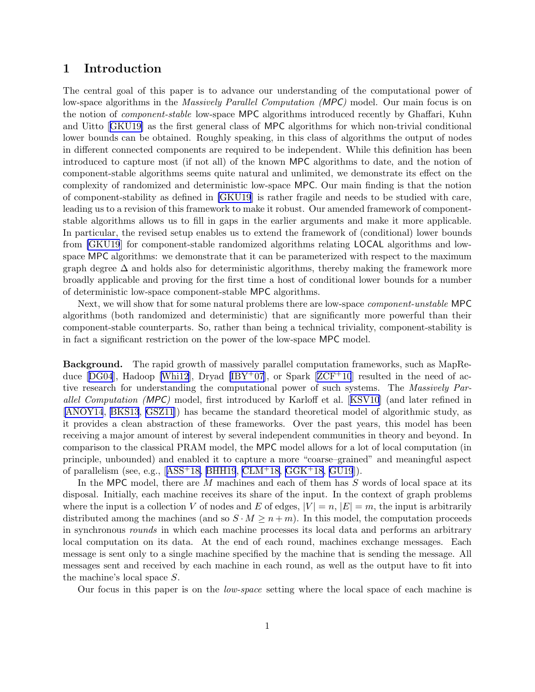# <span id="page-1-0"></span>1 Introduction

The central goal of this paper is to advance our understanding of the computational power of low-space algorithms in the *Massively Parallel Computation (MPC)* model. Our main focus is on the notion of component-stable low-space MPC algorithms introduced recently by Ghaffari, Kuhn and Uitto[[GKU19\]](#page-43-0) as the first general class of MPC algorithms for which non-trivial conditional lower bounds can be obtained. Roughly speaking, in this class of algorithms the output of nodes in different connected components are required to be independent. While this definition has been introduced to capture most (if not all) of the known MPC algorithms to date, and the notion of component-stable algorithms seems quite natural and unlimited, we demonstrate its effect on the complexity of randomized and deterministic low-space MPC. Our main finding is that the notion of component-stability as defined in [\[GKU19](#page-43-0)] is rather fragile and needs to be studied with care, leading us to a revision of this framework to make it robust. Our amended framework of componentstable algorithms allows us to fill in gaps in the earlier arguments and make it more applicable. In particular, the revised setup enables us to extend the framework of (conditional) lower bounds from [\[GKU19](#page-43-0)] for component-stable randomized algorithms relating LOCAL algorithms and lowspace MPC algorithms: we demonstrate that it can be parameterized with respect to the maximum graph degree  $\Delta$  and holds also for deterministic algorithms, thereby making the framework more broadly applicable and proving for the first time a host of conditional lower bounds for a number of deterministic low-space component-stable MPC algorithms.

Next, we will show that for some natural problems there are low-space component-unstable MPC algorithms (both randomized and deterministic) that are significantly more powerful than their component-stable counterparts. So, rather than being a technical triviality, component-stability is in fact a significant restriction on the power of the low-space MPC model.

Background. The rapid growth of massively parallel computation frameworks, such as MapRe-duce $[DG04]$  $[DG04]$  $[DG04]$ , Hadoop [[Whi12](#page-45-0)], Dryad  $[IBY<sup>+</sup>07]$ , or Spark  $[ZCF<sup>+</sup>10]$  $[ZCF<sup>+</sup>10]$  $[ZCF<sup>+</sup>10]$  resulted in the need of active research for understanding the computational power of such systems. The Massively Parallel Computation (MPC) model, first introduced by Karloff et al.[[KSV10](#page-44-0)] (and later refined in [\[ANOY14](#page-41-0), [BKS13](#page-42-0), [GSZ11](#page-43-0)]) has became the standard theoretical model of algorithmic study, as it provides a clean abstraction of these frameworks. Over the past years, this model has been receiving a major amount of interest by several independent communities in theory and beyond. In comparison to the classical PRAM model, the MPC model allows for a lot of local computation (in principle, unbounded) and enabled it to capture a more "coarse–grained" and meaningful aspect ofparallelism (see, e.g.,  $[ASS<sup>+</sup>18, BHH19, CLM<sup>+</sup>18, GGK<sup>+</sup>18, GU19]$  $[ASS<sup>+</sup>18, BHH19, CLM<sup>+</sup>18, GGK<sup>+</sup>18, GU19]$  $[ASS<sup>+</sup>18, BHH19, CLM<sup>+</sup>18, GGK<sup>+</sup>18, GU19]$  $[ASS<sup>+</sup>18, BHH19, CLM<sup>+</sup>18, GGK<sup>+</sup>18, GU19]$  $[ASS<sup>+</sup>18, BHH19, CLM<sup>+</sup>18, GGK<sup>+</sup>18, GU19]$  $[ASS<sup>+</sup>18, BHH19, CLM<sup>+</sup>18, GGK<sup>+</sup>18, GU19]$  $[ASS<sup>+</sup>18, BHH19, CLM<sup>+</sup>18, GGK<sup>+</sup>18, GU19]$  $[ASS<sup>+</sup>18, BHH19, CLM<sup>+</sup>18, GGK<sup>+</sup>18, GU19]$  $[ASS<sup>+</sup>18, BHH19, CLM<sup>+</sup>18, GGK<sup>+</sup>18, GU19]$ ).

In the MPC model, there are M machines and each of them has S words of local space at its disposal. Initially, each machine receives its share of the input. In the context of graph problems where the input is a collection V of nodes and E of edges,  $|V| = n$ ,  $|E| = m$ , the input is arbitrarily distributed among the machines (and so  $S \cdot M \geq n+m$ ). In this model, the computation proceeds in synchronous rounds in which each machine processes its local data and performs an arbitrary local computation on its data. At the end of each round, machines exchange messages. Each message is sent only to a single machine specified by the machine that is sending the message. All messages sent and received by each machine in each round, as well as the output have to fit into the machine's local space S.

Our focus in this paper is on the low-space setting where the local space of each machine is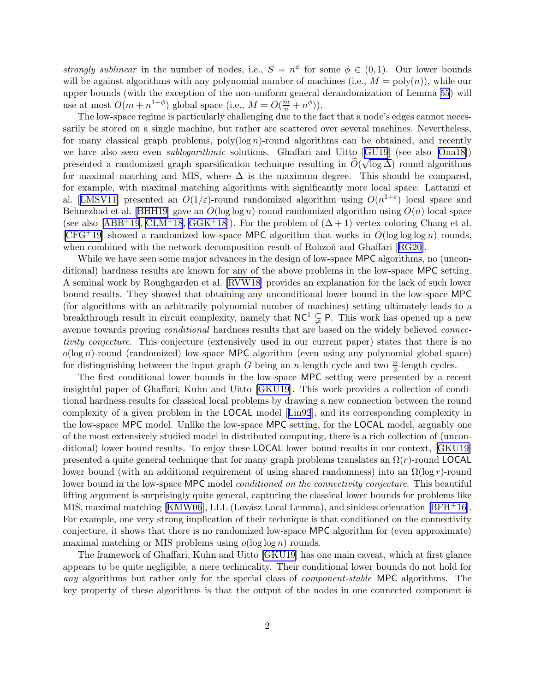strongly sublinear in the number of nodes, i.e.,  $S = n^{\phi}$  for some  $\phi \in (0, 1)$ . Our lower bounds will be against algorithms with any polynomial number of machines (i.e.,  $M = \text{poly}(n)$ ), while our upper bounds (with the exception of the non-uniform general derandomization of Lemma [55\)](#page-40-0) will use at most  $O(m + n^{1+\phi})$  global space (i.e.,  $M = O(\frac{m}{n} + n^{\phi})$ ).

The low-space regime is particularly challenging due to the fact that a node's edges cannot necessarily be stored on a single machine, but rather are scattered over several machines. Nevertheless, for many classical graph problems,  $poly(log n)$ -round algorithms can be obtained, and recently wehave also seen even *sublogarithmic* solutions. Ghaffari and Uitto [[GU19](#page-44-0)] (see also [[Ona18\]](#page-44-0)) presented a randomized graph sparsification technique resulting in  $\tilde{O}(\sqrt{\log \Delta})$  round algorithms for maximal matching and MIS, where  $\Delta$  is the maximum degree. This should be compared, for example, with maximal matching algorithms with significantly more local space: Lattanzi et al.[[LMSV11\]](#page-44-0) presented an  $O(1/\varepsilon)$ -round randomized algorithm using  $O(n^{1+\varepsilon})$  local space and Behnezhadet al. [[BHH19\]](#page-42-0) gave an  $O(\log \log n)$ -round randomized algorithm using  $O(n)$  local space (seealso  $[ABB^+19, \text{CLM}^+18, \text{G} \text{G} \text{K}^+18]$  $[ABB^+19, \text{CLM}^+18, \text{G} \text{G} \text{K}^+18]$  $[ABB^+19, \text{CLM}^+18, \text{G} \text{G} \text{K}^+18]$ ). For the problem of  $(\Delta + 1)$ -vertex coloring Chang et al.  $[CFG^+19]$  $[CFG^+19]$  showed a randomized low-space MPC algorithm that works in  $O(\log \log \log n)$  rounds, whencombined with the network decomposition result of Rohzoň and Ghaffari [[RG20\]](#page-45-0).

While we have seen some major advances in the design of low-space MPC algorithms, no (unconditional) hardness results are known for any of the above problems in the low-space MPC setting. A seminal work by Roughgarden et al. [\[RVW18](#page-45-0)] provides an explanation for the lack of such lower bound results. They showed that obtaining any unconditional lower bound in the low-space MPC (for algorithms with an arbitrarily polynomial number of machines) setting ultimately leads to a breakthrough result in circuit complexity, namely that  $NC^1 \subsetneq P$ . This work has opened up a new avenue towards proving *conditional* hardness results that are based on the widely believed *connec*tivity conjecture. This conjecture (extensively used in our current paper) states that there is no  $o(\log n)$ -round (randomized) low-space MPC algorithm (even using any polynomial global space) for distinguishing between the input graph G being an n-length cycle and two  $\frac{n}{2}$ -length cycles.

The first conditional lower bounds in the low-space MPC setting were presented by a recent insightful paper of Ghaffari, Kuhn and Uitto [\[GKU19](#page-43-0)]. This work provides a collection of conditional hardness results for classical local problems by drawing a new connection between the round complexity of a given problem in the LOCAL model[[Lin92](#page-44-0)], and its corresponding complexity in the low-space MPC model. Unlike the low-space MPC setting, for the LOCAL model, arguably one of the most extensively studied model in distributed computing, there is a rich collection of (unconditional) lower bound results. To enjoy these LOCAL lower bound results in our context,[[GKU19](#page-43-0)] presented a quite general technique that for many graph problems translates an  $\Omega(r)$ -round LOCAL lower bound (with an additional requirement of using shared randomness) into an  $\Omega(\log r)$ -round lower bound in the low-space MPC model *conditioned on the connectivity conjecture*. This beautiful lifting argument is surprisingly quite general, capturing the classical lower bounds for problems like MIS,maximal matching  $[KMW06]$  $[KMW06]$  $[KMW06]$ , LLL (Lovász Local Lemma), and sinkless orientation  $[BFH+16]$  $[BFH+16]$  $[BFH+16]$ . For example, one very strong implication of their technique is that conditioned on the connectivity conjecture, it shows that there is no randomized low-space MPC algorithm for (even approximate) maximal matching or MIS problems using  $o(\log \log n)$  rounds.

The framework of Ghaffari, Kuhn and Uitto [\[GKU19](#page-43-0)] has one main caveat, which at first glance appears to be quite negligible, a mere technicality. Their conditional lower bounds do not hold for any algorithms but rather only for the special class of component-stable MPC algorithms. The key property of these algorithms is that the output of the nodes in one connected component is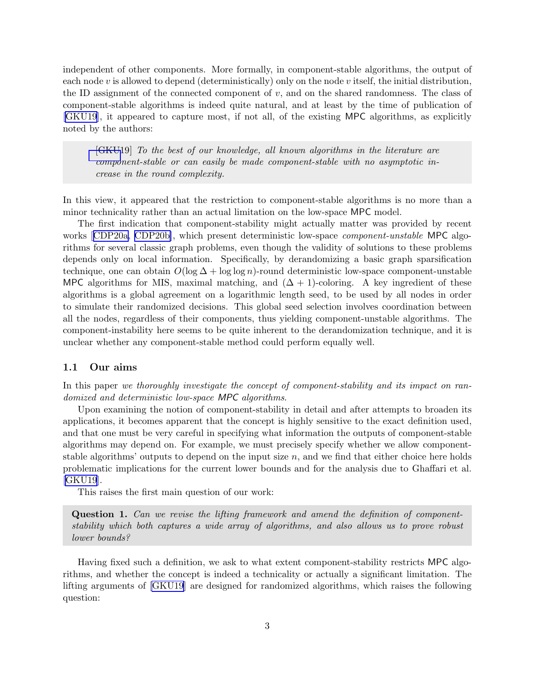<span id="page-3-0"></span>independent of other components. More formally, in component-stable algorithms, the output of each node  $v$  is allowed to depend (deterministically) only on the node  $v$  itself, the initial distribution, the ID assignment of the connected component of  $v$ , and on the shared randomness. The class of component-stable algorithms is indeed quite natural, and at least by the time of publication of [\[GKU19](#page-43-0)], it appeared to capture most, if not all, of the existing MPC algorithms, as explicitly noted by the authors:

[\[GKU1](#page-43-0)9] To the best of our knowledge, all known algorithms in the literature are component-stable or can easily be made component-stable with no asymptotic increase in the round complexity.

In this view, it appeared that the restriction to component-stable algorithms is no more than a minor technicality rather than an actual limitation on the low-space MPC model.

The first indication that component-stability might actually matter was provided by recent works[[CDP20a, CDP20b\]](#page-42-0), which present deterministic low-space *component-unstable* MPC algorithms for several classic graph problems, even though the validity of solutions to these problems depends only on local information. Specifically, by derandomizing a basic graph sparsification technique, one can obtain  $O(\log \Delta + \log \log n)$ -round deterministic low-space component-unstable MPC algorithms for MIS, maximal matching, and  $(\Delta + 1)$ -coloring. A key ingredient of these algorithms is a global agreement on a logarithmic length seed, to be used by all nodes in order to simulate their randomized decisions. This global seed selection involves coordination between all the nodes, regardless of their components, thus yielding component-unstable algorithms. The component-instability here seems to be quite inherent to the derandomization technique, and it is unclear whether any component-stable method could perform equally well.

# 1.1 Our aims

In this paper we thoroughly investigate the concept of component-stability and its impact on randomized and deterministic low-space MPC algorithms.

Upon examining the notion of component-stability in detail and after attempts to broaden its applications, it becomes apparent that the concept is highly sensitive to the exact definition used, and that one must be very careful in specifying what information the outputs of component-stable algorithms may depend on. For example, we must precisely specify whether we allow componentstable algorithms' outputs to depend on the input size  $n$ , and we find that either choice here holds problematic implications for the current lower bounds and for the analysis due to Ghaffari et al. [\[GKU19](#page-43-0)].

This raises the first main question of our work:

Question 1. Can we revise the lifting framework and amend the definition of componentstability which both captures a wide array of algorithms, and also allows us to prove robust lower bounds?

Having fixed such a definition, we ask to what extent component-stability restricts MPC algorithms, and whether the concept is indeed a technicality or actually a significant limitation. The lifting arguments of [\[GKU19](#page-43-0)] are designed for randomized algorithms, which raises the following question: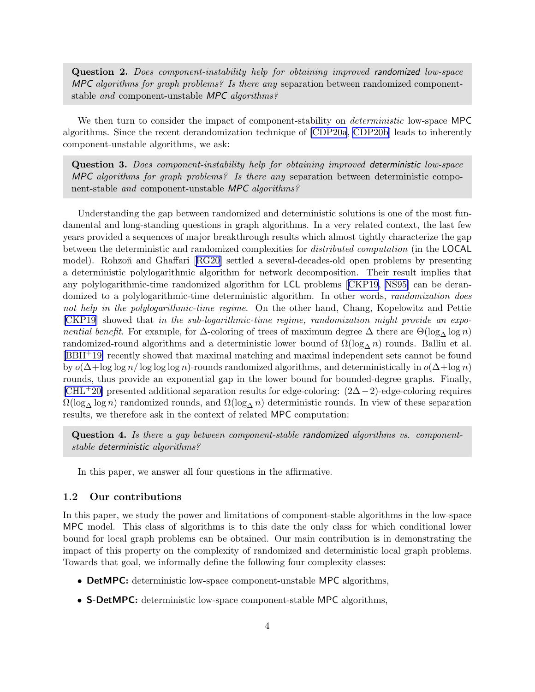<span id="page-4-0"></span>Question 2. Does component-instability help for obtaining improved randomized low-space MPC algorithms for graph problems? Is there any separation between randomized componentstable and component-unstable MPC algorithms?

We then turn to consider the impact of component-stability on *deterministic* low-space MPC algorithms. Since the recent derandomization technique of [\[CDP20a](#page-42-0), [CDP20b\]](#page-42-0) leads to inherently component-unstable algorithms, we ask:

Question 3. Does component-instability help for obtaining improved deterministic low-space MPC algorithms for graph problems? Is there any separation between deterministic component-stable and component-unstable MPC algorithms?

Understanding the gap between randomized and deterministic solutions is one of the most fundamental and long-standing questions in graph algorithms. In a very related context, the last few years provided a sequences of major breakthrough results which almost tightly characterize the gap between the deterministic and randomized complexities for distributed computation (in the LOCAL model).Rohzoň and Ghaffari [[RG20\]](#page-45-0) settled a several-decades-old open problems by presenting a deterministic polylogarithmic algorithm for network decomposition. Their result implies that any polylogarithmic-time randomized algorithm for LCL problems[[CKP19](#page-42-0), [NS95\]](#page-44-0) can be derandomized to a polylogarithmic-time deterministic algorithm. In other words, *randomization does* not help in the polylogarithmic-time regime. On the other hand, Chang, Kopelowitz and Pettie [\[CKP19\]](#page-42-0) showed that in the sub-logarithmic-time regime, randomization might provide an exponential benefit. For example, for  $\Delta$ -coloring of trees of maximum degree  $\Delta$  there are  $\Theta(\log_{\Delta}\log n)$ randomized-round algorithms and a deterministic lower bound of  $\Omega(\log_{\Delta} n)$  rounds. Balliu et al. [\[BBH](#page-42-0)+19] recently showed that maximal matching and maximal independent sets cannot be found by  $o(\Delta + \log \log n / \log \log \log n)$ -rounds randomized algorithms, and deterministically in  $o(\Delta + \log n)$ rounds, thus provide an exponential gap in the lower bound for bounded-degree graphs. Finally,  $[CHL+20]$  $[CHL+20]$  presented additional separation results for edge-coloring:  $(2\Delta-2)$ -edge-coloring requires  $\Omega(\log_{\Delta}\log n)$  randomized rounds, and  $\Omega(\log_{\Delta} n)$  deterministic rounds. In view of these separation results, we therefore ask in the context of related MPC computation:

Question 4. Is there a gap between component-stable randomized algorithms vs. componentstable deterministic algorithms?

In this paper, we answer all four questions in the affirmative.

# 1.2 Our contributions

In this paper, we study the power and limitations of component-stable algorithms in the low-space MPC model. This class of algorithms is to this date the only class for which conditional lower bound for local graph problems can be obtained. Our main contribution is in demonstrating the impact of this property on the complexity of randomized and deterministic local graph problems. Towards that goal, we informally define the following four complexity classes:

- DetMPC: deterministic low-space component-unstable MPC algorithms,
- S-DetMPC: deterministic low-space component-stable MPC algorithms,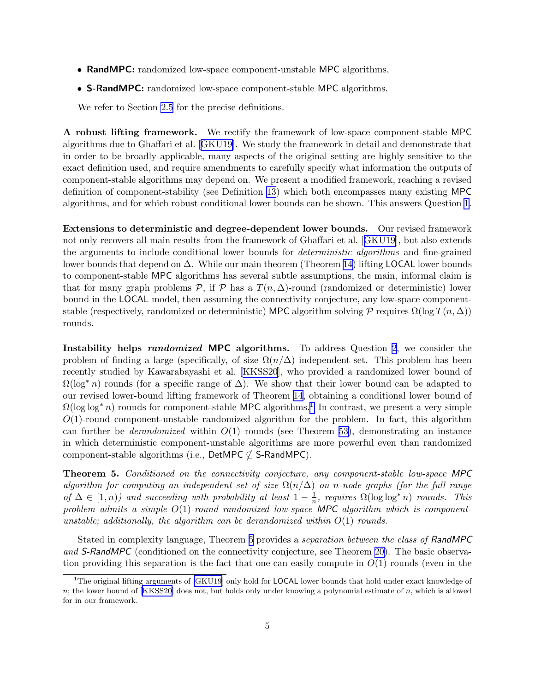- <span id="page-5-0"></span>• RandMPC: randomized low-space component-unstable MPC algorithms,
- S-RandMPC: randomized low-space component-stable MPC algorithms.

We refer to Section [2.5](#page-17-0) for the precise definitions.

A robust lifting framework. We rectify the framework of low-space component-stable MPC algorithms due to Ghaffari et al.[[GKU19](#page-43-0)]. We study the framework in detail and demonstrate that in order to be broadly applicable, many aspects of the original setting are highly sensitive to the exact definition used, and require amendments to carefully specify what information the outputs of component-stable algorithms may depend on. We present a modified framework, reaching a revised definition of component-stability (see Definition [13](#page-16-0)) which both encompasses many existing MPC algorithms, and for which robust conditional lower bounds can be shown. This answers Question [1.](#page-3-0)

Extensions to deterministic and degree-dependent lower bounds. Our revised framework not only recovers all main results from the framework of Ghaffari et al.[[GKU19\]](#page-43-0), but also extends the arguments to include conditional lower bounds for *deterministic algorithms* and fine-grained lower bounds that depend on ∆. While our main theorem (Theorem [14\)](#page-16-0) lifting LOCAL lower bounds to component-stable MPC algorithms has several subtle assumptions, the main, informal claim is that for many graph problems  $\mathcal{P}$ , if  $\mathcal{P}$  has a  $T(n, \Delta)$ -round (randomized or deterministic) lower bound in the LOCAL model, then assuming the connectivity conjecture, any low-space componentstable (respectively, randomized or deterministic) MPC algorithm solving  $\mathcal P$  requires  $\Omega(\log T(n, \Delta))$ rounds.

Instability helps randomized MPC algorithms. To address Question [2](#page-4-0), we consider the problem of finding a large (specifically, of size  $\Omega(n/\Delta)$ ) independent set. This problem has been recently studied by Kawarabayashi et al.[[KKSS20\]](#page-44-0), who provided a randomized lower bound of  $\Omega(\log^* n)$  rounds (for a specific range of  $\Delta$ ). We show that their lower bound can be adapted to our revised lower-bound lifting framework of Theorem [14,](#page-16-0) obtaining a conditional lower bound of  $\Omega(\log \log^* n)$  rounds for component-stable MPC algorithms.<sup>1</sup> In contrast, we present a very simple  $O(1)$ -round component-unstable randomized algorithm for the problem. In fact, this algorithm can further be *derandomized* within  $O(1)$  rounds (see Theorem [53\)](#page-39-0), demonstrating an instance in which deterministic component-unstable algorithms are more powerful even than randomized component-stable algorithms (i.e.,  $DetMPC \nsubseteq S-RandomPC$ ).

Theorem 5. Conditioned on the connectivity conjecture, any component-stable low-space MPC algorithm for computing an independent set of size  $\Omega(n/\Delta)$  on n-node graphs (for the full range of  $\Delta \in [1, n)$  and succeeding with probability at least  $1 - \frac{1}{n}$  $\frac{1}{n}$ , requires  $\Omega(\log \log^* n)$  rounds. This problem admits a simple  $O(1)$ -round randomized low-space MPC algorithm which is componentunstable; additionally, the algorithm can be derandomized within  $O(1)$  rounds.

Stated in complexity language, Theorem 5 provides a separation between the class of RandMPC and S-RandMPC (conditioned on the connectivity conjecture, see Theorem [20\)](#page-18-0). The basic observation providing this separation is the fact that one can easily compute in  $O(1)$  rounds (even in the

<sup>&</sup>lt;sup>1</sup>The original lifting arguments of [\[GKU19\]](#page-43-0) only hold for **LOCAL** lower bounds that hold under exact knowledge of n; the lower bound of[[KKSS20\]](#page-44-0) does not, but holds only under knowing a polynomial estimate of n, which is allowed for in our framework.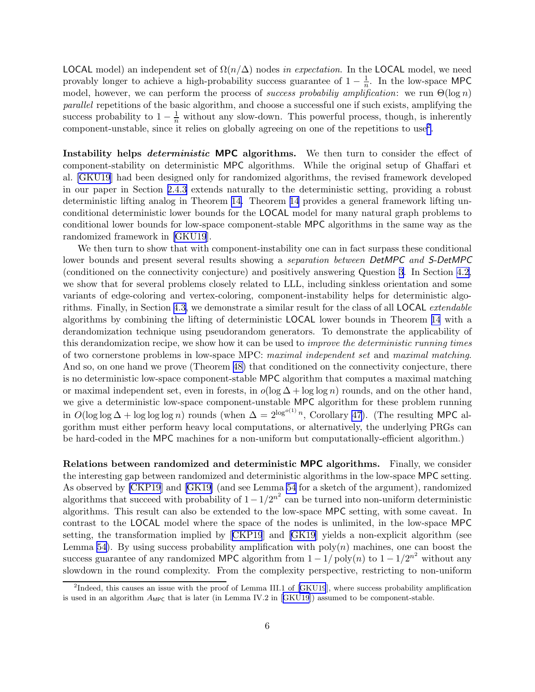LOCAL model) an independent set of  $\Omega(n/\Delta)$  nodes in expectation. In the LOCAL model, we need provably longer to achieve a high-probability success guarantee of  $1 - \frac{1}{n}$  $\frac{1}{n}$ . In the low-space MPC model, however, we can perform the process of *success probabiliy amplification*: we run  $\Theta(\log n)$ parallel repetitions of the basic algorithm, and choose a successful one if such exists, amplifying the success probability to  $1 - \frac{1}{n}$  without any slow-down. This powerful process, though, is inherently component-unstable, since it relies on globally agreeing on one of the repetitions to use<sup>2</sup>.

Instability helps *deterministic* MPC algorithms. We then turn to consider the effect of component-stability on deterministic MPC algorithms. While the original setup of Ghaffari et al. [\[GKU19](#page-43-0)] had been designed only for randomized algorithms, the revised framework developed in our paper in Section [2.4.3](#page-16-0) extends naturally to the deterministic setting, providing a robust deterministic lifting analog in Theorem [14.](#page-16-0) Theorem [14](#page-16-0) provides a general framework lifting unconditional deterministic lower bounds for the LOCAL model for many natural graph problems to conditional lower bounds for low-space component-stable MPC algorithms in the same way as the randomized framework in [\[GKU19](#page-43-0)].

We then turn to show that with component-instability one can in fact surpass these conditional lower bounds and present several results showing a separation between DetMPC and S-DetMPC (conditioned on the connectivity conjecture) and positively answering Question [3](#page-4-0). In Section [4.2,](#page-30-0) we show that for several problems closely related to LLL, including sinkless orientation and some variants of edge-coloring and vertex-coloring, component-instability helps for deterministic algorithms. Finally, in Section [4.3,](#page-34-0) we demonstrate a similar result for the class of all LOCAL extendable algorithms by combining the lifting of deterministic LOCAL lower bounds in Theorem [14](#page-16-0) with a derandomization technique using pseudorandom generators. To demonstrate the applicability of this derandomization recipe, we show how it can be used to improve the deterministic running times of two cornerstone problems in low-space MPC: maximal independent set and maximal matching. And so, on one hand we prove (Theorem [48\)](#page-37-0) that conditioned on the connectivity conjecture, there is no deterministic low-space component-stable MPC algorithm that computes a maximal matching or maximal independent set, even in forests, in  $o(\log \Delta + \log \log n)$  rounds, and on the other hand, we give a deterministic low-space component-unstable MPC algorithm for these problem running in  $O(\log \log \Delta + \log \log \log n)$  rounds (when  $\Delta = 2^{\log^{o(1)} n}$ , Corollary [47](#page-37-0)). (The resulting MPC algorithm must either perform heavy local computations, or alternatively, the underlying PRGs can be hard-coded in the MPC machines for a non-uniform but computationally-efficient algorithm.)

Relations between randomized and deterministic MPC algorithms. Finally, we consider the interesting gap between randomized and deterministic algorithms in the low-space MPC setting. As observed by [\[CKP19](#page-42-0)] and[[GK19\]](#page-43-0) (and see Lemma [54](#page-40-0) for a sketch of the argument), randomized algorithms that succeed with probability of  $1 - 1/2^{n^2}$  can be turned into non-uniform deterministic algorithms. This result can also be extended to the low-space MPC setting, with some caveat. In contrast to the LOCAL model where the space of the nodes is unlimited, in the low-space MPC setting, the transformation implied by[[CKP19](#page-42-0)] and [\[GK19](#page-43-0)] yields a non-explicit algorithm (see Lemma [54\)](#page-40-0). By using success probability amplification with  $poly(n)$  machines, one can boost the success guarantee of any randomized MPC algorithm from  $1 - 1/poly(n)$  to  $1 - 1/2^{n^2}$  without any slowdown in the round complexity. From the complexity perspective, restricting to non-uniform

<sup>&</sup>lt;sup>2</sup>Indeed,this causes an issue with the proof of Lemma III.1 of [[GKU19](#page-43-0)], where success probability amplification isused in an algorithm  $A_{\text{MPC}}$  that is later (in Lemma IV.2 in [[GKU19](#page-43-0)]) assumed to be component-stable.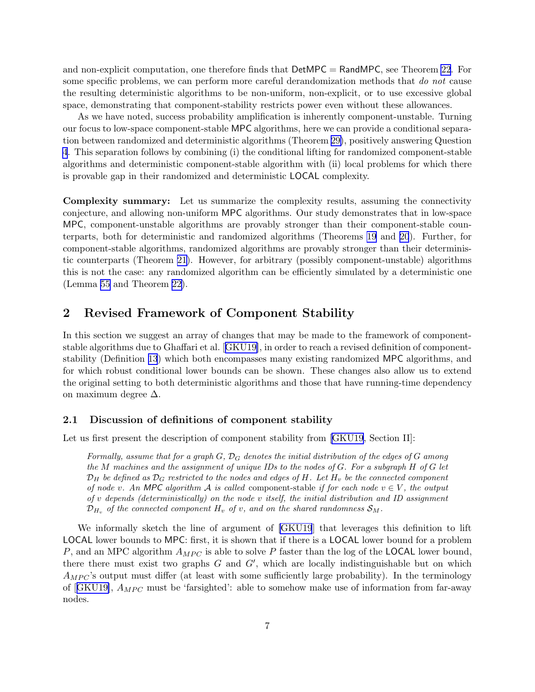<span id="page-7-0"></span>and non-explicit computation, one therefore finds that DetMPC = RandMPC, see Theorem [22](#page-19-0). For some specific problems, we can perform more careful derandomization methods that do not cause the resulting deterministic algorithms to be non-uniform, non-explicit, or to use excessive global space, demonstrating that component-stability restricts power even without these allowances.

As we have noted, success probability amplification is inherently component-unstable. Turning our focus to low-space component-stable MPC algorithms, here we can provide a conditional separation between randomized and deterministic algorithms (Theorem [29\)](#page-27-0), positively answering Question [4](#page-4-0). This separation follows by combining (i) the conditional lifting for randomized component-stable algorithms and deterministic component-stable algorithm with (ii) local problems for which there is provable gap in their randomized and deterministic LOCAL complexity.

Complexity summary: Let us summarize the complexity results, assuming the connectivity conjecture, and allowing non-uniform MPC algorithms. Our study demonstrates that in low-space MPC, component-unstable algorithms are provably stronger than their component-stable counterparts, both for deterministic and randomized algorithms (Theorems [19](#page-18-0) and [20](#page-18-0)). Further, for component-stable algorithms, randomized algorithms are provably stronger than their deterministic counterparts (Theorem [21\)](#page-19-0). However, for arbitrary (possibly component-unstable) algorithms this is not the case: any randomized algorithm can be efficiently simulated by a deterministic one (Lemma [55](#page-40-0) and Theorem [22\)](#page-19-0).

# 2 Revised Framework of Component Stability

In this section we suggest an array of changes that may be made to the framework of componentstable algorithms due to Ghaffari et al.[[GKU19\]](#page-43-0), in order to reach a revised definition of componentstability (Definition [13](#page-16-0)) which both encompasses many existing randomized MPC algorithms, and for which robust conditional lower bounds can be shown. These changes also allow us to extend the original setting to both deterministic algorithms and those that have running-time dependency on maximum degree ∆.

# 2.1 Discussion of definitions of component stability

Let us first present the description of component stability from [\[GKU19](#page-43-0), Section II]:

Formally, assume that for a graph  $G, \mathcal{D}_G$  denotes the initial distribution of the edges of G among the M machines and the assignment of unique IDs to the nodes of G. For a subgraph H of G let  $\mathcal{D}_H$  be defined as  $\mathcal{D}_G$  restricted to the nodes and edges of H. Let  $H_v$  be the connected component of node v. An MPC algorithm A is called component-stable if for each node  $v \in V$ , the output of  $v$  depends (deterministically) on the node  $v$  itself, the initial distribution and ID assignment  $\mathcal{D}_{H_v}$  of the connected component  $H_v$  of v, and on the shared randomness  $\mathcal{S}_M$ .

We informally sketch the line of argument of [\[GKU19](#page-43-0)] that leverages this definition to lift LOCAL lower bounds to MPC: first, it is shown that if there is a LOCAL lower bound for a problem P, and an MPC algorithm  $A_{MPC}$  is able to solve P faster than the log of the LOCAL lower bound, there there must exist two graphs  $G$  and  $G'$ , which are locally indistinguishable but on which  $A_{MPC}$ 's output must differ (at least with some sufficiently large probability). In the terminology of $[GKUI9], A_{MPC}$  must be 'farsighted': able to somehow make use of information from far-away nodes.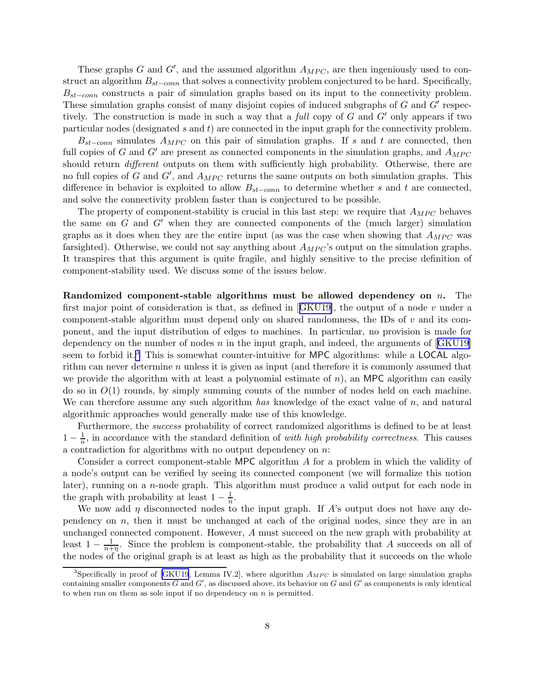These graphs G and G', and the assumed algorithm  $A_{MPC}$ , are then ingeniously used to construct an algorithm  $B_{st–conn}$  that solves a connectivity problem conjectured to be hard. Specifically,  $B_{st-conn}$  constructs a pair of simulation graphs based on its input to the connectivity problem. These simulation graphs consist of many disjoint copies of induced subgraphs of  $G$  and  $G'$  respectively. The construction is made in such a way that a full copy of G and  $G'$  only appears if two particular nodes (designated  $s$  and  $t$ ) are connected in the input graph for the connectivity problem.

 $B_{st-conn}$  simulates  $A_{MPC}$  on this pair of simulation graphs. If s and t are connected, then full copies of G and G' are present as connected components in the simulation graphs, and  $A_{MPC}$ should return *different* outputs on them with sufficiently high probability. Otherwise, there are no full copies of G and  $G'$ , and  $A_{MPC}$  returns the same outputs on both simulation graphs. This difference in behavior is exploited to allow  $B_{st-conn}$  to determine whether s and t are connected, and solve the connectivity problem faster than is conjectured to be possible.

The property of component-stability is crucial in this last step: we require that  $A_{MPC}$  behaves the same on  $G$  and  $G'$  when they are connected components of the (much larger) simulation graphs as it does when they are the entire input (as was the case when showing that  $A_{MPC}$  was farsighted). Otherwise, we could not say anything about  $A_{MPC}$ 's output on the simulation graphs. It transpires that this argument is quite fragile, and highly sensitive to the precise definition of component-stability used. We discuss some of the issues below.

Randomized component-stable algorithms must be allowed dependency on  $n$ . The firstmajor point of consideration is that, as defined in  $[GKU19]$  $[GKU19]$ , the output of a node v under a component-stable algorithm must depend only on shared randomness, the IDs of  $v$  and its component, and the input distribution of edges to machines. In particular, no provision is made for dependencyon the number of nodes n in the input graph, and indeed, the arguments of  $[GKU19]$  $[GKU19]$  $[GKU19]$ seem to forbid it.<sup>3</sup> This is somewhat counter-intuitive for MPC algorithms: while a LOCAL algorithm can never determine  $n$  unless it is given as input (and therefore it is commonly assumed that we provide the algorithm with at least a polynomial estimate of  $n$ ), an MPC algorithm can easily do so in  $O(1)$  rounds, by simply summing counts of the number of nodes held on each machine. We can therefore assume any such algorithm has knowledge of the exact value of  $n$ , and natural algorithmic approaches would generally make use of this knowledge.

Furthermore, the success probability of correct randomized algorithms is defined to be at least  $1-\frac{1}{n}$  $\frac{1}{n}$ , in accordance with the standard definition of *with high probability correctness*. This causes a contradiction for algorithms with no output dependency on  $n$ :

Consider a correct component-stable MPC algorithm A for a problem in which the validity of a node's output can be verified by seeing its connected component (we will formalize this notion later), running on a n-node graph. This algorithm must produce a valid output for each node in the graph with probability at least  $1 - \frac{1}{n}$ .

We now add  $\eta$  disconnected nodes to the input graph. If A's output does not have any dependency on  $n$ , then it must be unchanged at each of the original nodes, since they are in an unchanged connected component. However, A must succeed on the new graph with probability at least  $1 - \frac{1}{n+1}$  $\frac{1}{n+\eta}$ . Since the problem is component-stable, the probability that A succeeds on all of the nodes of the original graph is at least as high as the probability that it succeeds on the whole

<sup>&</sup>lt;sup>3</sup>Specificallyin proof of [[GKU19](#page-43-0), Lemma IV.2], where algorithm  $A_{MPC}$  is simulated on large simulation graphs containing smaller components  $G$  and  $G'$ , as discussed above, its behavior on  $G$  and  $G'$  as components is only identical to when run on them as sole input if no dependency on  $n$  is permitted.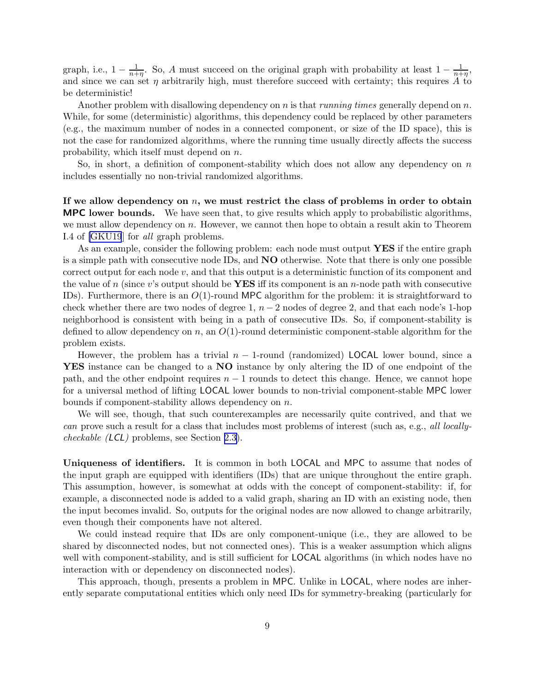graph, i.e.,  $1 - \frac{1}{n+\eta}$ . So, A must succeed on the original graph with probability at least  $1 - \frac{1}{n+\eta}$ , and since we can set  $\eta$  arbitrarily high, must therefore succeed with certainty; this requires A to be deterministic!

Another problem with disallowing dependency on  $n$  is that *running times* generally depend on  $n$ . While, for some (deterministic) algorithms, this dependency could be replaced by other parameters (e.g., the maximum number of nodes in a connected component, or size of the ID space), this is not the case for randomized algorithms, where the running time usually directly affects the success probability, which itself must depend on n.

So, in short, a definition of component-stability which does not allow any dependency on  $n$ includes essentially no non-trivial randomized algorithms.

If we allow dependency on  $n$ , we must restrict the class of problems in order to obtain MPC lower bounds. We have seen that, to give results which apply to probabilistic algorithms, we must allow dependency on n. However, we cannot then hope to obtain a result akin to Theorem I.4 of [\[GKU19](#page-43-0)] for all graph problems.

As an example, consider the following problem: each node must output YES if the entire graph is a simple path with consecutive node IDs, and NO otherwise. Note that there is only one possible correct output for each node  $v$ , and that this output is a deterministic function of its component and the value of n (since v's output should be **YES** iff its component is an n-node path with consecutive IDs). Furthermore, there is an  $O(1)$ -round MPC algorithm for the problem: it is straightforward to check whether there are two nodes of degree 1,  $n-2$  nodes of degree 2, and that each node's 1-hop neighborhood is consistent with being in a path of consecutive IDs. So, if component-stability is defined to allow dependency on n, an  $O(1)$ -round deterministic component-stable algorithm for the problem exists.

However, the problem has a trivial  $n-1$ -round (randomized) LOCAL lower bound, since a YES instance can be changed to a NO instance by only altering the ID of one endpoint of the path, and the other endpoint requires  $n - 1$  rounds to detect this change. Hence, we cannot hope for a universal method of lifting LOCAL lower bounds to non-trivial component-stable MPC lower bounds if component-stability allows dependency on n.

We will see, though, that such counterexamples are necessarily quite contrived, and that we can prove such a result for a class that includes most problems of interest (such as, e.g., all locallycheckable (LCL) problems, see Section [2.3\)](#page-11-0).

Uniqueness of identifiers. It is common in both LOCAL and MPC to assume that nodes of the input graph are equipped with identifiers (IDs) that are unique throughout the entire graph. This assumption, however, is somewhat at odds with the concept of component-stability: if, for example, a disconnected node is added to a valid graph, sharing an ID with an existing node, then the input becomes invalid. So, outputs for the original nodes are now allowed to change arbitrarily, even though their components have not altered.

We could instead require that IDs are only component-unique (i.e., they are allowed to be shared by disconnected nodes, but not connected ones). This is a weaker assumption which aligns well with component-stability, and is still sufficient for **LOCAL** algorithms (in which nodes have no interaction with or dependency on disconnected nodes).

This approach, though, presents a problem in MPC. Unlike in LOCAL, where nodes are inherently separate computational entities which only need IDs for symmetry-breaking (particularly for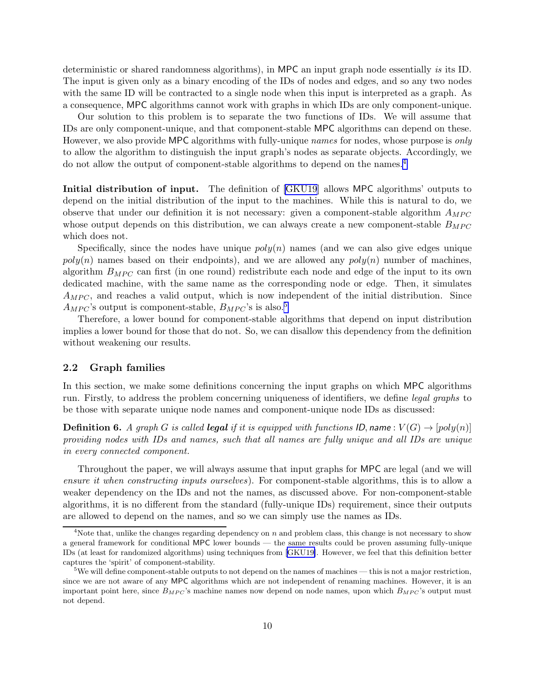<span id="page-10-0"></span>deterministic or shared randomness algorithms), in MPC an input graph node essentially is its ID. The input is given only as a binary encoding of the IDs of nodes and edges, and so any two nodes with the same ID will be contracted to a single node when this input is interpreted as a graph. As a consequence, MPC algorithms cannot work with graphs in which IDs are only component-unique.

Our solution to this problem is to separate the two functions of IDs. We will assume that IDs are only component-unique, and that component-stable MPC algorithms can depend on these. However, we also provide MPC algorithms with fully-unique *names* for nodes, whose purpose is *only* to allow the algorithm to distinguish the input graph's nodes as separate objects. Accordingly, we do not allow the output of component-stable algorithms to depend on the names.<sup>4</sup>

Initial distribution of input. The definition of [\[GKU19](#page-43-0)] allows MPC algorithms' outputs to depend on the initial distribution of the input to the machines. While this is natural to do, we observe that under our definition it is not necessary: given a component-stable algorithm  $A_{MPC}$ whose output depends on this distribution, we can always create a new component-stable  $B_{MPC}$ which does not.

Specifically, since the nodes have unique  $poly(n)$  names (and we can also give edges unique  $poly(n)$  names based on their endpoints), and we are allowed any  $poly(n)$  number of machines. algorithm  $B_{MPC}$  can first (in one round) redistribute each node and edge of the input to its own dedicated machine, with the same name as the corresponding node or edge. Then, it simulates  $A_{MPC}$ , and reaches a valid output, which is now independent of the initial distribution. Since  $A_{MPC}$ 's output is component-stable,  $B_{MPC}$ 's is also.<sup>5</sup>

Therefore, a lower bound for component-stable algorithms that depend on input distribution implies a lower bound for those that do not. So, we can disallow this dependency from the definition without weakening our results.

# 2.2 Graph families

In this section, we make some definitions concerning the input graphs on which MPC algorithms run. Firstly, to address the problem concerning uniqueness of identifiers, we define legal graphs to be those with separate unique node names and component-unique node IDs as discussed:

**Definition 6.** A graph G is called **legal** if it is equipped with functions ID, name :  $V(G) \rightarrow [poly(n)]$ providing nodes with IDs and names, such that all names are fully unique and all IDs are unique in every connected component.

Throughout the paper, we will always assume that input graphs for MPC are legal (and we will ensure it when constructing inputs ourselves). For component-stable algorithms, this is to allow a weaker dependency on the IDs and not the names, as discussed above. For non-component-stable algorithms, it is no different from the standard (fully-unique IDs) requirement, since their outputs are allowed to depend on the names, and so we can simply use the names as IDs.

<sup>&</sup>lt;sup>4</sup>Note that, unlike the changes regarding dependency on  $n$  and problem class, this change is not necessary to show a general framework for conditional MPC lower bounds — the same results could be proven assuming fully-unique IDs (at least for randomized algorithms) using techniques from [\[GKU19\]](#page-43-0). However, we feel that this definition better captures the 'spirit' of component-stability.

<sup>&</sup>lt;sup>5</sup>We will define component-stable outputs to not depend on the names of machines — this is not a major restriction, since we are not aware of any MPC algorithms which are not independent of renaming machines. However, it is an important point here, since  $B_{MPC}$ 's machine names now depend on node names, upon which  $B_{MPC}$ 's output must not depend.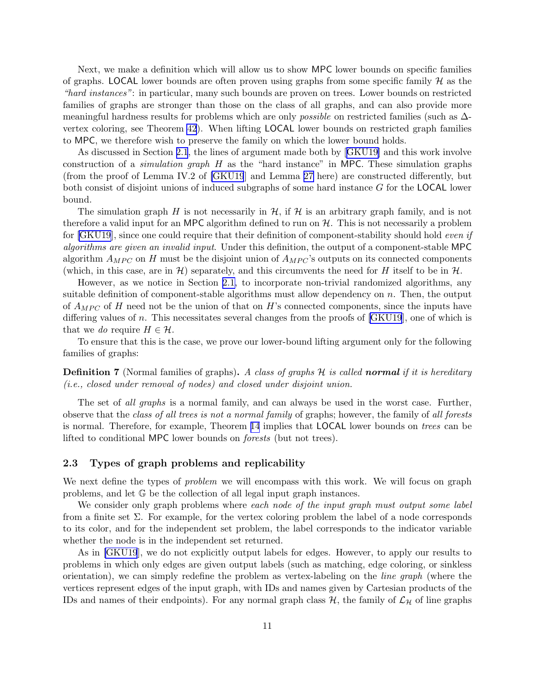<span id="page-11-0"></span>Next, we make a definition which will allow us to show MPC lower bounds on specific families of graphs. LOCAL lower bounds are often proven using graphs from some specific family  $H$  as the "hard instances": in particular, many such bounds are proven on trees. Lower bounds on restricted families of graphs are stronger than those on the class of all graphs, and can also provide more meaningful hardness results for problems which are only possible on restricted families (such as ∆ vertex coloring, see Theorem [42](#page-34-0)). When lifting LOCAL lower bounds on restricted graph families to MPC, we therefore wish to preserve the family on which the lower bound holds.

As discussed in Section [2.1](#page-7-0), the lines of argument made both by[[GKU19\]](#page-43-0) and this work involve construction of a *simulation graph*  $H$  as the "hard instance" in MPC. These simulation graphs (from the proof of Lemma IV.2 of [\[GKU19](#page-43-0)] and Lemma [27](#page-23-0) here) are constructed differently, but both consist of disjoint unions of induced subgraphs of some hard instance G for the LOCAL lower bound.

The simulation graph H is not necessarily in  $H$ , if H is an arbitrary graph family, and is not therefore a valid input for an MPC algorithm defined to run on  $H$ . This is not necessarily a problem for[[GKU19](#page-43-0)], since one could require that their definition of component-stability should hold even if algorithms are given an invalid input. Under this definition, the output of a component-stable MPC algorithm  $A_{MPC}$  on H must be the disjoint union of  $A_{MPC}$ 's outputs on its connected components (which, in this case, are in H) separately, and this circumvents the need for H itself to be in  $H$ .

However, as we notice in Section [2.1,](#page-7-0) to incorporate non-trivial randomized algorithms, any suitable definition of component-stable algorithms must allow dependency on  $n$ . Then, the output of  $A_{MPC}$  of H need not be the union of that on H's connected components, since the inputs have differing values of n. This necessitates several changes from the proofs of  $[GKU19]$ , one of which is that we do require  $H \in \mathcal{H}$ .

To ensure that this is the case, we prove our lower-bound lifting argument only for the following families of graphs:

**Definition 7** (Normal families of graphs). A class of graphs  $H$  is called **normal** if it is hereditary (i.e., closed under removal of nodes) and closed under disjoint union.

The set of all graphs is a normal family, and can always be used in the worst case. Further, observe that the class of all trees is not a normal family of graphs; however, the family of all forests is normal. Therefore, for example, Theorem [14](#page-16-0) implies that LOCAL lower bounds on trees can be lifted to conditional MPC lower bounds on forests (but not trees).

# 2.3 Types of graph problems and replicability

We next define the types of *problem* we will encompass with this work. We will focus on graph problems, and let G be the collection of all legal input graph instances.

We consider only graph problems where each node of the input graph must output some label from a finite set  $\Sigma$ . For example, for the vertex coloring problem the label of a node corresponds to its color, and for the independent set problem, the label corresponds to the indicator variable whether the node is in the independent set returned.

As in [\[GKU19](#page-43-0)], we do not explicitly output labels for edges. However, to apply our results to problems in which only edges are given output labels (such as matching, edge coloring, or sinkless orientation), we can simply redefine the problem as vertex-labeling on the line graph (where the vertices represent edges of the input graph, with IDs and names given by Cartesian products of the IDs and names of their endpoints). For any normal graph class  $H$ , the family of  $\mathcal{L}_H$  of line graphs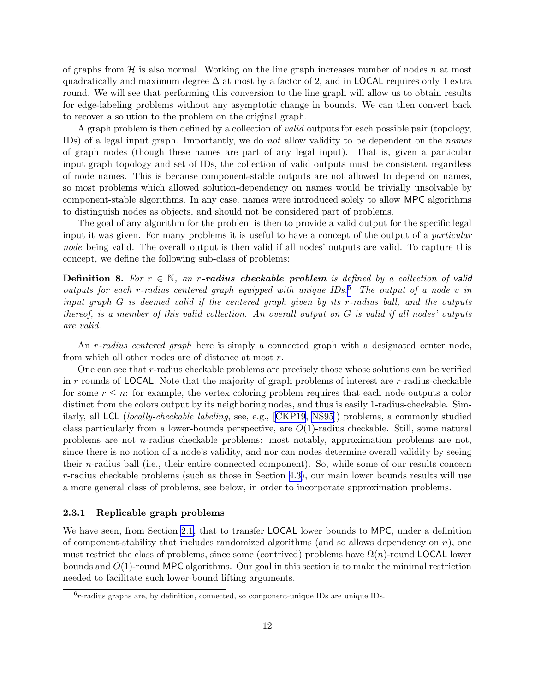<span id="page-12-0"></span>of graphs from  $H$  is also normal. Working on the line graph increases number of nodes n at most quadratically and maximum degree  $\Delta$  at most by a factor of 2, and in LOCAL requires only 1 extra round. We will see that performing this conversion to the line graph will allow us to obtain results for edge-labeling problems without any asymptotic change in bounds. We can then convert back to recover a solution to the problem on the original graph.

A graph problem is then defined by a collection of *valid* outputs for each possible pair (topology, IDs) of a legal input graph. Importantly, we do not allow validity to be dependent on the names of graph nodes (though these names are part of any legal input). That is, given a particular input graph topology and set of IDs, the collection of valid outputs must be consistent regardless of node names. This is because component-stable outputs are not allowed to depend on names, so most problems which allowed solution-dependency on names would be trivially unsolvable by component-stable algorithms. In any case, names were introduced solely to allow MPC algorithms to distinguish nodes as objects, and should not be considered part of problems.

The goal of any algorithm for the problem is then to provide a valid output for the specific legal input it was given. For many problems it is useful to have a concept of the output of a *particular* node being valid. The overall output is then valid if all nodes' outputs are valid. To capture this concept, we define the following sub-class of problems:

**Definition 8.** For  $r \in \mathbb{N}$ , an r-radius checkable problem is defined by a collection of valid outputs for each r-radius centered graph equipped with unique  $\text{IDs.}^6$ . The output of a node v in input graph G is deemed valid if the centered graph given by its r-radius ball, and the outputs thereof, is a member of this valid collection. An overall output on G is valid if all nodes' outputs are valid.

An r-radius centered graph here is simply a connected graph with a designated center node, from which all other nodes are of distance at most r.

One can see that r-radius checkable problems are precisely those whose solutions can be verified in  $r$  rounds of LOCAL. Note that the majority of graph problems of interest are  $r$ -radius-checkable for some  $r \leq n$ : for example, the vertex coloring problem requires that each node outputs a color distinct from the colors output by its neighboring nodes, and thus is easily 1-radius-checkable. Similarly, all LCL (locally-checkable labeling, see, e.g., [\[CKP19](#page-42-0), [NS95](#page-44-0)]) problems, a commonly studied class particularly from a lower-bounds perspective, are  $O(1)$ -radius checkable. Still, some natural problems are not n-radius checkable problems: most notably, approximation problems are not, since there is no notion of a node's validity, and nor can nodes determine overall validity by seeing their n-radius ball (i.e., their entire connected component). So, while some of our results concern r-radius checkable problems (such as those in Section [4.3\)](#page-34-0), our main lower bounds results will use a more general class of problems, see below, in order to incorporate approximation problems.

### 2.3.1 Replicable graph problems

We have seen, from Section [2.1](#page-7-0), that to transfer **LOCAL** lower bounds to MPC, under a definition of component-stability that includes randomized algorithms (and so allows dependency on  $n$ ), one must restrict the class of problems, since some (contrived) problems have  $\Omega(n)$ -round LOCAL lower bounds and  $O(1)$ -round MPC algorithms. Our goal in this section is to make the minimal restriction needed to facilitate such lower-bound lifting arguments.

 $6r$ -radius graphs are, by definition, connected, so component-unique IDs are unique IDs.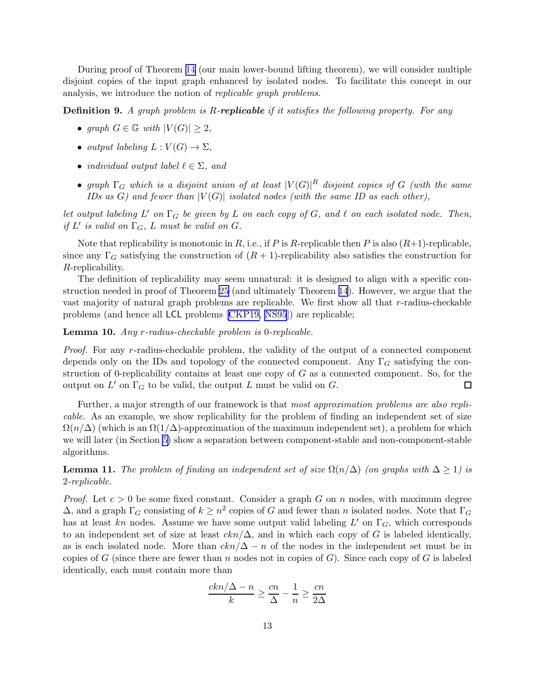<span id="page-13-0"></span>During proof of Theorem [14](#page-16-0) (our main lower-bound lifting theorem), we will consider multiple disjoint copies of the input graph enhanced by isolated nodes. To facilitate this concept in our analysis, we introduce the notion of replicable graph problems.

**Definition 9.** A graph problem is R-replicable if it satisfies the following property. For any

- graph  $G \in \mathbb{G}$  with  $|V(G)| \geq 2$ ,
- output labeling  $L: V(G) \to \Sigma$ ,
- individual output label  $\ell \in \Sigma$ , and
- graph  $\Gamma_G$  which is a disjoint union of at least  $|V(G)|^R$  disjoint copies of G (with the same IDs as G) and fewer than  $|V(G)|$  isolated nodes (with the same ID as each other),

let output labeling  $L'$  on  $\Gamma_G$  be given by  $L$  on each copy of  $G$ , and  $\ell$  on each isolated node. Then, if  $L'$  is valid on  $\Gamma_G$ ,  $L$  must be valid on  $G$ .

Note that replicability is monotonic in R, i.e., if P is R-replicable then P is also  $(R+1)$ -replicable, since any  $\Gamma_G$  satisfying the construction of  $(R+1)$ -replicability also satisfies the construction for R-replicability.

The definition of replicability may seem unnatural: it is designed to align with a specific construction needed in proof of Theorem [25](#page-20-0) (and ultimately Theorem [14](#page-16-0)). However, we argue that the vast majority of natural graph problems are replicable. We first show all that r-radius-checkable problems (and hence all LCL problems[[CKP19,](#page-42-0) [NS95](#page-44-0)]) are replicable;

Lemma 10. Any r-radius-checkable problem is 0-replicable.

Proof. For any r-radius-checkable problem, the validity of the output of a connected component depends only on the IDs and topology of the connected component. Any  $\Gamma_G$  satisfying the construction of 0-replicability contains at least one copy of  $G$  as a connected component. So, for the output on  $L'$  on  $\Gamma_G$  to be valid, the output L must be valid on G. □

Further, a major strength of our framework is that most approximation problems are also replicable. As an example, we show replicability for the problem of finding an independent set of size  $\Omega(n/\Delta)$  (which is an  $\Omega(1/\Delta)$ -approximation of the maximum independent set), a problem for which we will later (in Section [5\)](#page-38-0) show a separation between component-stable and non-component-stable algorithms.

**Lemma 11.** The problem of finding an independent set of size  $\Omega(n/\Delta)$  (on graphs with  $\Delta \geq 1$ ) is 2-replicable.

*Proof.* Let  $c > 0$  be some fixed constant. Consider a graph G on n nodes, with maximum degree  $\Delta$ , and a graph  $\Gamma_G$  consisting of  $k \geq n^2$  copies of G and fewer than n isolated nodes. Note that  $\Gamma_G$ has at least kn nodes. Assume we have some output valid labeling  $L'$  on  $\Gamma_G$ , which corresponds to an independent set of size at least  $\cosh(\Delta)$ , and in which each copy of G is labeled identically, as is each isolated node. More than  $\frac{cn}{\Delta}-n$  of the nodes in the independent set must be in copies of G (since there are fewer than n nodes not in copies of G). Since each copy of G is labeled identically, each must contain more than

$$
\frac{ckn/\Delta - n}{k} \ge \frac{cn}{\Delta} - \frac{1}{n} \ge \frac{cn}{2\Delta}
$$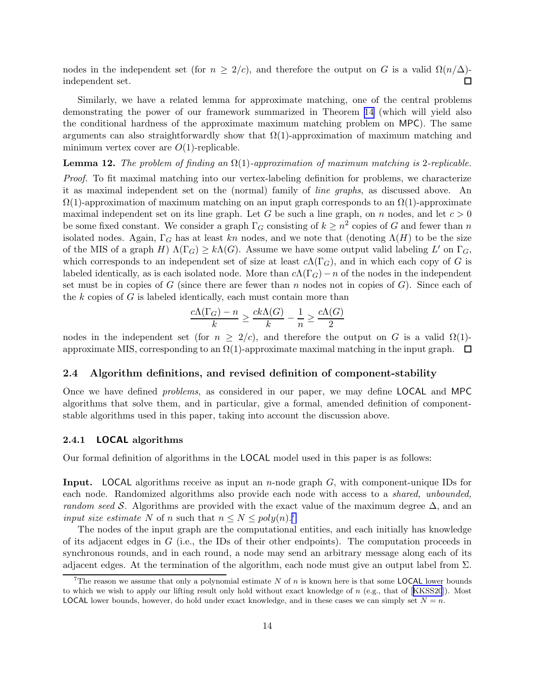<span id="page-14-0"></span>nodes in the independent set (for  $n \ge 2/c$ ), and therefore the output on G is a valid  $\Omega(n/\Delta)$ -<br>independent set. independent set.

Similarly, we have a related lemma for approximate matching, one of the central problems demonstrating the power of our framework summarized in Theorem [14](#page-16-0) (which will yield also the conditional hardness of the approximate maximum matching problem on MPC). The same arguments can also straightforwardly show that  $\Omega(1)$ -approximation of maximum matching and minimum vertex cover are  $O(1)$ -replicable.

# **Lemma 12.** The problem of finding an  $\Omega(1)$ -approximation of maximum matching is 2-replicable.

Proof. To fit maximal matching into our vertex-labeling definition for problems, we characterize it as maximal independent set on the (normal) family of line graphs, as discussed above. An  $\Omega(1)$ -approximation of maximum matching on an input graph corresponds to an  $\Omega(1)$ -approximate maximal independent set on its line graph. Let G be such a line graph, on n nodes, and let  $c > 0$ be some fixed constant. We consider a graph  $\Gamma_G$  consisting of  $k \geq n^2$  copies of G and fewer than n isolated nodes. Again,  $\Gamma_G$  has at least kn nodes, and we note that (denoting  $\Lambda(H)$  to be the size of the MIS of a graph  $H) \Lambda(\Gamma_G) \geq k \Lambda(G)$ . Assume we have some output valid labeling  $L'$  on  $\Gamma_G$ , which corresponds to an independent set of size at least  $c\Lambda(\Gamma_G)$ , and in which each copy of G is labeled identically, as is each isolated node. More than  $c\Lambda(\Gamma_G) - n$  of the nodes in the independent set must be in copies of G (since there are fewer than n nodes not in copies of G). Since each of the  $k$  copies of  $G$  is labeled identically, each must contain more than

$$
\frac{c\Lambda(\Gamma_G) - n}{k} \ge \frac{ck\Lambda(G)}{k} - \frac{1}{n} \ge \frac{c\Lambda(G)}{2}
$$

nodes in the independent set (for  $n \geq 2/c$ ), and therefore the output on G is a valid  $\Omega(1)$ approximate MIS, corresponding to an  $\Omega(1)$ -approximate maximal matching in the input graph.  $\Box$ 

# 2.4 Algorithm definitions, and revised definition of component-stability

Once we have defined *problems*, as considered in our paper, we may define **LOCAL** and MPC algorithms that solve them, and in particular, give a formal, amended definition of componentstable algorithms used in this paper, taking into account the discussion above.

#### 2.4.1 LOCAL algorithms

Our formal definition of algorithms in the LOCAL model used in this paper is as follows:

**Input.** LOCAL algorithms receive as input an *n*-node graph  $G$ , with component-unique IDs for each node. Randomized algorithms also provide each node with access to a *shared, unbounded*, random seed S. Algorithms are provided with the exact value of the maximum degree  $\Delta$ , and an input size estimate N of n such that  $n \leq N \leq poly(n)$ .

The nodes of the input graph are the computational entities, and each initially has knowledge of its adjacent edges in  $G$  (i.e., the IDs of their other endpoints). The computation proceeds in synchronous rounds, and in each round, a node may send an arbitrary message along each of its adjacent edges. At the termination of the algorithm, each node must give an output label from  $\Sigma$ .

<sup>&</sup>lt;sup>7</sup>The reason we assume that only a polynomial estimate N of n is known here is that some **LOCAL** lower bounds towhich we wish to apply our lifting result only hold without exact knowledge of  $n$  (e.g., that of [[KKSS20](#page-44-0)]). Most **LOCAL** lower bounds, however, do hold under exact knowledge, and in these cases we can simply set  $N = n$ .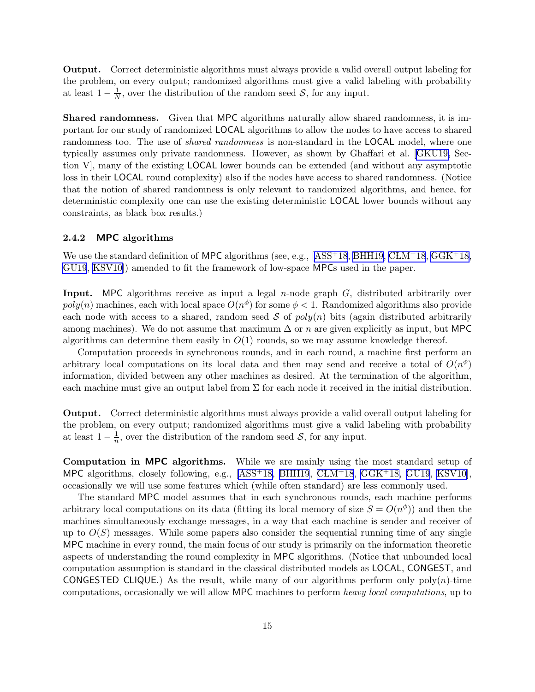<span id="page-15-0"></span>Output. Correct deterministic algorithms must always provide a valid overall output labeling for the problem, on every output; randomized algorithms must give a valid labeling with probability at least  $1 - \frac{1}{N}$  $\frac{1}{N}$ , over the distribution of the random seed  $S$ , for any input.

Shared randomness. Given that MPC algorithms naturally allow shared randomness, it is important for our study of randomized LOCAL algorithms to allow the nodes to have access to shared randomness too. The use of *shared randomness* is non-standard in the **LOCAL** model, where one typically assumes only private randomness. However, as shown by Ghaffari et al.[[GKU19,](#page-43-0) Section V], many of the existing LOCAL lower bounds can be extended (and without any asymptotic loss in their LOCAL round complexity) also if the nodes have access to shared randomness. (Notice that the notion of shared randomness is only relevant to randomized algorithms, and hence, for deterministic complexity one can use the existing deterministic LOCAL lower bounds without any constraints, as black box results.)

# 2.4.2 MPC algorithms

Weuse the standard definition of MPC algorithms (see, e.g.,  $[ASS^+18, BHH19, CLM^+18, GGK^+18,$  $[ASS^+18, BHH19, CLM^+18, GGK^+18,$  $[ASS^+18, BHH19, CLM^+18, GGK^+18,$  $[ASS^+18, BHH19, CLM^+18, GGK^+18,$  $[ASS^+18, BHH19, CLM^+18, GGK^+18,$ [GU19](#page-44-0), [KSV10\]](#page-44-0)) amended to fit the framework of low-space MPCs used in the paper.

**Input.** MPC algorithms receive as input a legal  $n$ -node graph  $G$ , distributed arbitrarily over  $poly(n)$  machines, each with local space  $O(n^{\phi})$  for some  $\phi < 1$ . Randomized algorithms also provide each node with access to a shared, random seed S of  $poly(n)$  bits (again distributed arbitrarily among machines). We do not assume that maximum  $\Delta$  or n are given explicitly as input, but MPC algorithms can determine them easily in  $O(1)$  rounds, so we may assume knowledge thereof.

Computation proceeds in synchronous rounds, and in each round, a machine first perform an arbitrary local computations on its local data and then may send and receive a total of  $O(n^{\phi})$ information, divided between any other machines as desired. At the termination of the algorithm, each machine must give an output label from  $\Sigma$  for each node it received in the initial distribution.

Output. Correct deterministic algorithms must always provide a valid overall output labeling for the problem, on every output; randomized algorithms must give a valid labeling with probability at least  $1 - \frac{1}{n}$  $\frac{1}{n}$ , over the distribution of the random seed  $S$ , for any input.

Computation in MPC algorithms. While we are mainly using the most standard setup of MPC algorithms, closely following, e.g.,  $[ASS<sup>+</sup>18, BHH19, CLM<sup>+</sup>18, GGK<sup>+</sup>18, GU19, KSV10]$  $[ASS<sup>+</sup>18, BHH19, CLM<sup>+</sup>18, GGK<sup>+</sup>18, GU19, KSV10]$  $[ASS<sup>+</sup>18, BHH19, CLM<sup>+</sup>18, GGK<sup>+</sup>18, GU19, KSV10]$  $[ASS<sup>+</sup>18, BHH19, CLM<sup>+</sup>18, GGK<sup>+</sup>18, GU19, KSV10]$  $[ASS<sup>+</sup>18, BHH19, CLM<sup>+</sup>18, GGK<sup>+</sup>18, GU19, KSV10]$  $[ASS<sup>+</sup>18, BHH19, CLM<sup>+</sup>18, GGK<sup>+</sup>18, GU19, KSV10]$  $[ASS<sup>+</sup>18, BHH19, CLM<sup>+</sup>18, GGK<sup>+</sup>18, GU19, KSV10]$  $[ASS<sup>+</sup>18, BHH19, CLM<sup>+</sup>18, GGK<sup>+</sup>18, GU19, KSV10]$ , occasionally we will use some features which (while often standard) are less commonly used.

The standard MPC model assumes that in each synchronous rounds, each machine performs arbitrary local computations on its data (fitting its local memory of size  $S = O(n^{\phi})$ ) and then the machines simultaneously exchange messages, in a way that each machine is sender and receiver of up to  $O(S)$  messages. While some papers also consider the sequential running time of any single MPC machine in every round, the main focus of our study is primarily on the information theoretic aspects of understanding the round complexity in MPC algorithms. (Notice that unbounded local computation assumption is standard in the classical distributed models as LOCAL, CONGEST, and CONGESTED CLIQUE.) As the result, while many of our algorithms perform only  $poly(n)$ -time computations, occasionally we will allow MPC machines to perform heavy local computations, up to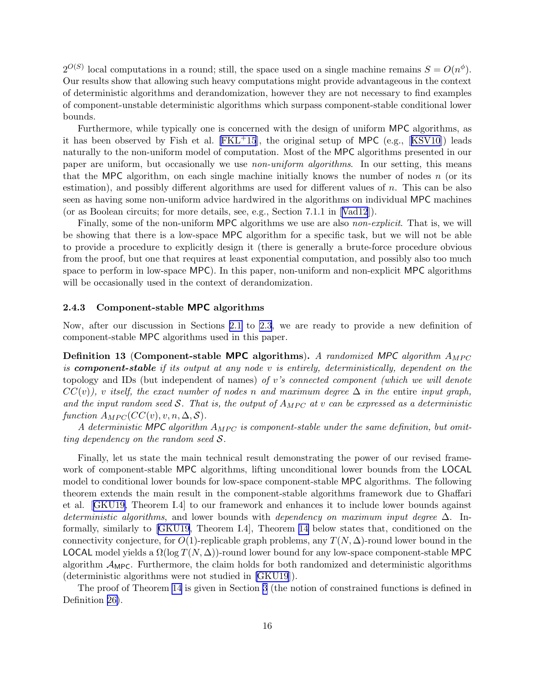<span id="page-16-0"></span> $2^{O(S)}$  local computations in a round; still, the space used on a single machine remains  $S = O(n^{\phi})$ . Our results show that allowing such heavy computations might provide advantageous in the context of deterministic algorithms and derandomization, however they are not necessary to find examples of component-unstable deterministic algorithms which surpass component-stable conditional lower bounds.

Furthermore, while typically one is concerned with the design of uniform MPC algorithms, as ithas been observed by Fish et al.  $[FKL+15]$ , the original setup of MPC (e.g.,  $[KSV10]$  $[KSV10]$  $[KSV10]$ ) leads naturally to the non-uniform model of computation. Most of the MPC algorithms presented in our paper are uniform, but occasionally we use *non-uniform algorithms*. In our setting, this means that the MPC algorithm, on each single machine initially knows the number of nodes  $n$  (or its estimation), and possibly different algorithms are used for different values of n. This can be also seen as having some non-uniform advice hardwired in the algorithms on individual MPC machines (or as Boolean circuits; for more details, see, e.g., Section 7.1.1 in[[Vad12](#page-45-0)]).

Finally, some of the non-uniform MPC algorithms we use are also *non-explicit*. That is, we will be showing that there is a low-space MPC algorithm for a specific task, but we will not be able to provide a procedure to explicitly design it (there is generally a brute-force procedure obvious from the proof, but one that requires at least exponential computation, and possibly also too much space to perform in low-space MPC). In this paper, non-uniform and non-explicit MPC algorithms will be occasionally used in the context of derandomization.

# 2.4.3 Component-stable MPC algorithms

Now, after our discussion in Sections [2.1](#page-7-0) to [2.3](#page-11-0), we are ready to provide a new definition of component-stable MPC algorithms used in this paper.

**Definition 13 (Component-stable MPC algorithms).** A randomized MPC algorithm  $A_{MPC}$ is **component-stable** if its output at any node v is entirely, deterministically, dependent on the topology and IDs (but independent of names) of v's connected component (which we will denote  $CC(v)$ , v itself, the exact number of nodes n and maximum degree  $\Delta$  in the entire input graph, and the input random seed S. That is, the output of  $A_{MPC}$  at v can be expressed as a deterministic function  $A_{MPC}(CC(v), v, n, \Delta, S)$ .

A deterministic MPC algorithm  $A_{MPC}$  is component-stable under the same definition, but omitting dependency on the random seed  $S$ .

Finally, let us state the main technical result demonstrating the power of our revised framework of component-stable MPC algorithms, lifting unconditional lower bounds from the LOCAL model to conditional lower bounds for low-space component-stable MPC algorithms. The following theorem extends the main result in the component-stable algorithms framework due to Ghaffari et al.[[GKU19](#page-43-0), Theorem I.4] to our framework and enhances it to include lower bounds against deterministic algorithms, and lower bounds with dependency on maximum input degree  $\Delta$ . Informally, similarly to [\[GKU19](#page-43-0), Theorem I.4], Theorem 14 below states that, conditioned on the connectivity conjecture, for  $O(1)$ -replicable graph problems, any  $T(N, \Delta)$ -round lower bound in the LOCAL model yields a  $\Omega(\log T(N, \Delta))$ -round lower bound for any low-space component-stable MPC algorithm  $A_{\text{MPC}}$ . Furthermore, the claim holds for both randomized and deterministic algorithms (deterministic algorithms were not studied in [\[GKU19](#page-43-0)]).

The proof of Theorem 14 is given in Section [3](#page-19-0) (the notion of constrained functions is defined in Definition [26\)](#page-22-0).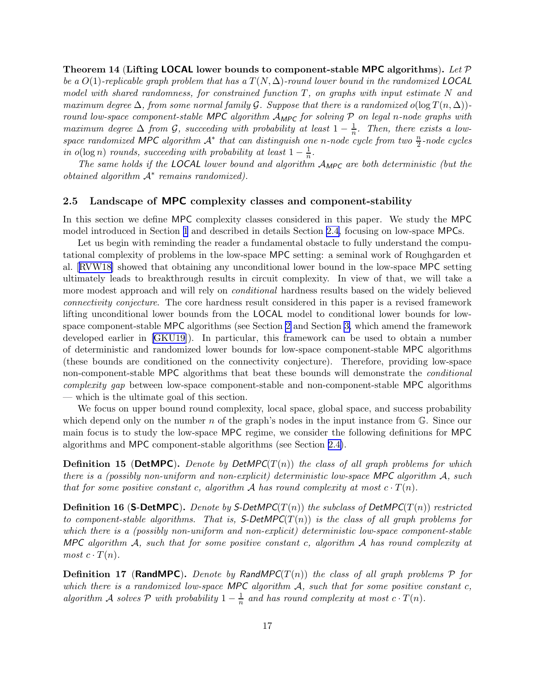<span id="page-17-0"></span>Theorem 14 (Lifting LOCAL lower bounds to component-stable MPC algorithms). Let  $\mathcal P$ be a  $O(1)$ -replicable graph problem that has a  $T(N, \Delta)$ -round lower bound in the randomized LOCAL model with shared randomness, for constrained function  $T$ , on graphs with input estimate N and maximum degree  $\Delta$ , from some normal family G. Suppose that there is a randomized o(log  $T(n, \Delta)$ )round low-space component-stable MPC algorithm  $A_{MPC}$  for solving P on legal n-node graphs with maximum degree  $\Delta$  from  $\mathcal{G}$ , succeeding with probability at least  $1-\frac{1}{n}$  $\frac{1}{n}$ . Then, there exists a lowspace randomized MPC algorithm  $A^*$  that can distinguish one n-node cycle from two  $\frac{n}{2}$ -node cycles in  $o(\log n)$  rounds, succeeding with probability at least  $1 - \frac{1}{n}$  $\frac{1}{n}$ .

The same holds if the LOCAL lower bound and algorithm  $A_{\text{MPC}}$  are both deterministic (but the *obtained algorithm*  $A^*$  *remains randomized*).

### 2.5 Landscape of MPC complexity classes and component-stability

In this section we define MPC complexity classes considered in this paper. We study the MPC model introduced in Section [1](#page-1-0) and described in details Section [2.4,](#page-14-0) focusing on low-space MPCs.

Let us begin with reminding the reader a fundamental obstacle to fully understand the computational complexity of problems in the low-space MPC setting: a seminal work of Roughgarden et al.[[RVW18\]](#page-45-0) showed that obtaining any unconditional lower bound in the low-space MPC setting ultimately leads to breakthrough results in circuit complexity. In view of that, we will take a more modest approach and will rely on *conditional* hardness results based on the widely believed connectivity conjecture. The core hardness result considered in this paper is a revised framework lifting unconditional lower bounds from the LOCAL model to conditional lower bounds for lowspace component-stable MPC algorithms (see Section [2](#page-7-0) and Section [3,](#page-19-0) which amend the framework developed earlier in[[GKU19](#page-43-0)]). In particular, this framework can be used to obtain a number of deterministic and randomized lower bounds for low-space component-stable MPC algorithms (these bounds are conditioned on the connectivity conjecture). Therefore, providing low-space non-component-stable MPC algorithms that beat these bounds will demonstrate the *conditional* complexity gap between low-space component-stable and non-component-stable MPC algorithms — which is the ultimate goal of this section.

We focus on upper bound round complexity, local space, global space, and success probability which depend only on the number n of the graph's nodes in the input instance from  $\mathbb{G}$ . Since our main focus is to study the low-space MPC regime, we consider the following definitions for MPC algorithms and MPC component-stable algorithms (see Section [2.4\)](#page-14-0).

**Definition 15 (DetMPC).** Denote by DetMPC( $T(n)$ ) the class of all graph problems for which there is a (possibly non-uniform and non-explicit) deterministic low-space MPC algorithm  $A$ , such that for some positive constant c, algorithm A has round complexity at most  $c \cdot T(n)$ .

**Definition 16 (S-DetMPC).** Denote by S-DetMPC( $T(n)$ ) the subclass of DetMPC( $T(n)$ ) restricted to component-stable algorithms. That is,  $S$ -DetMPC( $T(n)$ ) is the class of all graph problems for which there is a (possibly non-uniform and non-explicit) deterministic low-space component-stable MPC algorithm  $A$ , such that for some positive constant c, algorithm  $A$  has round complexity at most  $c \cdot T(n)$ .

**Definition 17 (RandMPC).** Denote by RandMPC( $T(n)$ ) the class of all graph problems  $P$  for which there is a randomized low-space MPC algorithm  $A$ , such that for some positive constant  $c$ , algorithm A solves P with probability  $1-\frac{1}{n}$  $\frac{1}{n}$  and has round complexity at most  $c \cdot T(n)$ .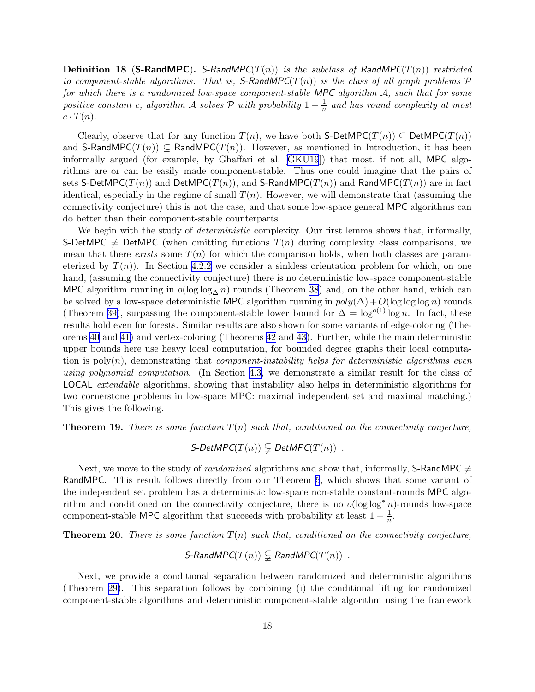<span id="page-18-0"></span>**Definition 18 (S-RandMPC).** S-RandMPC( $T(n)$ ) is the subclass of RandMPC( $T(n)$ ) restricted to component-stable algorithms. That is, S-RandMPC( $T(n)$ ) is the class of all graph problems  $\mathcal P$ for which there is a randomized low-space component-stable MPC algorithm  $A$ , such that for some positive constant c, algorithm A solves  $\mathcal P$  with probability  $1-\frac{1}{n}$  $\frac{1}{n}$  and has round complexity at most  $c \cdot T(n)$ .

Clearly, observe that for any function  $T(n)$ , we have both S-DetMPC( $T(n)$ ) ⊆ DetMPC( $T(n)$ ) and S-RandMPC( $T(n)$ )  $\subseteq$  RandMPC( $T(n)$ ). However, as mentioned in Introduction, it has been informally argued (for example, by Ghaffari et al. [\[GKU19](#page-43-0)]) that most, if not all, MPC algorithms are or can be easily made component-stable. Thus one could imagine that the pairs of sets S-DetMPC( $T(n)$ ) and DetMPC( $T(n)$ ), and S-RandMPC( $T(n)$ ) and RandMPC( $T(n)$ ) are in fact identical, especially in the regime of small  $T(n)$ . However, we will demonstrate that (assuming the connectivity conjecture) this is not the case, and that some low-space general MPC algorithms can do better than their component-stable counterparts.

We begin with the study of *deterministic* complexity. Our first lemma shows that, informally, S-DetMPC  $\neq$  DetMPC (when omitting functions  $T(n)$  during complexity class comparisons, we mean that there exists some  $T(n)$  for which the comparison holds, when both classes are parameterized by  $T(n)$ ). In Section [4.2.2](#page-31-0) we consider a sinkless orientation problem for which, on one hand, (assuming the connectivity conjecture) there is no deterministic low-space component-stable MPC algorithm running in  $o(log log_{\Delta} n)$  rounds (Theorem [38\)](#page-32-0) and, on the other hand, which can be solved by a low-space deterministic MPC algorithm running in  $poly(\Delta) + O(\log \log \log n)$  rounds (Theorem [39\)](#page-32-0), surpassing the component-stable lower bound for  $\Delta = \log^{o(1)} \log n$ . In fact, these results hold even for forests. Similar results are also shown for some variants of edge-coloring (Theorems [40](#page-33-0) and [41\)](#page-33-0) and vertex-coloring (Theorems [42](#page-34-0) and [43\)](#page-34-0). Further, while the main deterministic upper bounds here use heavy local computation, for bounded degree graphs their local computation is  $poly(n)$ , demonstrating that *component-instability helps for deterministic algorithms even* using polynomial computation. (In Section [4.3](#page-34-0), we demonstrate a similar result for the class of LOCAL extendable algorithms, showing that instability also helps in deterministic algorithms for two cornerstone problems in low-space MPC: maximal independent set and maximal matching.) This gives the following.

**Theorem 19.** There is some function  $T(n)$  such that, conditioned on the connectivity conjecture,

 $S\text{-}DetMPC(T(n)) \subsetneq DetMPC(T(n))$ .

Next, we move to the study of *randomized* algorithms and show that, informally, S-RandMPC  $\neq$ RandMPC. This result follows directly from our Theorem [5](#page-5-0), which shows that some variant of the independent set problem has a deterministic low-space non-stable constant-rounds MPC algorithm and conditioned on the connectivity conjecture, there is no  $o(\log \log^* n)$ -rounds low-space component-stable MPC algorithm that succeeds with probability at least  $1 - \frac{1}{n}$  $\frac{1}{n}$ .

**Theorem 20.** There is some function  $T(n)$  such that, conditioned on the connectivity conjecture,

$$
\mathsf{S}\text{-}\mathsf{RandMPC}(T(n)) \subsetneq \mathsf{RandMPC}(T(n)) \enspace .
$$

Next, we provide a conditional separation between randomized and deterministic algorithms (Theorem [29\)](#page-27-0). This separation follows by combining (i) the conditional lifting for randomized component-stable algorithms and deterministic component-stable algorithm using the framework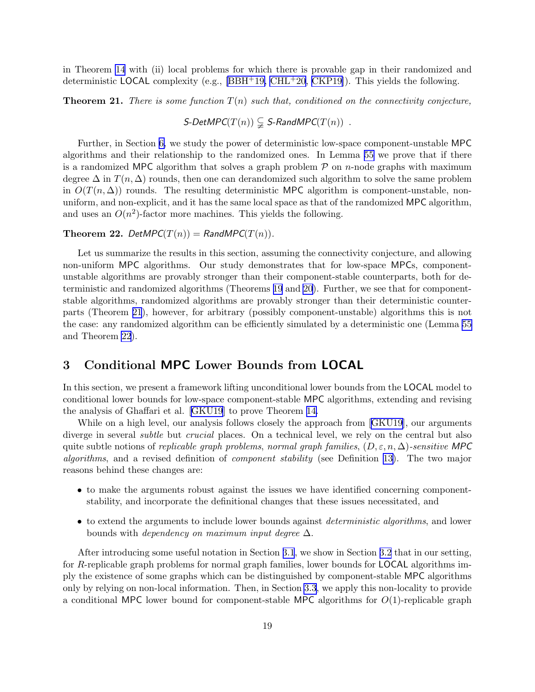<span id="page-19-0"></span>in Theorem [14](#page-16-0) with (ii) local problems for which there is provable gap in their randomized and deterministic LOCAL complexity (e.g., [\[BBH](#page-42-0)+19, [CHL](#page-42-0)+20, [CKP19\]](#page-42-0)). This yields the following.

**Theorem 21.** There is some function  $T(n)$  such that, conditioned on the connectivity conjecture,

 $S\text{-}DetMPC(T(n)) \subsetneq S\text{-}RandMPC(T(n))$ .

Further, in Section [6,](#page-40-0) we study the power of deterministic low-space component-unstable MPC algorithms and their relationship to the randomized ones. In Lemma [55](#page-40-0) we prove that if there is a randomized MPC algorithm that solves a graph problem  $\mathcal P$  on *n*-node graphs with maximum degree  $\Delta$  in  $T(n, \Delta)$  rounds, then one can derandomized such algorithm to solve the same problem in  $O(T(n, \Delta))$  rounds. The resulting deterministic MPC algorithm is component-unstable, nonuniform, and non-explicit, and it has the same local space as that of the randomized MPC algorithm, and uses an  $O(n^2)$ -factor more machines. This yields the following.

# **Theorem 22.** DetMPC( $T(n)$ ) = RandMPC( $T(n)$ ).

Let us summarize the results in this section, assuming the connectivity conjecture, and allowing non-uniform MPC algorithms. Our study demonstrates that for low-space MPCs, componentunstable algorithms are provably stronger than their component-stable counterparts, both for deterministic and randomized algorithms (Theorems [19](#page-18-0) and [20](#page-18-0)). Further, we see that for componentstable algorithms, randomized algorithms are provably stronger than their deterministic counterparts (Theorem 21), however, for arbitrary (possibly component-unstable) algorithms this is not the case: any randomized algorithm can be efficiently simulated by a deterministic one (Lemma [55](#page-40-0) and Theorem 22).

# 3 Conditional MPC Lower Bounds from LOCAL

In this section, we present a framework lifting unconditional lower bounds from the LOCAL model to conditional lower bounds for low-space component-stable MPC algorithms, extending and revising the analysis of Ghaffari et al. [\[GKU19](#page-43-0)] to prove Theorem [14.](#page-16-0)

Whileon a high level, our analysis follows closely the approach from [[GKU19](#page-43-0)], our arguments diverge in several *subtle* but *crucial* places. On a technical level, we rely on the central but also quite subtle notions of replicable graph problems, normal graph families,  $(D, \varepsilon, n, \Delta)$ -sensitive MPC algorithms, and a revised definition of component stability (see Definition [13\)](#page-16-0). The two major reasons behind these changes are:

- to make the arguments robust against the issues we have identified concerning componentstability, and incorporate the definitional changes that these issues necessitated, and
- to extend the arguments to include lower bounds against *deterministic algorithms*, and lower bounds with *dependency on maximum input degree*  $\Delta$ .

After introducing some useful notation in Section [3.1](#page-20-0), we show in Section [3.2](#page-20-0) that in our setting, for R-replicable graph problems for normal graph families, lower bounds for LOCAL algorithms imply the existence of some graphs which can be distinguished by component-stable MPC algorithms only by relying on non-local information. Then, in Section [3.3](#page-22-0), we apply this non-locality to provide a conditional MPC lower bound for component-stable MPC algorithms for  $O(1)$ -replicable graph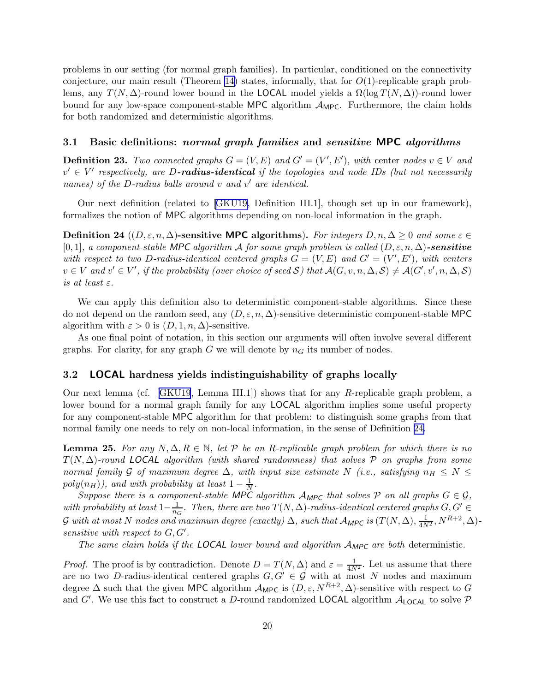<span id="page-20-0"></span>problems in our setting (for normal graph families). In particular, conditioned on the connectivity conjecture, our main result (Theorem [14](#page-16-0)) states, informally, that for  $O(1)$ -replicable graph problems, any  $T(N, \Delta)$ -round lower bound in the LOCAL model yields a  $\Omega(\log T(N, \Delta))$ -round lower bound for any low-space component-stable MPC algorithm  $\mathcal{A}_{MPC}$ . Furthermore, the claim holds for both randomized and deterministic algorithms.

# 3.1 Basic definitions: normal graph families and sensitive MPC algorithms

**Definition 23.** Two connected graphs  $G = (V, E)$  and  $G' = (V', E')$ , with center nodes  $v \in V$  and  $v' \in V'$  respectively, are D**-radius-identical** if the topologies and node IDs (but not necessarily names) of the D-radius balls around  $v$  and  $v'$  are identical.

Our next definition (related to[[GKU19](#page-43-0), Definition III.1], though set up in our framework), formalizes the notion of MPC algorithms depending on non-local information in the graph.

Definition 24  $((D, \varepsilon, n, \Delta)$ -sensitive MPC algorithms). For integers  $D, n, \Delta \geq 0$  and some  $\varepsilon \in$  $[0,1]$ , a component-stable MPC algorithm A for some graph problem is called  $(D, \varepsilon, n, \Delta)$ -sensitive with respect to two D-radius-identical centered graphs  $G = (V, E)$  and  $G' = (V', E')$ , with centers  $v \in V$  and  $v' \in V'$ , if the probability (over choice of seed S) that  $\mathcal{A}(G, v, n, \Delta, \mathcal{S}) \neq \mathcal{A}(G', v', n, \Delta, \mathcal{S})$ is at least  $\varepsilon$ .

We can apply this definition also to deterministic component-stable algorithms. Since these do not depend on the random seed, any  $(D, \varepsilon, n, \Delta)$ -sensitive deterministic component-stable MPC algorithm with  $\varepsilon > 0$  is  $(D, 1, n, \Delta)$ -sensitive.

As one final point of notation, in this section our arguments will often involve several different graphs. For clarity, for any graph G we will denote by  $n<sub>G</sub>$  its number of nodes.

# 3.2 LOCAL hardness yields indistinguishability of graphs locally

Our next lemma (cf. [\[GKU19](#page-43-0), Lemma III.1]) shows that for any R-replicable graph problem, a lower bound for a normal graph family for any LOCAL algorithm implies some useful property for any component-stable MPC algorithm for that problem: to distinguish some graphs from that normal family one needs to rely on non-local information, in the sense of Definition 24.

**Lemma 25.** For any  $N, \Delta, R \in \mathbb{N}$ , let  $P$  be an R-replicable graph problem for which there is no  $T(N, \Delta)$ -round LOCAL algorithm (with shared randomness) that solves P on graphs from some normal family G of maximum degree  $\Delta$ , with input size estimate N (i.e., satisfying  $n_H \leq N \leq$  $poly(n_H))$ , and with probability at least  $1-\frac{1}{N}$  $\frac{1}{N}$  .

Suppose there is a component-stable MPC algorithm  $A_{MPC}$  that solves P on all graphs  $G \in \mathcal{G}$ , with probability at least  $1-\frac{1}{n_0}$  $\frac{1}{n_G}$ . Then, there are two  $T(N,\Delta)$ -radius-identical centered graphs  $G,G'\in$  ${\cal G}$  with at most  $N$  nodes and maximum degree (exactly)  $\Delta,$  such that  ${\cal A}_{\sf MPC}$  is  $(T(N,\Delta),\frac{1}{4N^2},N^{R+2},\Delta)$ sensitive with respect to  $G, G'$ .

The same claim holds if the LOCAL lower bound and algorithm  $A_{MPC}$  are both deterministic.

*Proof.* The proof is by contradiction. Denote  $D = T(N, \Delta)$  and  $\varepsilon = \frac{1}{4N^2}$ . Let us assume that there are no two D-radius-identical centered graphs  $G, G' \in \mathcal{G}$  with at most N nodes and maximum degree  $\Delta$  such that the given MPC algorithm  $\mathcal{A}_{\mathsf{MPC}}$  is  $(D, \varepsilon, N^{R+2}, \Delta)$ -sensitive with respect to G and G'. We use this fact to construct a D-round randomized LOCAL algorithm  $A_{\text{LOCAL}}$  to solve  $P$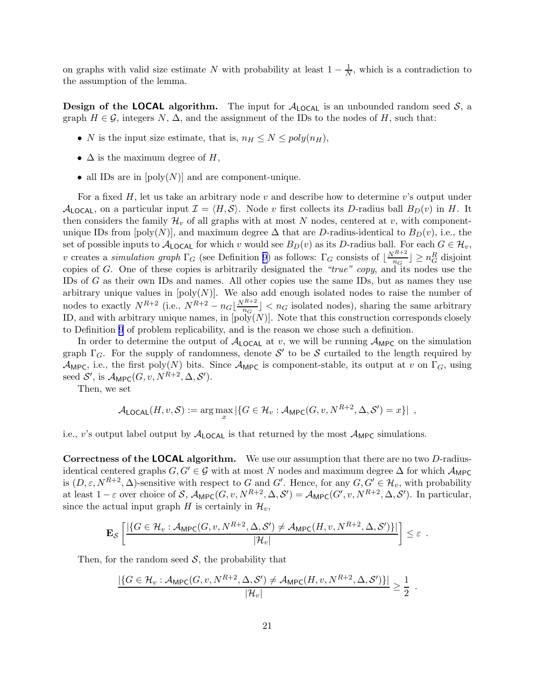on graphs with valid size estimate N with probability at least  $1 - \frac{1}{N}$ , which is a contradiction to the assumption of the lemma.

**Design of the LOCAL algorithm.** The input for  $A_{\text{LOCAL}}$  is an unbounded random seed  $S$ , a graph  $H \in \mathcal{G}$ , integers N,  $\Delta$ , and the assignment of the IDs to the nodes of H, such that:

- N is the input size estimate, that is,  $n_H \leq N \leq poly(n_H)$ ,
- $\Delta$  is the maximum degree of H,
- all IDs are in  $[poly(N)]$  and are component-unique.

For a fixed  $H$ , let us take an arbitrary node v and describe how to determine v's output under  $\mathcal{A}_{\text{LOCAL}}$ , on a particular input  $\mathcal{I} = \langle H, \mathcal{S} \rangle$ . Node v first collects its D-radius ball  $B_D(v)$  in H. It then considers the family  $\mathcal{H}_v$  of all graphs with at most N nodes, centered at v, with componentunique IDs from [poly(N)], and maximum degree  $\Delta$  that are D-radius-identical to  $B_D(v)$ , i.e., the set of possible inputs to  $A_{\text{LOCAL}}$  for which v would see  $B_D(v)$  as its D-radius ball. For each  $G \in \mathcal{H}_v$ , v creates a *simulation graph*  $\Gamma_G$  (see Definition [9](#page-13-0)) as follows:  $\Gamma_G$  consists of  $\lfloor \frac{N^{R+2}}{n_G} \rfloor$  $\left\lfloor \frac{n+2}{n_G} \right\rfloor \geq n_G^R$  disjoint copies of G. One of these copies is arbitrarily designated the "true" copy, and its nodes use the IDs of G as their own IDs and names. All other copies use the same IDs, but as names they use arbitrary unique values in  $[poly(N)]$ . We also add enough isolated nodes to raise the number of nodes to exactly  $N^{R+2}$  (i.e.,  $N^{R+2} - n_G \left[ \frac{N^{R+2}}{n_G} \right]$  $\left[\frac{n+2}{n_G}\right] < n_G$  isolated nodes), sharing the same arbitrary ID, and with arbitrary unique names, in  $[poly(N)]$ . Note that this construction corresponds closely to Definition [9](#page-13-0) of problem replicability, and is the reason we chose such a definition.

In order to determine the output of  $A_{\text{LOCAL}}$  at v, we will be running  $A_{\text{MPC}}$  on the simulation graph  $\Gamma_G$ . For the supply of randomness, denote  $\mathcal{S}'$  to be  $\mathcal S$  curtailed to the length required by  $\mathcal{A}_{\mathsf{MPC}}$ , i.e., the first poly(N) bits. Since  $\mathcal{A}_{\mathsf{MPC}}$  is component-stable, its output at v on  $\Gamma_G$ , using seed  $\mathcal{S}'$ , is  $\mathcal{A}_{\text{MPC}}(G, v, N^{R+2}, \Delta, \mathcal{S}')$ .

Then, we set

$$
\mathcal{A}_{\text{LOCAL}}(H, v, \mathcal{S}) := \arg\max_x |\{G \in \mathcal{H}_v : \mathcal{A}_{\text{MPC}}(G, v, N^{R+2}, \Delta, \mathcal{S}') = x\}|,
$$

i.e., v's output label output by  $A_{\text{LOCAL}}$  is that returned by the most  $A_{\text{MPC}}$  simulations.

Correctness of the LOCAL algorithm. We use our assumption that there are no two D-radiusidentical centered graphs  $G, G' \in \mathcal{G}$  with at most N nodes and maximum degree  $\Delta$  for which  $\mathcal{A}_{\text{MPC}}$ is  $(D, \varepsilon, N^{R+2}, \Delta)$ -sensitive with respect to G and G'. Hence, for any  $G, G' \in \mathcal{H}_v$ , with probability at least  $1 - \varepsilon$  over choice of S,  $\mathcal{A}_{\mathsf{MPC}}(G, v, N^{R+2}, \Delta, \mathcal{S}') = \mathcal{A}_{\mathsf{MPC}}(G', v, N^{R+2}, \Delta, \mathcal{S}')$ . In particular, since the actual input graph H is certainly in  $\mathcal{H}_v$ ,

$$
\mathbf{E}_{\mathcal{S}}\left[\frac{|\{G \in \mathcal{H}_v : \mathcal{A}_{\mathsf{MPC}}(G,v,N^{R+2},\Delta,\mathcal{S}') \neq \mathcal{A}_{\mathsf{MPC}}(H,v,N^{R+2},\Delta,\mathcal{S}')\}|}{|\mathcal{H}_v|}\right] \leq \varepsilon.
$$

Then, for the random seed  $S$ , the probability that

$$
\frac{|\{G \in \mathcal{H}_v : \mathcal{A}_{\mathsf{MPC}}(G, v, N^{R+2}, \Delta, \mathcal{S}') \neq \mathcal{A}_{\mathsf{MPC}}(H, v, N^{R+2}, \Delta, \mathcal{S}')\}|}{|\mathcal{H}_v|} \geq \frac{1}{2}.
$$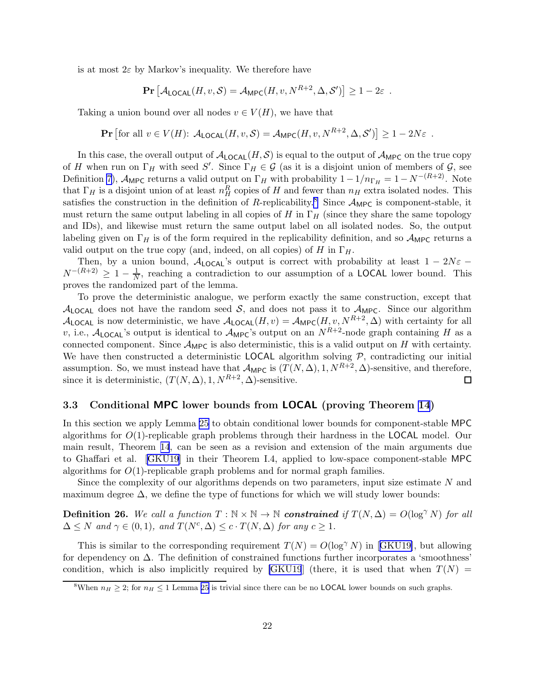<span id="page-22-0"></span>is at most  $2\varepsilon$  by Markov's inequality. We therefore have

$$
\Pr\left[\mathcal{A}_{\text{LOCAL}}(H, v, \mathcal{S}) = \mathcal{A}_{\text{MPC}}(H, v, N^{R+2}, \Delta, \mathcal{S}')\right] \ge 1 - 2\varepsilon.
$$

Taking a union bound over all nodes  $v \in V(H)$ , we have that

$$
\mathbf{Pr}\left[\text{for all } v \in V(H): \ \mathcal{A}_{\mathsf{LOCAL}}(H, v, \mathcal{S}) = \mathcal{A}_{\mathsf{MPC}}(H, v, N^{R+2}, \Delta, \mathcal{S}')\right] \ge 1 - 2N\varepsilon \enspace .
$$

In this case, the overall output of  $A_{\text{LOCAL}}(H, S)$  is equal to the output of  $A_{\text{MPC}}$  on the true copy of H when run on  $\Gamma_H$  with seed S'. Since  $\Gamma_H \in \mathcal{G}$  (as it is a disjoint union of members of  $\mathcal{G}$ , see Definition [7\)](#page-11-0),  $\mathcal{A}_{\text{MPC}}$  returns a valid output on  $\Gamma_H$  with probability  $1-1/n_{\Gamma_H} = 1 - N^{-(R+2)}$ . Note that  $\Gamma_H$  is a disjoint union of at least  $n_H^R$  copies of H and fewer than  $n_H$  extra isolated nodes. This satisfies the construction in the definition of R-replicability.<sup>8</sup> Since  $A_{\text{MPC}}$  is component-stable, it must return the same output labeling in all copies of H in  $\Gamma_H$  (since they share the same topology and IDs), and likewise must return the same output label on all isolated nodes. So, the output labeling given on  $\Gamma_H$  is of the form required in the replicability definition, and so  $\mathcal{A}_{\mathsf{MPC}}$  returns a valid output on the true copy (and, indeed, on all copies) of H in  $\Gamma_H$ .

Then, by a union bound,  $A_{\text{LOCAL}}$ 's output is correct with probability at least  $1 - 2N\varepsilon$  −  $N^{-(R+2)} \geq 1 - \frac{1}{N}$ , reaching a contradiction to our assumption of a LOCAL lower bound. This proves the randomized part of the lemma.

To prove the deterministic analogue, we perform exactly the same construction, except that  $A_{\text{LOCAL}}$  does not have the random seed S, and does not pass it to  $A_{\text{MPC}}$ . Since our algorithm  $\mathcal{A}_{\text{LOCAL}}$  is now deterministic, we have  $\mathcal{A}_{\text{LOCAL}}(H, v) = \mathcal{A}_{\text{MPC}}(H, v, N^{R+2}, \Delta)$  with certainty for all v, i.e.,  $\mathcal{A}_{\text{LOCAL}}$ 's output is identical to  $\mathcal{A}_{\text{MPC}}$ 's output on an  $N^{R+2}$ -node graph containing H as a connected component. Since  $\mathcal{A}_{\text{MPC}}$  is also deterministic, this is a valid output on H with certainty. We have then constructed a deterministic LOCAL algorithm solving  $P$ , contradicting our initial assumption. So, we must instead have that  $\mathcal{A}_{\mathsf{MPC}}$  is  $(T(N, \Delta), 1, N^{R+2}, \Delta)$ -sensitive, and therefore, since it is deterministic,  $(T(N, \Delta), 1, N^{R+2}, \Delta)$ -sensitive.  $\Box$ 

# 3.3 Conditional MPC lower bounds from LOCAL (proving Theorem [14](#page-16-0))

In this section we apply Lemma [25](#page-20-0) to obtain conditional lower bounds for component-stable MPC algorithms for O(1)-replicable graph problems through their hardness in the LOCAL model. Our main result, Theorem [14](#page-16-0), can be seen as a revision and extension of the main arguments due to Ghaffari et al.[[GKU19\]](#page-43-0) in their Theorem I.4, applied to low-space component-stable MPC algorithms for  $O(1)$ -replicable graph problems and for normal graph families.

Since the complexity of our algorithms depends on two parameters, input size estimate N and maximum degree  $\Delta$ , we define the type of functions for which we will study lower bounds:

**Definition 26.** We call a function  $T : \mathbb{N} \times \mathbb{N} \to \mathbb{N}$  constrained if  $T(N, \Delta) = O(\log^{\gamma} N)$  for all  $\Delta \leq N$  and  $\gamma \in (0,1)$ , and  $T(N^c, \Delta) \leq c \cdot T(N, \Delta)$  for any  $c \geq 1$ .

Thisis similar to the corresponding requirement  $T(N) = O(\log^{\gamma} N)$  in [[GKU19\]](#page-43-0), but allowing for dependency on  $\Delta$ . The definition of constrained functions further incorporates a 'smoothness' condition, which is also implicitly required by  $[GKU19]$  (there, it is used that when  $T(N)$ )

<sup>&</sup>lt;sup>8</sup>When  $n_H \geq 2$ ; for  $n_H \leq 1$  Lemma [25](#page-20-0) is trivial since there can be no **LOCAL** lower bounds on such graphs.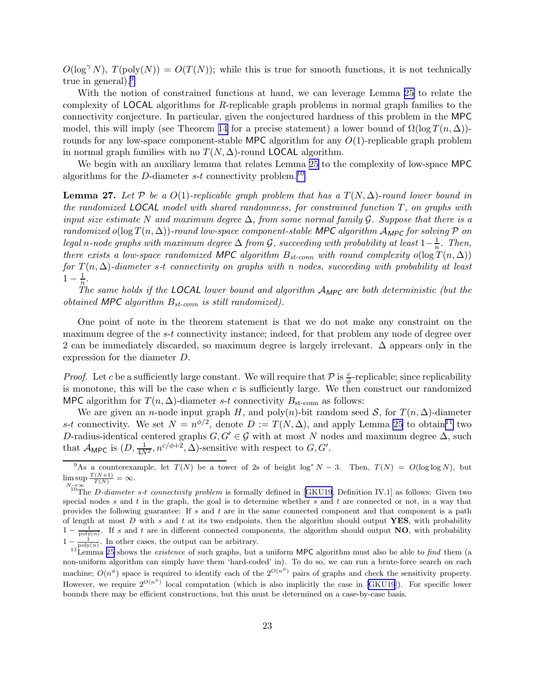<span id="page-23-0"></span> $O(\log^{\gamma} N)$ ,  $T(\text{poly}(N)) = O(T(N))$ ; while this is true for smooth functions, it is not technically true in general).<sup>9</sup>

With the notion of constrained functions at hand, we can leverage Lemma [25](#page-20-0) to relate the complexity of LOCAL algorithms for R-replicable graph problems in normal graph families to the connectivity conjecture. In particular, given the conjectured hardness of this problem in the MPC model, this will imply (see Theorem [14](#page-16-0) for a precise statement) a lower bound of  $\Omega(\log T(n, \Delta))$ rounds for any low-space component-stable MPC algorithm for any  $O(1)$ -replicable graph problem in normal graph families with no  $T(N, \Delta)$ -round LOCAL algorithm.

We begin with an auxiliary lemma that relates Lemma [25](#page-20-0) to the complexity of low-space MPC algorithms for the D-diameter  $s-t$  connectivity problem.<sup>10</sup>

**Lemma 27.** Let P be a  $O(1)$ -replicable graph problem that has a  $T(N, \Delta)$ -round lower bound in the randomized LOCAL model with shared randomness, for constrained function  $T$ , on graphs with input size estimate N and maximum degree  $\Delta$ , from some normal family G. Suppose that there is a randomized o(log  $T(n, \Delta)$ )-round low-space component-stable MPC algorithm  $A_{MPC}$  for solving P on legal n-node graphs with maximum degree  $\Delta$  from  $\mathcal G$ , succeeding with probability at least  $1-\frac{1}{n}$  $\frac{1}{n}$ . Then, there exists a low-space randomized MPC algorithm  $B_{st-conn}$  with round complexity  $o(\log T(n, \Delta))$ for  $T(n, \Delta)$ -diameter s-t connectivity on graphs with n nodes, succeeding with probability at least  $1-\frac{1}{n}$  $\frac{1}{n}$ .

The same holds if the LOCAL lower bound and algorithm  $A_{\text{MPC}}$  are both deterministic (but the obtained MPC algorithm  $B_{st-conn}$  is still randomized).

One point of note in the theorem statement is that we do not make any constraint on the maximum degree of the s-t connectivity instance; indeed, for that problem any node of degree over 2 can be immediately discarded, so maximum degree is largely irrelevant. ∆ appears only in the expression for the diameter D.

*Proof.* Let c be a sufficiently large constant. We will require that  $P$  is  $\frac{c}{\phi}$ -replicable; since replicability is monotone, this will be the case when  $c$  is sufficiently large. We then construct our randomized MPC algorithm for  $T(n, \Delta)$ -diameter s-t connectivity  $B_{\text{st-conn}}$  as follows:

We are given an *n*-node input graph H, and poly $(n)$ -bit random seed S, for  $T(n, \Delta)$ -diameter s-t connectivity. We set  $N = n^{\phi/2}$ , denote  $D := T(N, \Delta)$ , and apply Lemma [25](#page-20-0) to obtain<sup>11</sup> two D-radius-identical centered graphs  $G, G' \in \mathcal{G}$  with at most N nodes and maximum degree  $\Delta$ , such that  $\mathcal{A}_{\mathsf{MPC}}$  is  $(D, \frac{1}{4N^2}, n^{c/\phi+2}, \Delta)$ -sensitive with respect to  $G, G'$ .

<sup>&</sup>lt;sup>9</sup>As a counterexample, let  $T(N)$  be a tower of 2s of height log<sup>\*</sup> N – 3. Then,  $T(N) = O(\log \log N)$ , but  $\limsup \frac{T(N+1)}{T(N)} = \infty.$ 

 $N \rightarrow \infty$  $N \rightarrow \infty$  $N \rightarrow \infty$ <br><sup>10</sup>The *D*-diameter s-t connectivity problem is formally defined in [[GKU19](#page-43-0), Definition IV.1] as follows: Given two special nodes s and t in the graph, the goal is to determine whether s and t are connected or not, in a way that provides the following guarantee: If s and t are in the same connected component and that component is a path of length at most  $D$  with s and t at its two endpoints, then the algorithm should output YES, with probability  $1-\frac{1}{\text{poly}(n)}$ . If s and t are in different connected components, the algorithm should output NO, with probability  $1 - \frac{1}{\text{poly}(n)}$ . In other cases, the output can be arbitrary.

 $11$ Lemma [25](#page-20-0) shows the *existence* of such graphs, but a uniform MPC algorithm must also be able to find them (a non-uniform algorithm can simply have them 'hard-coded' in). To do so, we can run a brute-force search on each machine;  $O(n^{\phi})$  space is required to identify each of the  $2^{O(n^{\phi})}$  pairs of graphs and check the sensitivity property. However,we require  $2^{O(n^{\phi})}$  local computation (which is also implicitly the case in [[GKU19](#page-43-0)]). For specific lower bounds there may be efficient constructions, but this must be determined on a case-by-case basis.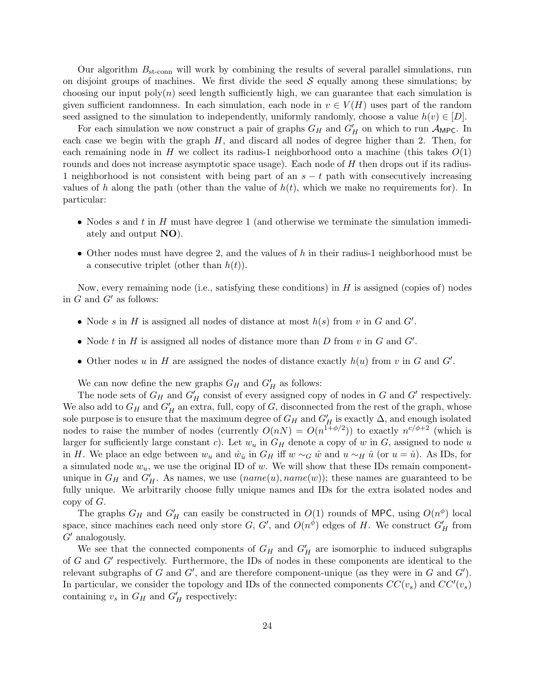Our algorithm  $B_{\rm st-conn}$  will work by combining the results of several parallel simulations, run on disjoint groups of machines. We first divide the seed  $S$  equally among these simulations; by choosing our input  $poly(n)$  seed length sufficiently high, we can guarantee that each simulation is given sufficient randomness. In each simulation, each node in  $v \in V(H)$  uses part of the random seed assigned to the simulation to independently, uniformly randomly, choose a value  $h(v) \in [D]$ .

For each simulation we now construct a pair of graphs  $G_H$  and  $G'_H$  on which to run  $\mathcal{A}_{\mathsf{MPC}}$ . In each case we begin with the graph  $H$ , and discard all nodes of degree higher than 2. Then, for each remaining node in H we collect its radius-1 neighborhood onto a machine (this takes  $O(1)$ ) rounds and does not increase asymptotic space usage). Each node of H then drops out if its radius-1 neighborhood is not consistent with being part of an  $s - t$  path with consecutively increasing values of h along the path (other than the value of  $h(t)$ , which we make no requirements for). In particular:

- Nodes s and t in H must have degree 1 (and otherwise we terminate the simulation immediately and output NO).
- Other nodes must have degree 2, and the values of h in their radius-1 neighborhood must be a consecutive triplet (other than  $h(t)$ ).

Now, every remaining node (i.e., satisfying these conditions) in  $H$  is assigned (copies of) nodes in  $G$  and  $G'$  as follows:

- Node s in H is assigned all nodes of distance at most  $h(s)$  from v in G and G'.
- Node  $t$  in  $H$  is assigned all nodes of distance more than  $D$  from  $v$  in  $G$  and  $G'$ .
- Other nodes u in H are assigned the nodes of distance exactly  $h(u)$  from v in G and G'.

We can now define the new graphs  $G_H$  and  $G'_H$  as follows:

The node sets of  $G_H$  and  $G'_H$  consist of every assigned copy of nodes in G and G' respectively. We also add to  $G_H$  and  $G'_H$  an extra, full, copy of G, disconnected from the rest of the graph, whose sole purpose is to ensure that the maximum degree of  $G_H$  and  $G'_H$  is exactly  $\Delta$ , and enough isolated nodes to raise the number of nodes (currently  $O(nN) = O(n^{1+\phi/2})$ ) to exactly  $n^{c/\phi+2}$  (which is larger for sufficiently large constant c). Let  $w_u$  in  $G_H$  denote a copy of w in G, assigned to node u in H. We place an edge between  $w_u$  and  $\hat{w}_{\hat{u}}$  in  $G_H$  iff  $w \sim_G \hat{w}$  and  $u \sim_H \hat{u}$  (or  $u = \hat{u}$ ). As IDs, for a simulated node  $w_u$ , we use the original ID of w. We will show that these IDs remain componentunique in  $G_H$  and  $G'_H$ . As names, we use  $(name(u), name(w))$ ; these names are guaranteed to be fully unique. We arbitrarily choose fully unique names and IDs for the extra isolated nodes and copy of G.

The graphs  $G_H$  and  $G'_H$  can easily be constructed in  $O(1)$  rounds of MPC, using  $O(n^{\phi})$  local space, since machines each need only store  $G, G'$ , and  $O(n^{\phi})$  edges of H. We construct  $G'_{H}$  from  $G'$  analogously.

We see that the connected components of  $G_H$  and  $G'_H$  are isomorphic to induced subgraphs of G and G′ respectively. Furthermore, the IDs of nodes in these components are identical to the relevant subgraphs of G and  $G'$ , and are therefore component-unique (as they were in G and  $G'$ ). In particular, we consider the topology and IDs of the connected components  $CC(v_s)$  and  $CC'(v_s)$ containing  $v_s$  in  $G_H$  and  $G'_H$  respectively: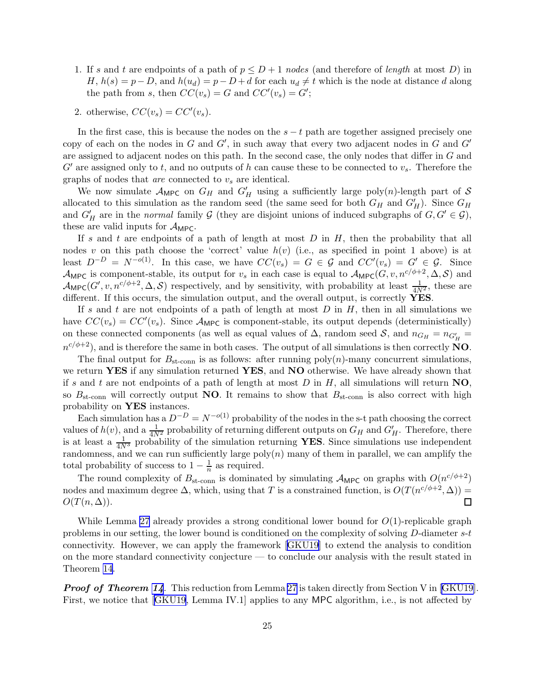- 1. If s and t are endpoints of a path of  $p \leq D+1$  nodes (and therefore of length at most D) in  $H, h(s) = p - D$ , and  $h(u_d) = p - D + d$  for each  $u_d \neq t$  which is the node at distance d along the path from s, then  $CC(v_s) = G$  and  $CC'(v_s) = G'$ ;
- 2. otherwise,  $CC(v_s) = CC'(v_s)$ .

In the first case, this is because the nodes on the  $s - t$  path are together assigned precisely one copy of each on the nodes in  $G$  and  $G'$ , in such away that every two adjacent nodes in  $G$  and  $G'$ are assigned to adjacent nodes on this path. In the second case, the only nodes that differ in G and  $G'$  are assigned only to t, and no outputs of h can cause these to be connected to  $v_s$ . Therefore the graphs of nodes that  $are$  connected to  $v_s$  are identical.

We now simulate  $\mathcal{A}_{\text{MPC}}$  on  $G_H$  and  $G'_H$  using a sufficiently large poly $(n)$ -length part of S allocated to this simulation as the random seed (the same seed for both  $G_H$  and  $G'_H$ ). Since  $G_H$ and  $G'_H$  are in the normal family  $\mathcal G$  (they are disjoint unions of induced subgraphs of  $G, G' \in \mathcal G$ ), these are valid inputs for  $\mathcal{A}_{\text{MPC}}$ .

If s and t are endpoints of a path of length at most  $D$  in  $H$ , then the probability that all nodes v on this path choose the 'correct' value  $h(v)$  (i.e., as specified in point 1 above) is at least  $D^{-D} = N^{-o(1)}$ . In this case, we have  $CC(v_s) = G \in \mathcal{G}$  and  $CC'(v_s) = G' \in \mathcal{G}$ . Since  $\mathcal{A}_{\mathsf{MPC}}$  is component-stable, its output for  $v_s$  in each case is equal to  $\mathcal{A}_{\mathsf{MPC}}(G, v, n^{c/\phi+2}, \Delta, \mathcal{S})$  and  $\mathcal{A}_{\mathsf{MPC}}(G', v, n^{c/\phi+2}, \Delta, \mathcal{S})$  respectively, and by sensitivity, with probability at least  $\frac{1}{4N^2}$ , these are different. If this occurs, the simulation output, and the overall output, is correctly YES.

If s and t are not endpoints of a path of length at most  $D$  in  $H$ , then in all simulations we have  $CC(v_s) = CC'(v_s)$ . Since  $\mathcal{A}_{\text{MPC}}$  is component-stable, its output depends (deterministically) on these connected components (as well as equal values of  $\Delta$ , random seed  $\mathcal{S}$ , and  $n_{G_H} = n_{G'_H}$  $n^{c/\phi+2}$ ), and is therefore the same in both cases. The output of all simulations is then correctly NO.

The final output for  $B_{\rm st-conn}$  is as follows: after running poly(n)-many concurrent simulations, we return YES if any simulation returned YES, and NO otherwise. We have already shown that if s and t are not endpoints of a path of length at most D in H, all simulations will return  $NO$ , so  $B_{\rm st-conn}$  will correctly output **NO**. It remains to show that  $B_{\rm st-conn}$  is also correct with high probability on YES instances.

Each simulation has a  $D^{-D} = N^{-o(1)}$  probability of the nodes in the s-t path choosing the correct values of  $h(v)$ , and a  $\frac{1}{4N^2}$  probability of returning different outputs on  $G_H$  and  $G'_H$ . Therefore, there is at least a  $\frac{1}{4N^3}$  probability of the simulation returning YES. Since simulations use independent randomness, and we can run sufficiently large  $poly(n)$  many of them in parallel, we can amplify the total probability of success to  $1 - \frac{1}{n}$  $\frac{1}{n}$  as required.

The round complexity of  $B_{\rm st-conn}$  is dominated by simulating  $\mathcal{A}_{\rm MPC}$  on graphs with  $O(n^{c/\phi+2})$ nodes and maximum degree  $\Delta$ , which, using that T is a constrained function, is  $O(T(n^{c/\phi+2}, \Delta))$  =  $\Box$  $O(T(n,\Delta)).$ 

While Lemma [27](#page-23-0) already provides a strong conditional lower bound for  $O(1)$ -replicable graph problems in our setting, the lower bound is conditioned on the complexity of solving D-diameter s-t connectivity. However, we can apply the framework[[GKU19\]](#page-43-0) to extend the analysis to condition on the more standard connectivity conjecture — to conclude our analysis with the result stated in Theorem [14.](#page-16-0)

**Proof of Theorem [14](#page-16-0).** This reduction from Lemma [27](#page-23-0)is taken directly from Section V in [[GKU19](#page-43-0)]. First, we notice that[[GKU19](#page-43-0), Lemma IV.1] applies to any MPC algorithm, i.e., is not affected by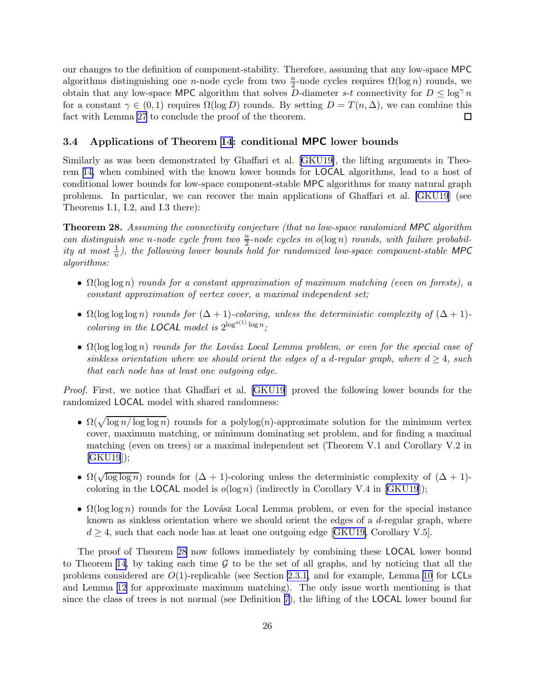<span id="page-26-0"></span>our changes to the definition of component-stability. Therefore, assuming that any low-space MPC algorithms distinguishing one *n*-node cycle from two  $\frac{n}{2}$ -node cycles requires  $\Omega(\log n)$  rounds, we obtain that any low-space MPC algorithm that solves D-diameter s-t connectivity for  $D \leq \log^{\gamma} n$ for a constant  $\gamma \in (0,1)$  requires  $\Omega(\log D)$  rounds. By setting  $D = T(n, \Delta)$ , we can combine this fact with Lemma 27 to conclude the proof of the theorem. fact with Lemma [27](#page-23-0) to conclude the proof of the theorem.

# 3.4 Applications of Theorem [14](#page-16-0): conditional MPC lower bounds

Similarly as was been demonstrated by Ghaffari et al.[[GKU19\]](#page-43-0), the lifting arguments in Theorem [14,](#page-16-0) when combined with the known lower bounds for LOCAL algorithms, lead to a host of conditional lower bounds for low-space component-stable MPC algorithms for many natural graph problems. In particular, we can recover the main applications of Ghaffari et al. [\[GKU19](#page-43-0)] (see Theorems I.1, I.2, and I.3 there):

Theorem 28. Assuming the connectivity conjecture (that no low-space randomized MPC algorithm can distinguish one n-node cycle from two  $\frac{n}{2}$ -node cycles in  $o(\log n)$  rounds, with failure probability at most  $\frac{1}{n}$ ), the following lower bounds hold for randomized low-space component-stable MPC algorithms:

- $\Omega(\log \log n)$  rounds for a constant approximation of maximum matching (even on forests), a constant approximation of vertex cover, a maximal independent set;
- $\Omega(\log \log \log n)$  rounds for  $(\Delta + 1)$ -coloring, unless the deterministic complexity of  $(\Delta + 1)$ coloring in the **LOCAL** model is  $2^{\log^{o(1)} \log n}$ ;
- $\Omega(\log \log \log n)$  rounds for the Lovász Local Lemma problem, or even for the special case of sinkless orientation where we should orient the edges of a d-regular graph, where  $d \geq 4$ , such that each node has at least one outgoing edge.

Proof. First, we notice that Ghaffari et al. [\[GKU19](#page-43-0)] proved the following lower bounds for the randomized LOCAL model with shared randomness:

- $\Omega(\sqrt{\log n/\log \log n})$  rounds for a polylog(n)-approximate solution for the minimum vertex cover, maximum matching, or minimum dominating set problem, and for finding a maximal matching (even on trees) or a maximal independent set (Theorem V.1 and Corollary V.2 in [\[GKU19](#page-43-0)]);
- $\Omega(\sqrt{\log \log n})$  rounds for  $(\Delta + 1)$ -coloring unless the deterministic complexity of  $(\Delta + 1)$ coloring in the LOCAL model is  $o(\log n)$  (indirectly in Corollary V.4 in [\[GKU19](#page-43-0)]);
- $\Omega(\log \log n)$  rounds for the Lovász Local Lemma problem, or even for the special instance known as sinkless orientation where we should orient the edges of a  $d$ -regular graph, where  $d \geq 4$  $d \geq 4$  $d \geq 4$ , such that each node has at least one outgoing edge [[GKU19,](#page-43-0) Corollary V.5].

The proof of Theorem 28 now follows immediately by combining these LOCAL lower bound to Theorem [14](#page-16-0), by taking each time  $\mathcal G$  to be the set of all graphs, and by noticing that all the problems considered are  $O(1)$ -replicable (see Section [2.3.1,](#page-12-0) and for example, Lemma [10](#page-13-0) for LCLs and Lemma [12](#page-14-0) for approximate maximum matching). The only issue worth mentioning is that since the class of trees is not normal (see Definition [7\)](#page-11-0), the lifting of the LOCAL lower bound for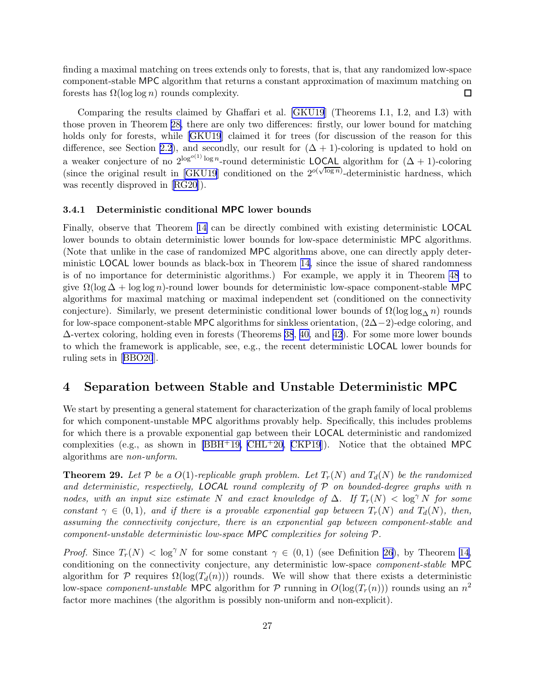<span id="page-27-0"></span>finding a maximal matching on trees extends only to forests, that is, that any randomized low-space component-stable MPC algorithm that returns a constant approximation of maximum matching on forests has  $\Omega(\log \log n)$  rounds complexity.  $\Box$ 

Comparing the results claimed by Ghaffari et al. [\[GKU19](#page-43-0)] (Theorems I.1, I.2, and I.3) with those proven in Theorem [28,](#page-26-0) there are only two differences: firstly, our lower bound for matching holds only for forests, while [\[GKU19](#page-43-0)] claimed it for trees (for discussion of the reason for this difference, see Section [2.2](#page-10-0)), and secondly, our result for  $(\Delta + 1)$ -coloring is updated to hold on a weaker conjecture of no  $2^{\log^{o(1)} \log n}$ -round deterministic LOCAL algorithm for  $(\Delta + 1)$ -coloring (since the original result in [\[GKU19](#page-43-0)] conditioned on the  $2^{o(\sqrt{\log n})}$ -deterministic hardness, which was recently disproved in[[RG20](#page-45-0)]).

#### 3.4.1 Deterministic conditional MPC lower bounds

Finally, observe that Theorem [14](#page-16-0) can be directly combined with existing deterministic LOCAL lower bounds to obtain deterministic lower bounds for low-space deterministic MPC algorithms. (Note that unlike in the case of randomized MPC algorithms above, one can directly apply deterministic LOCAL lower bounds as black-box in Theorem [14,](#page-16-0) since the issue of shared randomness is of no importance for deterministic algorithms.) For example, we apply it in Theorem [48](#page-37-0) to give  $\Omega(\log \Delta + \log \log n)$ -round lower bounds for deterministic low-space component-stable MPC algorithms for maximal matching or maximal independent set (conditioned on the connectivity conjecture). Similarly, we present deterministic conditional lower bounds of  $\Omega(\log \log_{\Delta} n)$  rounds for low-space component-stable MPC algorithms for sinkless orientation,  $(2\Delta-2)$ -edge coloring, and ∆-vertex coloring, holding even in forests (Theorems [38](#page-32-0), [40,](#page-33-0) and [42\)](#page-34-0). For some more lower bounds to which the framework is applicable, see, e.g., the recent deterministic LOCAL lower bounds for ruling sets in[[BBO20](#page-42-0)].

# 4 Separation between Stable and Unstable Deterministic MPC

We start by presenting a general statement for characterization of the graph family of local problems for which component-unstable MPC algorithms provably help. Specifically, this includes problems for which there is a provable exponential gap between their LOCAL deterministic and randomized complexities (e.g., as shown in  $[BBH^+19, CHL^+20, CKP19]$  $[BBH^+19, CHL^+20, CKP19]$  $[BBH^+19, CHL^+20, CKP19]$  $[BBH^+19, CHL^+20, CKP19]$  $[BBH^+19, CHL^+20, CKP19]$ ). Notice that the obtained MPC algorithms are non-unform.

**Theorem 29.** Let P be a  $O(1)$ -replicable graph problem. Let  $T_r(N)$  and  $T_d(N)$  be the randomized and deterministic, respectively, **LOCAL** round complexity of  $P$  on bounded-degree graphs with n nodes, with an input size estimate N and exact knowledge of  $\Delta$ . If  $T_r(N) < \log^{\gamma} N$  for some constant  $\gamma \in (0,1)$ , and if there is a provable exponential gap between  $T_r(N)$  and  $T_d(N)$ , then, assuming the connectivity conjecture, there is an exponential gap between component-stable and component-unstable deterministic low-space MPC complexities for solving <sup>P</sup>.

*Proof.* Since  $T_r(N) < \log^{\gamma} N$  for some constant  $\gamma \in (0,1)$  (see Definition [26\)](#page-22-0), by Theorem [14,](#page-16-0) conditioning on the connectivity conjecture, any deterministic low-space component-stable MPC algorithm for P requires  $\Omega(\log(T_d(n)))$  rounds. We will show that there exists a deterministic low-space *component-unstable* MPC algorithm for  $P$  running in  $O(\log(T_r(n)))$  rounds using an  $n^2$ factor more machines (the algorithm is possibly non-uniform and non-explicit).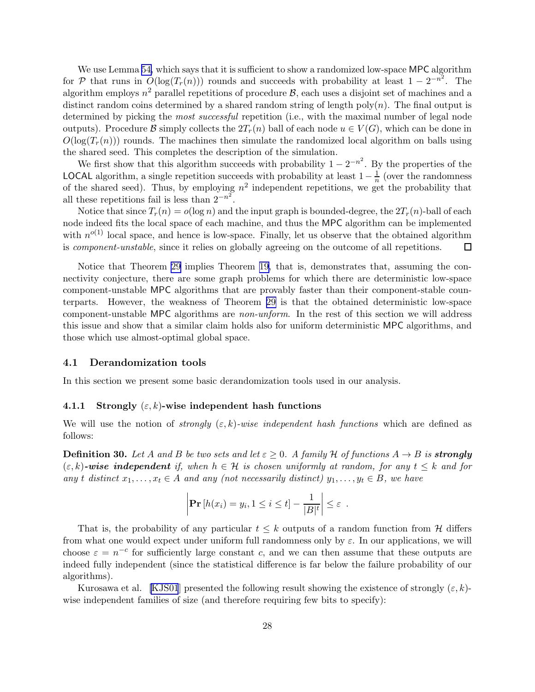<span id="page-28-0"></span>We use Lemma [54,](#page-40-0) which says that it is sufficient to show a randomized low-space MPC algorithm for P that runs in  $O(log(T_r(n)))$  rounds and succeeds with probability at least  $1 - 2^{-n^2}$ . The algorithm employs  $n^2$  parallel repetitions of procedure  $\mathcal{B}$ , each uses a disjoint set of machines and a distinct random coins determined by a shared random string of length poly $(n)$ . The final output is determined by picking the *most successful* repetition (i.e., with the maximal number of legal node outputs). Procedure B simply collects the  $2T_r(n)$  ball of each node  $u \in V(G)$ , which can be done in  $O(\log(T_r(n)))$  rounds. The machines then simulate the randomized local algorithm on balls using the shared seed. This completes the description of the simulation.

We first show that this algorithm succeeds with probability  $1 - 2^{-n^2}$ . By the properties of the **LOCAL** algorithm, a single repetition succeeds with probability at least  $1-\frac{1}{n}$  $\frac{1}{n}$  (over the randomness of the shared seed). Thus, by employing  $n^2$  independent repetitions, we get the probability that all these repetitions fail is less than  $2^{-n^2}$ .

Notice that since  $T_r(n) = o(\log n)$  and the input graph is bounded-degree, the  $2T_r(n)$ -ball of each node indeed fits the local space of each machine, and thus the MPC algorithm can be implemented with  $n^{o(1)}$  local space, and hence is low-space. Finally, let us observe that the obtained algorithm is component-unstable, since it relies on globally agreeing on the outcome of all repetitions. □

Notice that Theorem [29](#page-27-0) implies Theorem [19,](#page-18-0) that is, demonstrates that, assuming the connectivity conjecture, there are some graph problems for which there are deterministic low-space component-unstable MPC algorithms that are provably faster than their component-stable counterparts. However, the weakness of Theorem [29](#page-27-0) is that the obtained deterministic low-space component-unstable MPC algorithms are non-unform. In the rest of this section we will address this issue and show that a similar claim holds also for uniform deterministic MPC algorithms, and those which use almost-optimal global space.

### 4.1 Derandomization tools

In this section we present some basic derandomization tools used in our analysis.

#### 4.1.1 Strongly  $(\varepsilon, k)$ -wise independent hash functions

We will use the notion of strongly  $(\varepsilon, k)$ -wise independent hash functions which are defined as follows:

**Definition 30.** Let A and B be two sets and let  $\varepsilon \geq 0$ . A family H of functions  $A \to B$  is **strongly**  $(\varepsilon, k)$ -wise independent if, when  $h \in \mathcal{H}$  is chosen uniformly at random, for any  $t \leq k$  and for any t distinct  $x_1, \ldots, x_t \in A$  and any (not necessarily distinct)  $y_1, \ldots, y_t \in B$ , we have

$$
\left|\Pr\left[h(x_i) = y_i, 1 \leq i \leq t\right] - \frac{1}{|B|^t}\right| \leq \varepsilon.
$$

That is, the probability of any particular  $t \leq k$  outputs of a random function from H differs from what one would expect under uniform full randomness only by  $\varepsilon$ . In our applications, we will choose  $\varepsilon = n^{-c}$  for sufficiently large constant c, and we can then assume that these outputs are indeed fully independent (since the statistical difference is far below the failure probability of our algorithms).

Kurosawa et al. [\[KJS01](#page-44-0)] presented the following result showing the existence of strongly  $(\varepsilon, k)$ wise independent families of size (and therefore requiring few bits to specify):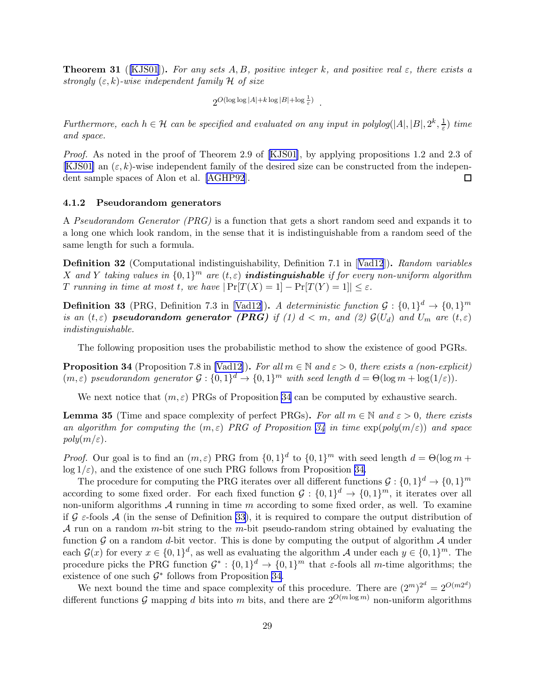<span id="page-29-0"></span>**Theorem 31** ([\[KJS01](#page-44-0)]). For any sets A, B, positive integer k, and positive real  $\varepsilon$ , there exists a strongly  $(\varepsilon, k)$ -wise independent family H of size

$$
2^{O(\log\log|A|+k\log|B|+\log\frac{1}{\varepsilon})}.
$$

Furthermore, each  $h \in \mathcal{H}$  can be specified and evaluated on any input in polylog(|A|, |B|, 2<sup>k</sup>,  $\frac{1}{\varepsilon}$  $(\frac{1}{\varepsilon})$  time and space.

Proof.As noted in the proof of Theorem 2.9 of [[KJS01\]](#page-44-0), by applying propositions 1.2 and 2.3 of [\[KJS01](#page-44-0)] an  $(\varepsilon, k)$ -wise independent family of the desired size can be constructed from the independent sample spaces of Alon et al. [\[AGHP92](#page-41-0)].  $\Box$ 

#### 4.1.2 Pseudorandom generators

A Pseudorandom Generator (PRG) is a function that gets a short random seed and expands it to a long one which look random, in the sense that it is indistinguishable from a random seed of the same length for such a formula.

**Definition32** (Computational indistinguishability, Definition 7.1 in [[Vad12](#page-45-0)]). Random variables X and Y taking values in  $\{0,1\}^m$  are  $(t,\varepsilon)$  **indistinguishable** if for every non-uniform algorithm T running in time at most t, we have  $|\Pr[T(X) = 1] - \Pr[T(Y) = 1]| \leq \varepsilon$ .

**Definition 33** (PRG, Definition 7.3 in [\[Vad12\]](#page-45-0)). A deterministic function  $\mathcal{G}: \{0,1\}^d \to \{0,1\}^m$ is an  $(t, \varepsilon)$  pseudorandom generator (PRG) if (1)  $d < m$ , and (2)  $\mathcal{G}(U_d)$  and  $U_m$  are  $(t, \varepsilon)$ indistinguishable.

The following proposition uses the probabilistic method to show the existence of good PGRs.

**Proposition 34** (Proposition 7.8 in [\[Vad12](#page-45-0)]). For all  $m \in \mathbb{N}$  and  $\varepsilon > 0$ , there exists a (non-explicit)  $(m, \varepsilon)$  pseudorandom generator  $\mathcal{G}: \{0,1\}^d \to \{0,1\}^m$  with seed length  $d = \Theta(\log m + \log(1/\varepsilon))$ .

We next notice that  $(m, \varepsilon)$  PRGs of Proposition 34 can be computed by exhaustive search.

**Lemma 35** (Time and space complexity of perfect PRGs). For all  $m \in \mathbb{N}$  and  $\varepsilon > 0$ , there exists an algorithm for computing the  $(m, \varepsilon)$  PRG of Proposition 34 in time  $\exp(\text{poly}(m/\varepsilon))$  and space  $poly(m/\varepsilon).$ 

*Proof.* Our goal is to find an  $(m, \varepsilon)$  PRG from  $\{0, 1\}^d$  to  $\{0, 1\}^m$  with seed length  $d = \Theta(\log m +$  $log 1/\epsilon$ , and the existence of one such PRG follows from Proposition 34.

The procedure for computing the PRG iterates over all different functions  $\mathcal{G}: \{0,1\}^d \to \{0,1\}^m$ according to some fixed order. For each fixed function  $G: \{0,1\}^d \to \{0,1\}^m$ , it iterates over all non-uniform algorithms  $A$  running in time  $m$  according to some fixed order, as well. To examine if  $\mathcal G$   $\epsilon$ -fools  $\mathcal A$  (in the sense of Definition 33), it is required to compare the output distribution of A run on a random m-bit string to the m-bit pseudo-random string obtained by evaluating the function  $\mathcal G$  on a random d-bit vector. This is done by computing the output of algorithm  $\mathcal A$  under each  $\mathcal{G}(x)$  for every  $x \in \{0,1\}^d$ , as well as evaluating the algorithm A under each  $y \in \{0,1\}^m$ . The procedure picks the PRG function  $\mathcal{G}^* : \{0,1\}^d \to \{0,1\}^m$  that  $\varepsilon$ -fools all m-time algorithms; the existence of one such  $\mathcal{G}^*$  follows from Proposition 34.

We next bound the time and space complexity of this procedure. There are  $(2^m)^{2^d} = 2^{O(m2^d)}$ different functions G mapping d bits into m bits, and there are  $2^{O(m \log m)}$  non-uniform algorithms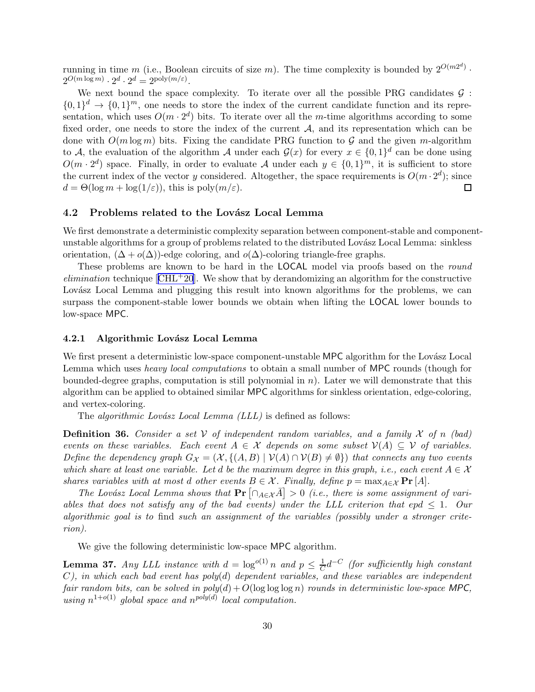<span id="page-30-0"></span>running in time m (i.e., Boolean circuits of size m). The time complexity is bounded by  $2^{O(m2^d)}$ .  $2^{O(m \log m)} \cdot 2^d \cdot 2^d = 2^{\text{poly}(m/\varepsilon)}.$ 

We next bound the space complexity. To iterate over all the possible PRG candidates  $\mathcal{G}$ :  $\{0,1\}^d \rightarrow \{0,1\}^m$ , one needs to store the index of the current candidate function and its representation, which uses  $O(m \cdot 2^d)$  bits. To iterate over all the *m*-time algorithms according to some fixed order, one needs to store the index of the current  $A$ , and its representation which can be done with  $O(m \log m)$  bits. Fixing the candidate PRG function to G and the given m-algorithm to A, the evaluation of the algorithm A under each  $\mathcal{G}(x)$  for every  $x \in \{0,1\}^d$  can be done using  $O(m \cdot 2^d)$  space. Finally, in order to evaluate A under each  $y \in \{0,1\}^m$ , it is sufficient to store the current index of the vector y considered. Altogether, the space requirements is  $O(m \cdot 2^d)$ ; since  $d = \Theta(\log m + \log(1/\varepsilon))$ , this is  $\text{poly}(m/\varepsilon)$ .  $\Box$ 

### 4.2 Problems related to the Lovász Local Lemma

We first demonstrate a deterministic complexity separation between component-stable and componentunstable algorithms for a group of problems related to the distributed Lovász Local Lemma: sinkless orientation,  $(\Delta + o(\Delta))$ -edge coloring, and  $o(\Delta)$ -coloring triangle-free graphs.

These problems are known to be hard in the LOCAL model via proofs based on the round *elimination*technique  $\text{[CHL}^+20\text{]}$  $\text{[CHL}^+20\text{]}$  $\text{[CHL}^+20\text{]}$ . We show that by derandomizing an algorithm for the constructive Lovász Local Lemma and plugging this result into known algorithms for the problems, we can surpass the component-stable lower bounds we obtain when lifting the LOCAL lower bounds to low-space MPC.

#### 4.2.1 Algorithmic Lovász Local Lemma

We first present a deterministic low-space component-unstable MPC algorithm for the Lovász Local Lemma which uses heavy local computations to obtain a small number of MPC rounds (though for bounded-degree graphs, computation is still polynomial in  $n$ ). Later we will demonstrate that this algorithm can be applied to obtained similar MPC algorithms for sinkless orientation, edge-coloring, and vertex-coloring.

The *algorithmic Lovász Local Lemma (LLL)* is defined as follows:

**Definition 36.** Consider a set  $V$  of independent random variables, and a family  $X$  of n (bad) events on these variables. Each event  $A \in \mathcal{X}$  depends on some subset  $\mathcal{V}(A) \subseteq \mathcal{V}$  of variables. Define the dependency graph  $G_{\mathcal{X}} = (\mathcal{X}, \{(A, B) \mid \mathcal{V}(A) \cap \mathcal{V}(B) \neq \emptyset\})$  that connects any two events which share at least one variable. Let d be the maximum degree in this graph, i.e., each event  $A \in \mathcal{X}$ shares variables with at most d other events  $B \in \mathcal{X}$ . Finally, define  $p = \max_{A \in \mathcal{X}} \Pr[A]$ .

The Lovász Local Lemma shows that  $\Pr[\bigcap_{A \in \mathcal{X}} \overline{A}] > 0$  (i.e., there is some assignment of variables that does not satisfy any of the bad events) under the LLL criterion that epd  $\leq 1$ . Our algorithmic goal is to find such an assignment of the variables (possibly under a stronger criterion).

We give the following deterministic low-space MPC algorithm.

**Lemma 37.** Any LLL instance with  $d = \log^{o(1)} n$  and  $p \leq \frac{1}{C}$  $\frac{1}{C}d^{-C}$  (for sufficiently high constant  $C$ ), in which each bad event has poly $(d)$  dependent variables, and these variables are independent fair random bits, can be solved in  $poly(d) + O(\log \log \log n)$  rounds in deterministic low-space MPC, using  $n^{1+o(1)}$  global space and  $n^{poly(d)}$  local computation.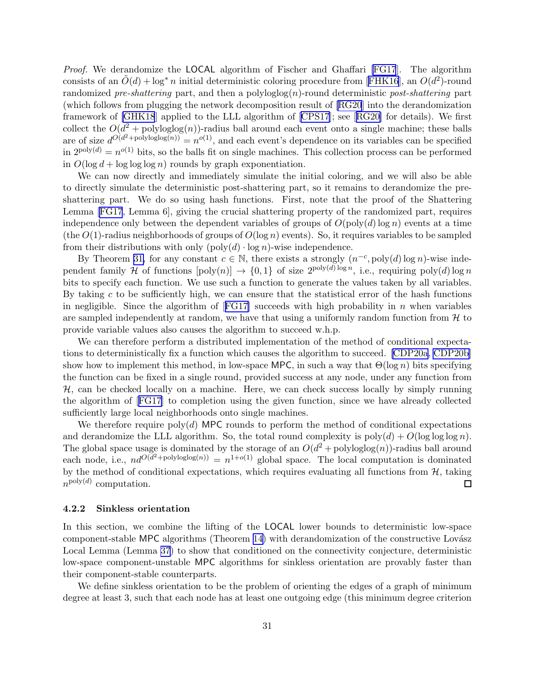<span id="page-31-0"></span>Proof. We derandomize the LOCAL algorithm of Fischer and Ghaffari [\[FG17](#page-43-0)]. The algorithm consistsof an  $\tilde{O}(d) + \log^* n$  initial deterministic coloring procedure from [[FHK16](#page-43-0)], an  $O(d^2)$ -round randomized pre-shattering part, and then a polyloglog $(n)$ -round deterministic post-shattering part (which follows from plugging the network decomposition result of [\[RG20](#page-45-0)] into the derandomization framework of [\[GHK18](#page-43-0)] applied to the LLL algorithm of[[CPS17](#page-43-0)]; see[[RG20](#page-45-0)] for details). We first collect the  $O(d^2 + \text{polyloglog}(n))$ -radius ball around each event onto a single machine; these balls are of size  $d^{O(d^2 + \text{polyloglog}(n))} = n^{O(1)}$ , and each event's dependence on its variables can be specified in  $2^{poly(d)} = n^{o(1)}$  bits, so the balls fit on single machines. This collection process can be performed in  $O(\log d + \log \log \log n)$  rounds by graph exponentiation.

We can now directly and immediately simulate the initial coloring, and we will also be able to directly simulate the deterministic post-shattering part, so it remains to derandomize the preshattering part. We do so using hash functions. First, note that the proof of the Shattering Lemma [\[FG17](#page-43-0), Lemma 6], giving the crucial shattering property of the randomized part, requires independence only between the dependent variables of groups of  $O(poly(d) log n)$  events at a time (the  $O(1)$ -radius neighborhoods of groups of  $O(\log n)$  events). So, it requires variables to be sampled from their distributions with only  $(\text{poly}(d) \cdot \log n)$ -wise independence.

By Theorem [31,](#page-28-0) for any constant  $c \in \mathbb{N}$ , there exists a strongly  $(n^{-c}, \text{poly}(d) \log n)$ -wise independent family H of functions  $[poly(n)] \rightarrow \{0,1\}$  of size  $2^{poly(d) \log n}$ , i.e., requiring  $poly(d) \log n$ bits to specify each function. We use such a function to generate the values taken by all variables. By taking c to be sufficiently high, we can ensure that the statistical error of the hash functions innegligible. Since the algorithm of  $[FG17]$  $[FG17]$  succeeds with high probability in n when variables are sampled independently at random, we have that using a uniformly random function from  $\mathcal{H}$  to provide variable values also causes the algorithm to succeed w.h.p.

We can therefore perform a distributed implementation of the method of conditional expectations to deterministically fix a function which causes the algorithm to succeed. [\[CDP20a](#page-42-0), [CDP20b\]](#page-42-0) show how to implement this method, in low-space MPC, in such a way that  $\Theta(\log n)$  bits specifying the function can be fixed in a single round, provided success at any node, under any function from  $H$ , can be checked locally on a machine. Here, we can check success locally by simply running the algorithm of[[FG17\]](#page-43-0) to completion using the given function, since we have already collected sufficiently large local neighborhoods onto single machines.

We therefore require poly(d) MPC rounds to perform the method of conditional expectations and derandomize the LLL algorithm. So, the total round complexity is  $poly(d) + O(\log \log \log n)$ . The global space usage is dominated by the storage of an  $O(d^2 + \text{polyloglog}(n))$ -radius ball around each node, i.e.,  $nd^{O(d^2 + polyloglog(n))} = n^{1+o(1)}$  global space. The local computation is dominated by the method of conditional expectations, which requires evaluating all functions from  $H$ , taking  $n^{\text{poly}(d)}$  computation.  $n^{\text{poly}(d)}$  computation.

### 4.2.2 Sinkless orientation

In this section, we combine the lifting of the LOCAL lower bounds to deterministic low-space component-stable MPC algorithms (Theorem [14\)](#page-16-0) with derandomization of the constructive Lovász Local Lemma (Lemma [37\)](#page-30-0) to show that conditioned on the connectivity conjecture, deterministic low-space component-unstable MPC algorithms for sinkless orientation are provably faster than their component-stable counterparts.

We define sinkless orientation to be the problem of orienting the edges of a graph of minimum degree at least 3, such that each node has at least one outgoing edge (this minimum degree criterion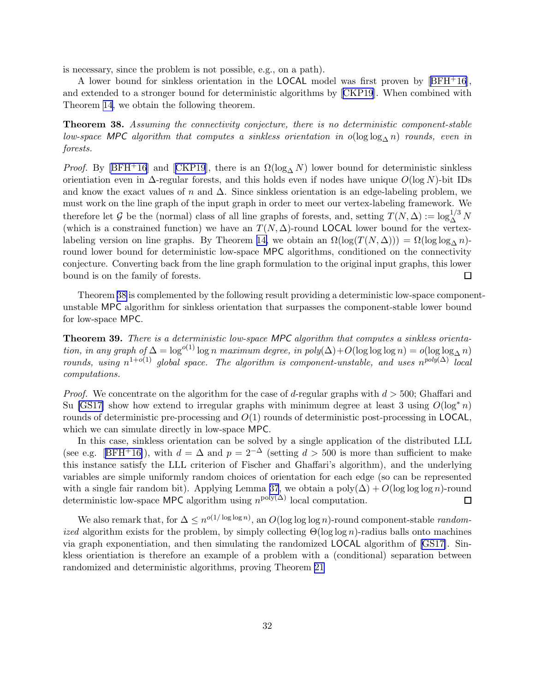<span id="page-32-0"></span>is necessary, since the problem is not possible, e.g., on a path).

A lower bound for sinkless orientation in the LOCAL model was first proven by[[BFH](#page-42-0)+16], and extended to a stronger bound for deterministic algorithms by[[CKP19](#page-42-0)]. When combined with Theorem [14,](#page-16-0) we obtain the following theorem.

Theorem 38. Assuming the connectivity conjecture, there is no deterministic component-stable low-space MPC algorithm that computes a sinkless orientation in o(log log<sub>∧</sub> n) rounds, even in forests.

*Proof.* By [\[BFH](#page-42-0)<sup>+</sup>16]and [[CKP19](#page-42-0)], there is an  $\Omega(\log_{\Delta} N)$  lower bound for deterministic sinkless orientiation even in  $\Delta$ -regular forests, and this holds even if nodes have unique  $O(\log N)$ -bit IDs and know the exact values of n and  $\Delta$ . Since sinkless orientation is an edge-labeling problem, we must work on the line graph of the input graph in order to meet our vertex-labeling framework. We therefore let G be the (normal) class of all line graphs of forests, and, setting  $T(N, \Delta) := \log_{\Delta}^{1/3} N$ (which is a constrained function) we have an  $T(N, \Delta)$ -round LOCAL lower bound for the vertex-labeling version on line graphs. By Theorem [14,](#page-16-0) we obtain an  $\Omega(\log(T(N,\Delta))) = \Omega(\log \log_{\Delta} n)$ round lower bound for deterministic low-space MPC algorithms, conditioned on the connectivity conjecture. Converting back from the line graph formulation to the original input graphs, this lower bound is on the family of forests.  $\Box$ 

Theorem 38 is complemented by the following result providing a deterministic low-space componentunstable MPC algorithm for sinkless orientation that surpasses the component-stable lower bound for low-space MPC.

Theorem 39. There is a deterministic low-space MPC algorithm that computes a sinkless orientation, in any graph of  $\Delta = \log^{o(1)} \log n$  maximum degree, in  $poly(\Delta) + O(\log \log \log n) = o(\log \log_{\Delta} n)$ rounds, using  $n^{1+o(1)}$  global space. The algorithm is component-unstable, and uses  $n^{poly(\Delta)}$  local computations.

*Proof.* We concentrate on the algorithm for the case of d-regular graphs with  $d > 500$ ; Ghaffari and Su [\[GS17\]](#page-43-0) show how extend to irregular graphs with minimum degree at least 3 using  $O(\log^* n)$ rounds of deterministic pre-processing and  $O(1)$  rounds of deterministic post-processing in LOCAL, which we can simulate directly in low-space MPC.

In this case, sinkless orientation can be solved by a single application of the distributed LLL (seee.g. [[BFH](#page-42-0)+16]), with  $d = \Delta$  and  $p = 2^{-\Delta}$  (setting  $d > 500$  is more than sufficient to make this instance satisfy the LLL criterion of Fischer and Ghaffari's algorithm), and the underlying variables are simple uniformly random choices of orientation for each edge (so can be represented with a single fair random bit). Applying Lemma [37](#page-30-0), we obtain a poly $(\Delta) + O(\log \log \log n)$ -round deterministic low-space MPC algorithm using  $n^{\text{poly}(\Delta)}$  local computation.  $\Box$ 

We also remark that, for  $\Delta \leq n^{o(1/\log \log n)}$ , an  $O(\log \log \log n)$ -round component-stable *randomized* algorithm exists for the problem, by simply collecting  $\Theta(\log \log n)$ -radius balls onto machines via graph exponentiation, and then simulating the randomized LOCAL algorithm of [\[GS17\]](#page-43-0). Sinkless orientiation is therefore an example of a problem with a (conditional) separation between randomized and deterministic algorithms, proving Theorem [21](#page-19-0)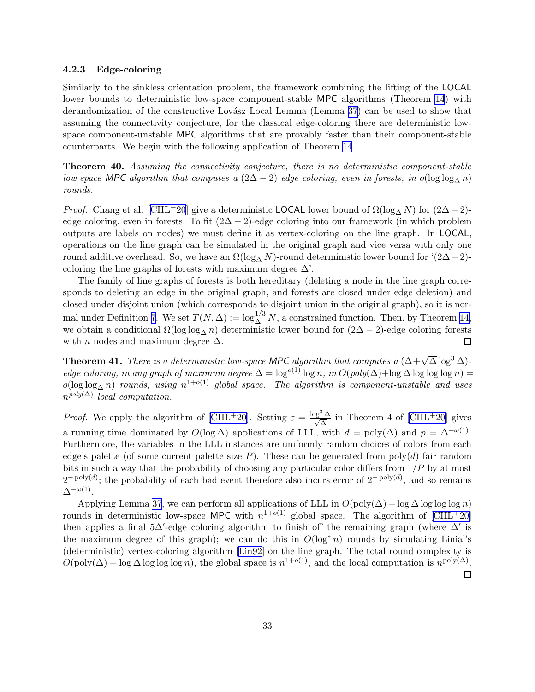### <span id="page-33-0"></span>4.2.3 Edge-coloring

Similarly to the sinkless orientation problem, the framework combining the lifting of the LOCAL lower bounds to deterministic low-space component-stable MPC algorithms (Theorem [14](#page-16-0)) with derandomization of the constructive Lovász Local Lemma (Lemma [37](#page-30-0)) can be used to show that assuming the connectivity conjecture, for the classical edge-coloring there are deterministic lowspace component-unstable MPC algorithms that are provably faster than their component-stable counterparts. We begin with the following application of Theorem [14](#page-16-0).

Theorem 40. Assuming the connectivity conjecture, there is no deterministic component-stable low-space MPC algorithm that computes a  $(2\Delta - 2)$ -edge coloring, even in forests, in o(log log<sub>∧</sub> n) rounds.

*Proof.* Chang et al. [\[CHL](#page-42-0)<sup>+</sup>20] give a deterministic LOCAL lower bound of  $\Omega(\log_{\Lambda} N)$  for  $(2\Delta - 2)$ edge coloring, even in forests. To fit  $(2\Delta - 2)$ -edge coloring into our framework (in which problem outputs are labels on nodes) we must define it as vertex-coloring on the line graph. In LOCAL, operations on the line graph can be simulated in the original graph and vice versa with only one round additive overhead. So, we have an  $\Omega(\log_{\Lambda} N)$ -round deterministic lower bound for '(2∆−2)coloring the line graphs of forests with maximum degree  $\Delta'$ .

The family of line graphs of forests is both hereditary (deleting a node in the line graph corresponds to deleting an edge in the original graph, and forests are closed under edge deletion) and closed under disjoint union (which corresponds to disjoint union in the original graph), so it is nor-mal under Definition [7](#page-11-0). We set  $T(N, \Delta) := \log_{\Delta}^{1/3} N$ , a constrained function. Then, by Theorem [14,](#page-16-0) we obtain a conditional  $\Omega(\log \log_{\Delta} n)$  deterministic lower bound for  $(2\Delta - 2)$ -edge coloring forests with *n* nodes and maximum degree  $\Delta$ . with *n* nodes and maximum degree  $\Delta$ .

**Theorem 41.** There is a deterministic low-space MPC algorithm that computes a  $(\Delta + \sqrt{\Delta} \log^3 \Delta)$ edge coloring, in any graph of maximum degree  $\Delta = \log^{o(1)} \log n$ , in  $O(\text{poly}(\Delta) + \log \Delta \log \log \log n) =$  $o(\log\log_{\Delta} n)$  rounds, using  $n^{1+o(1)}$  global space. The algorithm is component-unstable and uses  $n^{poly(\Delta)}$  local computation.

*Proof.* We apply the algorithm of [\[CHL](#page-42-0)<sup>+</sup>20].Setting  $\varepsilon = \frac{\log^3 \Delta}{\sqrt{\Delta}}$  in Theorem 4 of [[CHL](#page-42-0)<sup>+</sup>20] gives a running time dominated by  $O(\log \Delta)$  applications of LLL, with  $d = \text{poly}(\Delta)$  and  $p = \Delta^{-\omega(1)}$ . Furthermore, the variables in the LLL instances are uniformly random choices of colors from each edge's palette (of some current palette size  $P$ ). These can be generated from poly(d) fair random bits in such a way that the probability of choosing any particular color differs from  $1/P$  by at most  $2^{-\text{poly}(d)}$ ; the probability of each bad event therefore also incurs error of  $2^{-\text{poly}(d)}$ , and so remains  $\Delta^{-\omega(1)}$ .

Applying Lemma [37](#page-30-0), we can perform all applications of LLL in  $O(poly(\Delta) + log \Delta log log log n)$ rounds in deterministic low-space MPC with  $n^{1+o(1)}$  global space. The algorithm of  $\text{[CHL}^+20]$ then applies a final 5∆'-edge coloring algorithm to finish off the remaining graph (where  $\Delta'$  is the maximum degree of this graph); we can do this in  $O(\log^* n)$  rounds by simulating Linial's (deterministic) vertex-coloring algorithm [\[Lin92](#page-44-0)] on the line graph. The total round complexity is  $O(poly(\Delta) + \log \Delta \log \log \log n)$ , the global space is  $n^{1+o(1)}$ , and the local computation is  $n^{poly(\Delta)}$ .  $\Box$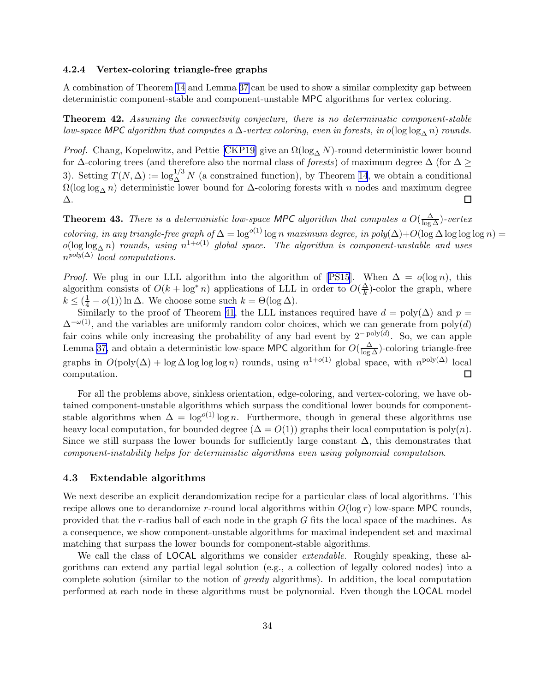#### <span id="page-34-0"></span>4.2.4 Vertex-coloring triangle-free graphs

A combination of Theorem [14](#page-16-0) and Lemma [37](#page-30-0) can be used to show a similar complexity gap between deterministic component-stable and component-unstable MPC algorithms for vertex coloring.

**Theorem 42.** Assuming the connectivity conjecture, there is no deterministic component-stable low-space MPC algorithm that computes a  $\Delta$ -vertex coloring, even in forests, in o(log log<sub> $\Delta$ </sub> n) rounds.

*Proof.*Chang, Kopelowitz, and Pettie [[CKP19\]](#page-42-0) give an  $\Omega(\log_{\Delta} N)$ -round deterministic lower bound for  $\Delta$ -coloring trees (and therefore also the normal class of *forests*) of maximum degree  $\Delta$  (for  $\Delta \geq$ 3). Setting  $T(N, \Delta) := \log_{\Delta}^{1/3} N$  (a constrained function), by Theorem [14](#page-16-0), we obtain a conditional  $\Omega(\log \log_{\Lambda} n)$  deterministic lower bound for  $\Delta$ -coloring forests with n nodes and maximum degree ∆. 囗

**Theorem 43.** There is a deterministic low-space MPC algorithm that computes a  $O(\frac{\Delta}{\log \Delta})$ -vertex coloring, in any triangle-free graph of  $\Delta = \log^{o(1)} \log n$  maximum degree, in poly $(\Delta) + O(\log \Delta \log \log \log n) =$  $o(\log\log_{\Delta} n)$  rounds, using  $n^{1+o(1)}$  global space. The algorithm is component-unstable and uses  $n^{poly(\Delta)}$  local computations.

*Proof.*We plug in our LLL algorithm into the algorithm of [[PS15](#page-44-0)]. When  $\Delta = o(\log n)$ , this algorithm consists of  $O(k + \log^* n)$  applications of LLL in order to  $O(\frac{\Delta}{k})$  $\frac{\Delta}{k}$ )-color the graph, where  $k \leq (\frac{1}{4} - o(1)) \ln \Delta$ . We choose some such  $k = \Theta(\log \Delta)$ .

Similarly to the proof of Theorem [41](#page-33-0), the LLL instances required have  $d = \text{poly}(\Delta)$  and  $p =$  $\Delta^{-\omega(1)}$ , and the variables are uniformly random color choices, which we can generate from poly(d) fair coins while only increasing the probability of any bad event by  $2^{-poly(d)}$ . So, we can apple Lemma [37,](#page-30-0) and obtain a deterministic low-space MPC algorithm for  $O(\frac{\Delta}{\log \Delta})$ -coloring triangle-free graphs in  $O(poly(\Delta) + log \Delta log log log n)$  rounds, using  $n^{1+o(1)}$  global space, with  $n^{poly(\Delta)}$  local computation.  $\Box$ 

For all the problems above, sinkless orientation, edge-coloring, and vertex-coloring, we have obtained component-unstable algorithms which surpass the conditional lower bounds for componentstable algorithms when  $\Delta = \log^{o(1)} \log n$ . Furthermore, though in general these algorithms use heavy local computation, for bounded degree  $(\Delta = O(1))$  graphs their local computation is poly $(n)$ . Since we still surpass the lower bounds for sufficiently large constant  $\Delta$ , this demonstrates that component-instability helps for deterministic algorithms even using polynomial computation.

# 4.3 Extendable algorithms

We next describe an explicit derandomization recipe for a particular class of local algorithms. This recipe allows one to derandomize r-round local algorithms within  $O(\log r)$  low-space MPC rounds, provided that the r-radius ball of each node in the graph G fits the local space of the machines. As a consequence, we show component-unstable algorithms for maximal independent set and maximal matching that surpass the lower bounds for component-stable algorithms.

We call the class of **LOCAL** algorithms we consider *extendable*. Roughly speaking, these algorithms can extend any partial legal solution (e.g., a collection of legally colored nodes) into a complete solution (similar to the notion of greedy algorithms). In addition, the local computation performed at each node in these algorithms must be polynomial. Even though the LOCAL model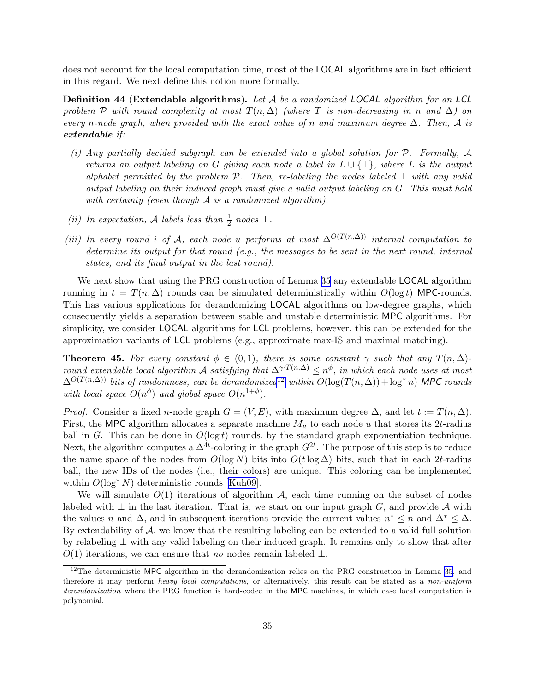<span id="page-35-0"></span>does not account for the local computation time, most of the LOCAL algorithms are in fact efficient in this regard. We next define this notion more formally.

**Definition 44 (Extendable algorithms).** Let  $A$  be a randomized LOCAL algorithm for an LCL problem P with round complexity at most  $T(n, \Delta)$  (where T is non-decreasing in n and  $\Delta$ ) on every n-node graph, when provided with the exact value of n and maximum degree  $\Delta$ . Then, A is extendable if:

- (i) Any partially decided subgraph can be extended into a global solution for P. Formally, A returns an output labeling on G giving each node a label in  $L \cup \{\perp\}$ , where L is the output alphabet permitted by the problem  $P$ . Then, re-labeling the nodes labeled  $\perp$  with any valid output labeling on their induced graph must give a valid output labeling on G. This must hold with certainty (even though  $A$  is a randomized algorithm).
- (ii) In expectation, A labels less than  $\frac{1}{2}$  nodes  $\perp$ .
- (iii) In every round i of A, each node u performs at most  $\Delta^{O(T(n,\Delta))}$  internal computation to determine its output for that round (e.g., the messages to be sent in the next round, internal states, and its final output in the last round).

We next show that using the PRG construction of Lemma [35](#page-29-0) any extendable LOCAL algorithm running in  $t = T(n, \Delta)$  rounds can be simulated deterministically within  $O(\log t)$  MPC-rounds. This has various applications for derandomizing LOCAL algorithms on low-degree graphs, which consequently yields a separation between stable and unstable deterministic MPC algorithms. For simplicity, we consider LOCAL algorithms for LCL problems, however, this can be extended for the approximation variants of LCL problems (e.g., approximate max-IS and maximal matching).

**Theorem 45.** For every constant  $\phi \in (0,1)$ , there is some constant  $\gamma$  such that any  $T(n,\Delta)$ round extendable local algorithm A satisfying that  $\Delta^{\gamma} T^{(n,\Delta)} \leq n^{\phi}$ , in which each node uses at most  $\Delta^{O(T(n,\Delta))}$  bits of randomness, can be derandomized<sup>12</sup> within  $O(\log(T(n,\Delta)) + \log^* n)$  MPC rounds with local space  $O(n^{\phi})$  and global space  $O(n^{1+\phi})$ .

*Proof.* Consider a fixed n-node graph  $G = (V, E)$ , with maximum degree  $\Delta$ , and let  $t := T(n, \Delta)$ . First, the MPC algorithm allocates a separate machine  $M_u$  to each node u that stores its 2t-radius ball in G. This can be done in  $O(\log t)$  rounds, by the standard graph exponentiation technique. Next, the algorithm computes a  $\Delta^{4t}$ -coloring in the graph  $G^{2t}$ . The purpose of this step is to reduce the name space of the nodes from  $O(\log N)$  bits into  $O(t \log \Delta)$  bits, such that in each 2t-radius ball, the new IDs of the nodes (i.e., their colors) are unique. This coloring can be implemented within $O(\log^* N)$  deterministic rounds [[Kuh09](#page-44-0)].

We will simulate  $O(1)$  iterations of algorithm A, each time running on the subset of nodes labeled with  $\perp$  in the last iteration. That is, we start on our input graph G, and provide A with the values n and  $\Delta$ , and in subsequent iterations provide the current values  $n^* \leq n$  and  $\Delta^* \leq \Delta$ . By extendability of  $\mathcal{A}$ , we know that the resulting labeling can be extended to a valid full solution by relabeling ⊥ with any valid labeling on their induced graph. It remains only to show that after  $O(1)$  iterations, we can ensure that no nodes remain labeled  $\perp$ .

 $12$ The deterministic MPC algorithm in the derandomization relies on the PRG construction in Lemma [35](#page-29-0), and therefore it may perform heavy local computations, or alternatively, this result can be stated as a non-uniform derandomization where the PRG function is hard-coded in the MPC machines, in which case local computation is polynomial.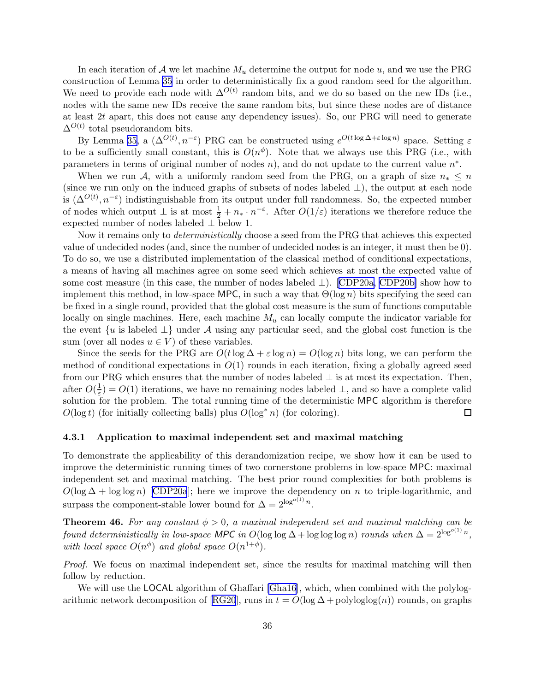<span id="page-36-0"></span>In each iteration of  $A$  we let machine  $M_u$  determine the output for node  $u$ , and we use the PRG construction of Lemma [35](#page-29-0) in order to deterministically fix a good random seed for the algorithm. We need to provide each node with  $\Delta^{O(t)}$  random bits, and we do so based on the new IDs (i.e., nodes with the same new IDs receive the same random bits, but since these nodes are of distance at least 2t apart, this does not cause any dependency issues). So, our PRG will need to generate  $\Delta^{O(t)}$  total pseudorandom bits.

By Lemma [35,](#page-29-0) a  $(\Delta^{O(t)}, n^{-\epsilon})$  PRG can be constructed using  $e^{O(t \log \Delta + \epsilon \log n)}$  space. Setting  $\varepsilon$ to be a sufficiently small constant, this is  $O(n^{\phi})$ . Note that we always use this PRG (i.e., with parameters in terms of original number of nodes  $n$ ), and do not update to the current value  $n^*$ .

When we run A, with a uniformly random seed from the PRG, on a graph of size  $n_* \leq n$ (since we run only on the induced graphs of subsets of nodes labeled  $\perp$ ), the output at each node is  $(\Delta^{O(t)}, n^{-\epsilon})$  indistinguishable from its output under full randomness. So, the expected number of nodes which output  $\perp$  is at most  $\frac{1}{2} + n_* \cdot n^{-\epsilon}$ . After  $O(1/\epsilon)$  iterations we therefore reduce the expected number of nodes labeled ⊥ below 1.

Now it remains only to *deterministically* choose a seed from the PRG that achieves this expected value of undecided nodes (and, since the number of undecided nodes is an integer, it must then be 0). To do so, we use a distributed implementation of the classical method of conditional expectations, a means of having all machines agree on some seed which achieves at most the expected value of some cost measure (in this case, the number of nodes labeled ⊥).[[CDP20a, CDP20b\]](#page-42-0) show how to implement this method, in low-space MPC, in such a way that  $\Theta(\log n)$  bits specifying the seed can be fixed in a single round, provided that the global cost measure is the sum of functions computable locally on single machines. Here, each machine  $M_u$  can locally compute the indicator variable for the event  $\{u \text{ is labeled } \perp\}$  under A using any particular seed, and the global cost function is the sum (over all nodes  $u \in V$ ) of these variables.

Since the seeds for the PRG are  $O(t \log \Delta + \varepsilon \log n) = O(\log n)$  bits long, we can perform the method of conditional expectations in  $O(1)$  rounds in each iteration, fixing a globally agreed seed from our PRG which ensures that the number of nodes labeled  $\perp$  is at most its expectation. Then, after  $O(\frac{1}{\varepsilon})$  $\frac{1}{\varepsilon}$ ) =  $O(1)$  iterations, we have no remaining nodes labeled  $\perp$ , and so have a complete valid solution for the problem. The total running time of the deterministic MPC algorithm is therefore  $O(\log t)$  (for initially collecting balls) plus  $O(\log^* n)$  (for coloring).  $\Box$ 

### 4.3.1 Application to maximal independent set and maximal matching

To demonstrate the applicability of this derandomization recipe, we show how it can be used to improve the deterministic running times of two cornerstone problems in low-space MPC: maximal independent set and maximal matching. The best prior round complexities for both problems is  $O(\log \Delta + \log \log n)$  $O(\log \Delta + \log \log n)$  $O(\log \Delta + \log \log n)$  [[CDP20a](#page-42-0)]; here we improve the dependency on n to triple-logarithmic, and surpass the component-stable lower bound for  $\Delta = 2^{\log^{o(1)} n}$ .

**Theorem 46.** For any constant  $\phi > 0$ , a maximal independent set and maximal matching can be found deterministically in low-space MPC in  $O(\log \log \Delta + \log \log \log n)$  rounds when  $\Delta = 2^{\log^{o(1)} n}$ , with local space  $O(n^{\phi})$  and global space  $O(n^{1+\phi})$ .

Proof. We focus on maximal independent set, since the results for maximal matching will then follow by reduction.

We will use the LOCAL algorithm of Ghaffari [\[Gha16](#page-43-0)], which, when combined with the polylog-arithmic network decomposition of [\[RG20](#page-45-0)], runs in  $t = O(\log \Delta + \text{polyloglog}(n))$  rounds, on graphs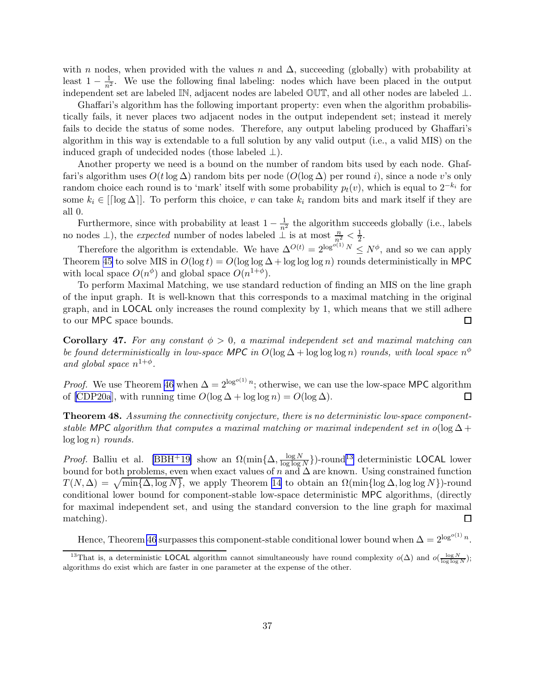<span id="page-37-0"></span>with n nodes, when provided with the values n and  $\Delta$ , succeeding (globally) with probability at least  $1 - \frac{1}{n^2}$ . We use the following final labeling: nodes which have been placed in the output independent set are labeled IN, adjacent nodes are labeled OUT, and all other nodes are labeled ⊥.

Ghaffari's algorithm has the following important property: even when the algorithm probabilistically fails, it never places two adjacent nodes in the output independent set; instead it merely fails to decide the status of some nodes. Therefore, any output labeling produced by Ghaffari's algorithm in this way is extendable to a full solution by any valid output (i.e., a valid MIS) on the induced graph of undecided nodes (those labeled  $\perp$ ).

Another property we need is a bound on the number of random bits used by each node. Ghaffari's algorithm uses  $O(t \log \Delta)$  random bits per node  $(O(\log \Delta))$  per round i), since a node v's only random choice each round is to 'mark' itself with some probability  $p_t(v)$ , which is equal to  $2^{-k_i}$  for some  $k_i \in [[\log \Delta]]$ . To perform this choice, v can take  $k_i$  random bits and mark itself if they are all 0.

Furthermore, since with probability at least  $1 - \frac{1}{n^2}$  the algorithm succeeds globally (i.e., labels no nodes  $\perp$ ), the *expected* number of nodes labeled  $\perp$  is at most  $\frac{n}{n_1^2} < \frac{1}{2}$  $\frac{1}{2}$ .

Therefore the algorithm is extendable. We have  $\Delta^{O(t)} = 2^{\log^{O(1)} N} \le N^{\phi}$ , and so we can apply Theorem [45](#page-35-0) to solve MIS in  $O(\log t) = O(\log \log \Delta + \log \log \log n)$  rounds deterministically in MPC with local space  $O(n^{\phi})$  and global space  $O(n^{1+\phi})$ .

To perform Maximal Matching, we use standard reduction of finding an MIS on the line graph of the input graph. It is well-known that this corresponds to a maximal matching in the original graph, and in LOCAL only increases the round complexity by 1, which means that we still adhere to our MPC space bounds.  $\Box$ 

Corollary 47. For any constant  $\phi > 0$ , a maximal independent set and maximal matching can be found deterministically in low-space MPC in  $O(\log \Delta + \log \log \log n)$  rounds, with local space  $n^{\phi}$ and global space  $n^{1+\phi}$ .

*Proof.* We use Theorem [46](#page-36-0) when  $\Delta = 2^{\log^{o(1)} n}$ ; otherwise, we can use the low-space MPC algorithm of [\[CDP20a](#page-42-0)], with running time  $O(\log \Delta + \log \log n) = O(\log \Delta)$ . □

Theorem 48. Assuming the connectivity conjecture, there is no deterministic low-space componentstable MPC algorithm that computes a maximal matching or maximal independent set in  $o(\log \Delta +$  $log log n$  rounds.

*Proof.* Balliu et al. [\[BBH](#page-42-0)<sup>+</sup>19] show an  $\Omega(\min{\lbrace \Delta, \frac{\log N}{\log \log n}\rbrace})$  $\frac{\log N}{\log \log N}$ )-round<sup>13</sup> deterministic LOCAL lower bound for both problems, even when exact values of n and  $\Delta$  are known. Using constrained function  $T(N, \Delta) = \sqrt{\min{\{\Delta, \log N\}}}$ , we apply Theorem [14](#page-16-0) to obtain an  $\Omega(\min{\log{\Delta}, \log \log N})$ -round conditional lower bound for component-stable low-space deterministic MPC algorithms, (directly for maximal independent set, and using the standard conversion to the line graph for maximal matching).  $\Box$ 

Hence, Theorem [46](#page-36-0) surpasses this component-stable conditional lower bound when  $\Delta = 2^{\log^{o(1)} n}$ .

<sup>&</sup>lt;sup>13</sup>That is, a deterministic LOCAL algorithm cannot simultaneously have round complexity  $o(\Delta)$  and  $o(\frac{\log N}{\log \log N})$ ; algorithms do exist which are faster in one parameter at the expense of the other.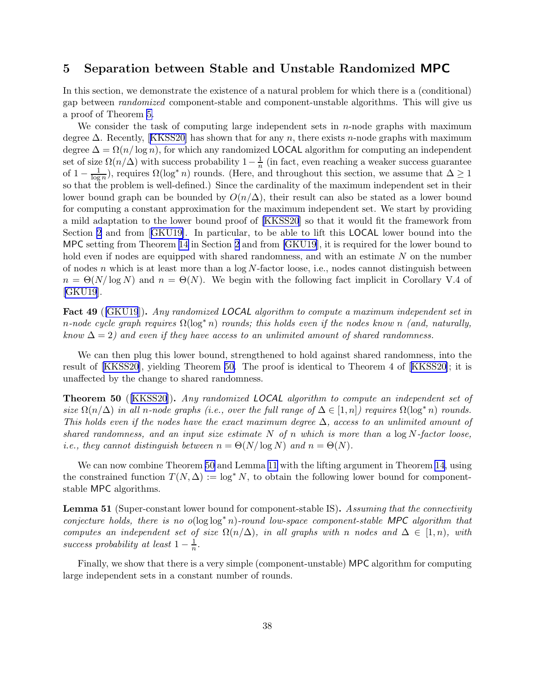# <span id="page-38-0"></span>5 Separation between Stable and Unstable Randomized MPC

In this section, we demonstrate the existence of a natural problem for which there is a (conditional) gap between randomized component-stable and component-unstable algorithms. This will give us a proof of Theorem [5.](#page-5-0)

We consider the task of computing large independent sets in  $n$ -node graphs with maximum degree $\Delta$ . Recently, [[KKSS20\]](#page-44-0) has shown that for any n, there exists n-node graphs with maximum degree  $\Delta = \Omega(n/\log n)$ , for which any randomized LOCAL algorithm for computing an independent set of size  $\Omega(n/\Delta)$  with success probability  $1-\frac{1}{n}$  $\frac{1}{n}$  (in fact, even reaching a weaker success guarantee of  $1 - \frac{1}{\log}$  $\frac{1}{\log n}$ ), requires  $\Omega(\log^* n)$  rounds. (Here, and throughout this section, we assume that  $\Delta \ge 1$ so that the problem is well-defined.) Since the cardinality of the maximum independent set in their lower bound graph can be bounded by  $O(n/\Delta)$ , their result can also be stated as a lower bound for computing a constant approximation for the maximum independent set. We start by providing a mild adaptation to the lower bound proof of [\[KKSS20](#page-44-0)] so that it would fit the framework from Section [2](#page-7-0) and from[[GKU19\]](#page-43-0). In particular, to be able to lift this LOCAL lower bound into the MPC setting from Theorem [14](#page-16-0) in Section [2](#page-7-0) and from [\[GKU19](#page-43-0)], it is required for the lower bound to hold even if nodes are equipped with shared randomness, and with an estimate N on the number of nodes n which is at least more than a  $log N$ -factor loose, i.e., nodes cannot distinguish between  $n = \Theta(N/\log N)$  and  $n = \Theta(N)$ . We begin with the following fact implicit in Corollary V.4 of [\[GKU19](#page-43-0)].

Fact 49 ([\[GKU19](#page-43-0)]). Any randomized LOCAL algorithm to compute a maximum independent set in n-node cycle graph requires  $\Omega(\log^* n)$  rounds; this holds even if the nodes know n (and, naturally, know  $\Delta = 2$ ) and even if they have access to an unlimited amount of shared randomness.

We can then plug this lower bound, strengthened to hold against shared randomness, into the result of[[KKSS20\]](#page-44-0), yielding Theorem 50. The proof is identical to Theorem 4 of[[KKSS20\]](#page-44-0); it is unaffected by the change to shared randomness.

Theorem 50 ([\[KKSS20](#page-44-0)]). Any randomized LOCAL algorithm to compute an independent set of size  $\Omega(n/\Delta)$  in all n-node graphs (i.e., over the full range of  $\Delta \in [1,n]$ ) requires  $\Omega(\log^* n)$  rounds. This holds even if the nodes have the exact maximum degree  $\Delta$ , access to an unlimited amount of shared randomness, and an input size estimate N of n which is more than a  $\log N$ -factor loose, *i.e.*, they cannot distinguish between  $n = \Theta(N/\log N)$  and  $n = \Theta(N)$ .

We can now combine Theorem 50 and Lemma [11](#page-13-0) with the lifting argument in Theorem [14](#page-16-0), using the constrained function  $T(N, \Delta) := \log^* N$ , to obtain the following lower bound for componentstable MPC algorithms.

Lemma 51 (Super-constant lower bound for component-stable IS). Assuming that the connectivity conjecture holds, there is no  $o(\log \log^* n)$ -round low-space component-stable MPC algorithm that computes an independent set of size  $\Omega(n/\Delta)$ , in all graphs with n nodes and  $\Delta \in [1,n)$ , with success probability at least  $1-\frac{1}{n}$  $\frac{1}{n}$ .

Finally, we show that there is a very simple (component-unstable) MPC algorithm for computing large independent sets in a constant number of rounds.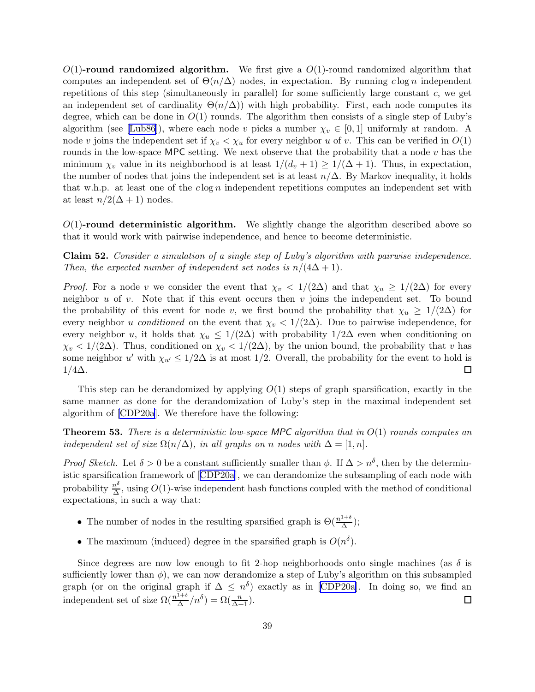<span id="page-39-0"></span> $O(1)$ -round randomized algorithm. We first give a  $O(1)$ -round randomized algorithm that computes an independent set of  $\Theta(n/\Delta)$  nodes, in expectation. By running clog n independent repetitions of this step (simultaneously in parallel) for some sufficiently large constant c, we get an independent set of cardinality  $\Theta(n/\Delta)$ ) with high probability. First, each node computes its degree, which can be done in  $O(1)$  rounds. The algorithm then consists of a single step of Luby's algorithm (see [\[Lub86](#page-44-0)]), where each node v picks a number  $\chi_v \in [0,1]$  uniformly at random. A node v joins the independent set if  $\chi_v < \chi_u$  for every neighbor u of v. This can be verified in  $O(1)$ rounds in the low-space MPC setting. We next observe that the probability that a node  $v$  has the minimum  $\chi_v$  value in its neighborhood is at least  $1/(d_v + 1) \geq 1/(\Delta + 1)$ . Thus, in expectation, the number of nodes that joins the independent set is at least  $n/\Delta$ . By Markov inequality, it holds that w.h.p. at least one of the  $c \log n$  independent repetitions computes an independent set with at least  $n/2(\Delta+1)$  nodes.

 $O(1)$ -round deterministic algorithm. We slightly change the algorithm described above so that it would work with pairwise independence, and hence to become deterministic.

Claim 52. Consider a simulation of a single step of Luby's algorithm with pairwise independence. Then, the expected number of independent set nodes is  $n/(4\Delta+1)$ .

*Proof.* For a node v we consider the event that  $\chi_v < 1/(2\Delta)$  and that  $\chi_u \geq 1/(2\Delta)$  for every neighbor u of v. Note that if this event occurs then v joins the independent set. To bound the probability of this event for node v, we first bound the probability that  $\chi_u \geq 1/(2\Delta)$  for every neighbor u conditioned on the event that  $\chi_v < 1/(2\Delta)$ . Due to pairwise independence, for every neighbor u, it holds that  $\chi_u \leq 1/(2\Delta)$  with probability  $1/2\Delta$  even when conditioning on  $\chi_v < 1/(2\Delta)$ . Thus, conditioned on  $\chi_v < 1/(2\Delta)$ , by the union bound, the probability that v has some neighbor u' with  $\chi_{u'} \leq 1/2\Delta$  is at most 1/2. Overall, the probability for the event to hold is  $1/4\Delta$ .

This step can be derandomized by applying  $O(1)$  steps of graph sparsification, exactly in the same manner as done for the derandomization of Luby's step in the maximal independent set algorithm of [\[CDP20a](#page-42-0)]. We therefore have the following:

**Theorem 53.** There is a deterministic low-space MPC algorithm that in  $O(1)$  rounds computes an independent set of size  $\Omega(n/\Delta)$ , in all graphs on n nodes with  $\Delta = [1, n]$ .

*Proof Sketch.* Let  $\delta > 0$  be a constant sufficiently smaller than  $\phi$ . If  $\Delta > n^{\delta}$ , then by the deterministic sparsification framework of[[CDP20a](#page-42-0)], we can derandomize the subsampling of each node with probability  $\frac{n^{\delta}}{\Delta}$  $\frac{h^{\circ}}{\Delta}$ , using  $O(1)$ -wise independent hash functions coupled with the method of conditional expectations, in such a way that:

- The number of nodes in the resulting sparsified graph is  $\Theta(\frac{n^{1+\delta}}{\Delta})$  $\frac{1}{\Delta}$ );
- The maximum (induced) degree in the sparsified graph is  $O(n^{\delta})$ .

Since degrees are now low enough to fit 2-hop neighborhoods onto single machines (as  $\delta$  is sufficiently lower than  $\phi$ ), we can now derandomize a step of Luby's algorithm on this subsampled graph(or on the original graph if  $\Delta \leq n^{\delta}$ ) exactly as in [[CDP20a\]](#page-42-0). In doing so, we find an independent set of size  $\Omega(\frac{n^{1+\delta}}{\Delta})$  $\frac{1+\delta}{\Delta}/n^{\delta}$ ) =  $\Omega(\frac{n}{\Delta+1})$ .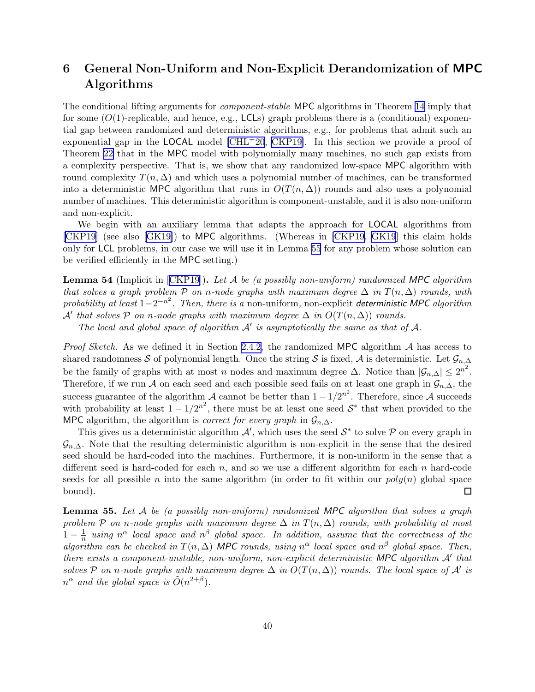# <span id="page-40-0"></span>6 General Non-Uniform and Non-Explicit Derandomization of MPC Algorithms

The conditional lifting arguments for component-stable MPC algorithms in Theorem [14](#page-16-0) imply that for some  $(O(1)$ -replicable, and hence, e.g., LCLs) graph problems there is a (conditional) exponential gap between randomized and deterministic algorithms, e.g., for problems that admit such an exponential gap in the **LOCAL** model  $\text{[CHL+20, CKP19]}$  $\text{[CHL+20, CKP19]}$  $\text{[CHL+20, CKP19]}$ . In this section we provide a proof of Theorem [22](#page-19-0) that in the MPC model with polynomially many machines, no such gap exists from a complexity perspective. That is, we show that any randomized low-space MPC algorithm with round complexity  $T(n, \Delta)$  and which uses a polynomial number of machines, can be transformed into a deterministic MPC algorithm that runs in  $O(T(n, \Delta))$  rounds and also uses a polynomial number of machines. This deterministic algorithm is component-unstable, and it is also non-uniform and non-explicit.

We begin with an auxiliary lemma that adapts the approach for LOCAL algorithms from [\[CKP19\]](#page-42-0) (see also[[GK19\]](#page-43-0)) to MPC algorithms. (Whereas in [\[CKP19](#page-42-0), [GK19](#page-43-0)] this claim holds only for LCL problems, in our case we will use it in Lemma 55 for any problem whose solution can be verified efficiently in the MPC setting.)

**Lemma54** (Implicit in  $[CKP19]$  $[CKP19]$  $[CKP19]$ ). Let A be (a possibly non-uniform) randomized MPC algorithm that solves a graph problem P on n-node graphs with maximum degree  $\Delta$  in  $T(n, \Delta)$  rounds, with probability at least  $1-2^{-n^2}$ . Then, there is a non-uniform, non-explicit deterministic MPC algorithm  $\mathcal{A}'$  that solves  $\mathcal P$  on n-node graphs with maximum degree  $\Delta$  in  $O(T(n,\Delta))$  rounds.

The local and global space of algorithm  $A'$  is asymptotically the same as that of  $A$ .

*Proof Sketch.* As we defined it in Section [2.4.2,](#page-15-0) the randomized MPC algorithm  $A$  has access to shared randomness S of polynomial length. Once the string S is fixed, A is deterministic. Let  $\mathcal{G}_{n,\Delta}$ be the family of graphs with at most n nodes and maximum degree  $\Delta$ . Notice than  $|\mathcal{G}_{n,\Delta}| \leq 2^{n^2}$ . Therefore, if we run A on each seed and each possible seed fails on at least one graph in  $\mathcal{G}_{n,\Delta}$ , the success guarantee of the algorithm  $\mathcal A$  cannot be better than  $1 - 1/2^{n^2}$ . Therefore, since  $\mathcal A$  succeeds with probability at least  $1 - 1/2^{n^2}$ , there must be at least one seed  $S^*$  that when provided to the MPC algorithm, the algorithm is *correct for every graph* in  $\mathcal{G}_{n,\Delta}$ .

This gives us a deterministic algorithm  $\mathcal{A}'$ , which uses the seed  $\mathcal{S}^*$  to solve  $\mathcal P$  on every graph in  $\mathcal{G}_{n,\Delta}$ . Note that the resulting deterministic algorithm is non-explicit in the sense that the desired seed should be hard-coded into the machines. Furthermore, it is non-uniform in the sense that a different seed is hard-coded for each  $n$ , and so we use a different algorithm for each  $n$  hard-code seeds for all possible n into the same algorithm (in order to fit within our  $poly(n)$  global space bound). □

**Lemma 55.** Let  $\mathcal{A}$  be (a possibly non-uniform) randomized MPC algorithm that solves a graph problem P on n-node graphs with maximum degree  $\Delta$  in  $T(n, \Delta)$  rounds, with probability at most  $1-\frac{1}{n}$  $\frac{1}{n}$  using  $n^{\alpha}$  local space and  $n^{\beta}$  global space. In addition, assume that the correctness of the algorithm can be checked in  $T(n, \Delta)$  MPC rounds, using  $n^{\alpha}$  local space and  $n^{\beta}$  global space. Then, there exists a component-unstable, non-uniform, non-explicit deterministic MPC algorithm A' that solves P on n-node graphs with maximum degree  $\Delta$  in  $O(T(n,\Delta))$  rounds. The local space of A' is  $n^{\alpha}$  and the global space is  $\tilde{O}(n^{2+\beta})$ .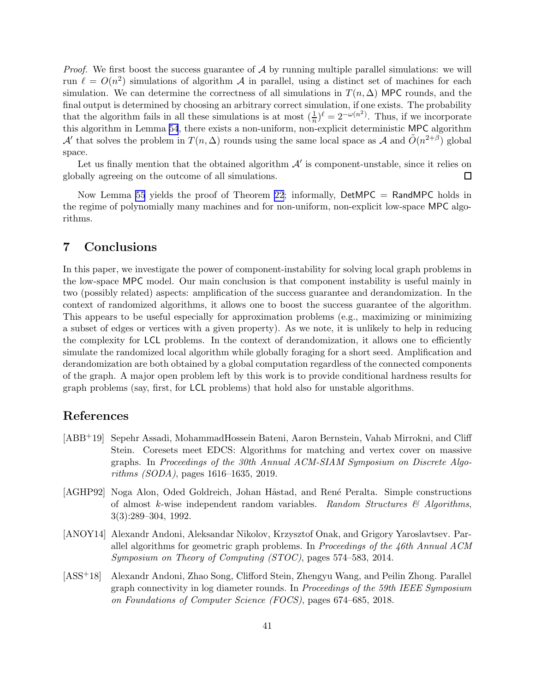<span id="page-41-0"></span>*Proof.* We first boost the success guarantee of  $A$  by running multiple parallel simulations: we will run  $\ell = O(n^2)$  simulations of algorithm A in parallel, using a distinct set of machines for each simulation. We can determine the correctness of all simulations in  $T(n, \Delta)$  MPC rounds, and the final output is determined by choosing an arbitrary correct simulation, if one exists. The probability that the algorithm fails in all these simulations is at most  $(\frac{1}{n})^{\ell} = 2^{-\omega(n^2)}$ . Thus, if we incorporate this algorithm in Lemma [54](#page-40-0), there exists a non-uniform, non-explicit deterministic MPC algorithm A' that solves the problem in  $T(n, \Delta)$  rounds using the same local space as A and  $\tilde{O}(n^{2+\beta})$  global space.

Let us finally mention that the obtained algorithm  $\mathcal{A}'$  is component-unstable, since it relies on globally agreeing on the outcome of all simulations.  $\Box$ 

Now Lemma [55](#page-40-0) yields the proof of Theorem [22](#page-19-0); informally,  $DetMPC = RandMPC$  holds in the regime of polynomially many machines and for non-uniform, non-explicit low-space MPC algorithms.

# 7 Conclusions

In this paper, we investigate the power of component-instability for solving local graph problems in the low-space MPC model. Our main conclusion is that component instability is useful mainly in two (possibly related) aspects: amplification of the success guarantee and derandomization. In the context of randomized algorithms, it allows one to boost the success guarantee of the algorithm. This appears to be useful especially for approximation problems (e.g., maximizing or minimizing a subset of edges or vertices with a given property). As we note, it is unlikely to help in reducing the complexity for LCL problems. In the context of derandomization, it allows one to efficiently simulate the randomized local algorithm while globally foraging for a short seed. Amplification and derandomization are both obtained by a global computation regardless of the connected components of the graph. A major open problem left by this work is to provide conditional hardness results for graph problems (say, first, for LCL problems) that hold also for unstable algorithms.

# References

- [ABB+19] Sepehr Assadi, MohammadHossein Bateni, Aaron Bernstein, Vahab Mirrokni, and Cliff Stein. Coresets meet EDCS: Algorithms for matching and vertex cover on massive graphs. In Proceedings of the 30th Annual ACM-SIAM Symposium on Discrete Algorithms (SODA), pages 1616–1635, 2019.
- [AGHP92] Noga Alon, Oded Goldreich, Johan Håstad, and René Peralta. Simple constructions of almost k-wise independent random variables. Random Structures  $\mathcal{B}$  Algorithms. 3(3):289–304, 1992.
- [ANOY14] Alexandr Andoni, Aleksandar Nikolov, Krzysztof Onak, and Grigory Yaroslavtsev. Parallel algorithms for geometric graph problems. In Proceedings of the 46th Annual ACM Symposium on Theory of Computing (STOC), pages 574–583, 2014.
- [ASS+18] Alexandr Andoni, Zhao Song, Clifford Stein, Zhengyu Wang, and Peilin Zhong. Parallel graph connectivity in log diameter rounds. In Proceedings of the 59th IEEE Symposium on Foundations of Computer Science (FOCS), pages 674–685, 2018.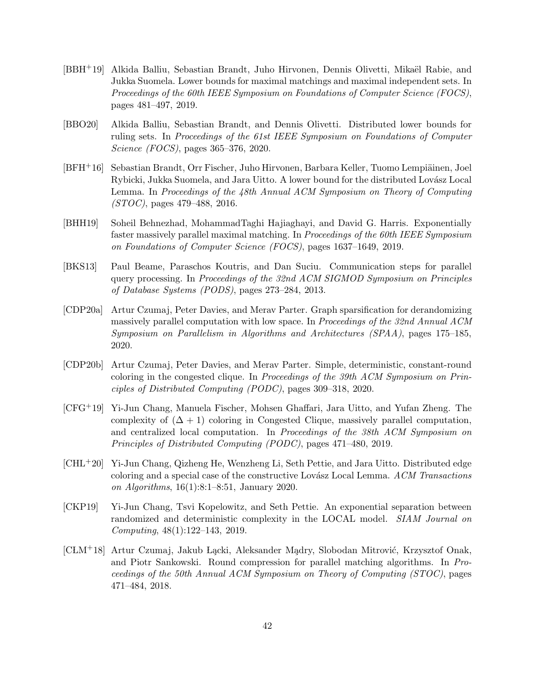- <span id="page-42-0"></span>[BBH<sup>+</sup>19] Alkida Balliu, Sebastian Brandt, Juho Hirvonen, Dennis Olivetti, Mikaël Rabie, and Jukka Suomela. Lower bounds for maximal matchings and maximal independent sets. In Proceedings of the 60th IEEE Symposium on Foundations of Computer Science (FOCS), pages 481–497, 2019.
- [BBO20] Alkida Balliu, Sebastian Brandt, and Dennis Olivetti. Distributed lower bounds for ruling sets. In Proceedings of the 61st IEEE Symposium on Foundations of Computer Science (FOCS), pages 365–376, 2020.
- [BFH<sup>+</sup>16] Sebastian Brandt, Orr Fischer, Juho Hirvonen, Barbara Keller, Tuomo Lempiäinen, Joel Rybicki, Jukka Suomela, and Jara Uitto. A lower bound for the distributed Lovász Local Lemma. In Proceedings of the 48th Annual ACM Symposium on Theory of Computing (STOC), pages 479–488, 2016.
- [BHH19] Soheil Behnezhad, MohammadTaghi Hajiaghayi, and David G. Harris. Exponentially faster massively parallel maximal matching. In Proceedings of the 60th IEEE Symposium on Foundations of Computer Science (FOCS), pages 1637–1649, 2019.
- [BKS13] Paul Beame, Paraschos Koutris, and Dan Suciu. Communication steps for parallel query processing. In Proceedings of the 32nd ACM SIGMOD Symposium on Principles of Database Systems (PODS), pages 273–284, 2013.
- [CDP20a] Artur Czumaj, Peter Davies, and Merav Parter. Graph sparsification for derandomizing massively parallel computation with low space. In Proceedings of the 32nd Annual ACM Symposium on Parallelism in Algorithms and Architectures (SPAA), pages 175–185, 2020.
- [CDP20b] Artur Czumaj, Peter Davies, and Merav Parter. Simple, deterministic, constant-round coloring in the congested clique. In Proceedings of the 39th ACM Symposium on Principles of Distributed Computing (PODC), pages 309–318, 2020.
- [CFG+19] Yi-Jun Chang, Manuela Fischer, Mohsen Ghaffari, Jara Uitto, and Yufan Zheng. The complexity of  $(\Delta + 1)$  coloring in Congested Clique, massively parallel computation, and centralized local computation. In Proceedings of the 38th ACM Symposium on Principles of Distributed Computing (PODC), pages 471–480, 2019.
- [CHL+20] Yi-Jun Chang, Qizheng He, Wenzheng Li, Seth Pettie, and Jara Uitto. Distributed edge coloring and a special case of the constructive Lovász Local Lemma.  $ACM$  Transactions on Algorithms, 16(1):8:1–8:51, January 2020.
- [CKP19] Yi-Jun Chang, Tsvi Kopelowitz, and Seth Pettie. An exponential separation between randomized and deterministic complexity in the LOCAL model. SIAM Journal on Computing, 48(1):122–143, 2019.
- [CLM<sup>+</sup>18] Artur Czumaj, Jakub Lacki, Aleksander Madry, Slobodan Mitrović, Krzysztof Onak, and Piotr Sankowski. Round compression for parallel matching algorithms. In Proceedings of the 50th Annual ACM Symposium on Theory of Computing (STOC), pages 471–484, 2018.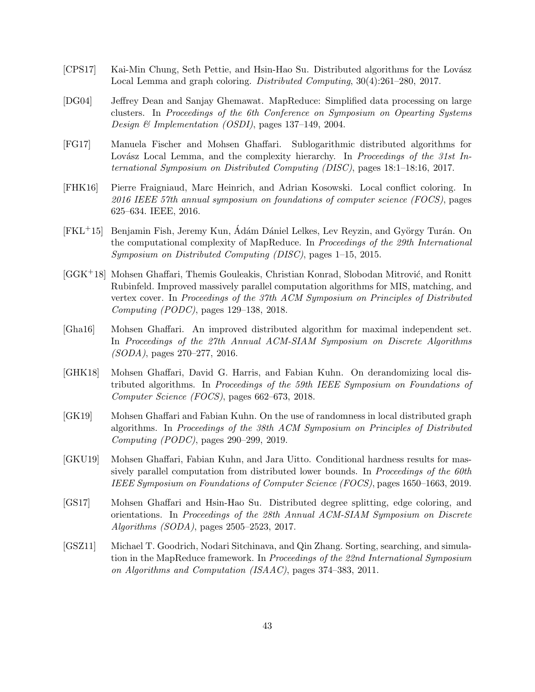- <span id="page-43-0"></span>[CPS17] Kai-Min Chung, Seth Pettie, and Hsin-Hao Su. Distributed algorithms for the Lovász Local Lemma and graph coloring. Distributed Computing, 30(4):261–280, 2017.
- [DG04] Jeffrey Dean and Sanjay Ghemawat. MapReduce: Simplified data processing on large clusters. In Proceedings of the 6th Conference on Symposium on Opearting Systems Design & Implementation (OSDI), pages 137–149, 2004.
- [FG17] Manuela Fischer and Mohsen Ghaffari. Sublogarithmic distributed algorithms for Lovász Local Lemma, and the complexity hierarchy. In Proceedings of the 31st International Symposium on Distributed Computing (DISC), pages 18:1–18:16, 2017.
- [FHK16] Pierre Fraigniaud, Marc Heinrich, and Adrian Kosowski. Local conflict coloring. In 2016 IEEE 57th annual symposium on foundations of computer science (FOCS), pages 625–634. IEEE, 2016.
- [FKL<sup>+</sup>15] Benjamin Fish, Jeremy Kun, Ádám Dániel Lelkes, Lev Reyzin, and György Turán. On the computational complexity of MapReduce. In Proceedings of the 29th International Symposium on Distributed Computing (DISC), pages 1–15, 2015.
- $[GGK^+18]$  Mohsen Ghaffari, Themis Gouleakis, Christian Konrad, Slobodan Mitrović, and Ronitt Rubinfeld. Improved massively parallel computation algorithms for MIS, matching, and vertex cover. In Proceedings of the 37th ACM Symposium on Principles of Distributed Computing (PODC), pages 129–138, 2018.
- [Gha16] Mohsen Ghaffari. An improved distributed algorithm for maximal independent set. In Proceedings of the 27th Annual ACM-SIAM Symposium on Discrete Algorithms (SODA), pages 270–277, 2016.
- [GHK18] Mohsen Ghaffari, David G. Harris, and Fabian Kuhn. On derandomizing local distributed algorithms. In Proceedings of the 59th IEEE Symposium on Foundations of Computer Science (FOCS), pages 662–673, 2018.
- [GK19] Mohsen Ghaffari and Fabian Kuhn. On the use of randomness in local distributed graph algorithms. In Proceedings of the 38th ACM Symposium on Principles of Distributed Computing (PODC), pages 290–299, 2019.
- [GKU19] Mohsen Ghaffari, Fabian Kuhn, and Jara Uitto. Conditional hardness results for massively parallel computation from distributed lower bounds. In *Proceedings of the 60th* IEEE Symposium on Foundations of Computer Science (FOCS), pages 1650–1663, 2019.
- [GS17] Mohsen Ghaffari and Hsin-Hao Su. Distributed degree splitting, edge coloring, and orientations. In Proceedings of the 28th Annual ACM-SIAM Symposium on Discrete Algorithms (SODA), pages 2505–2523, 2017.
- [GSZ11] Michael T. Goodrich, Nodari Sitchinava, and Qin Zhang. Sorting, searching, and simulation in the MapReduce framework. In Proceedings of the 22nd International Symposium on Algorithms and Computation (ISAAC), pages 374–383, 2011.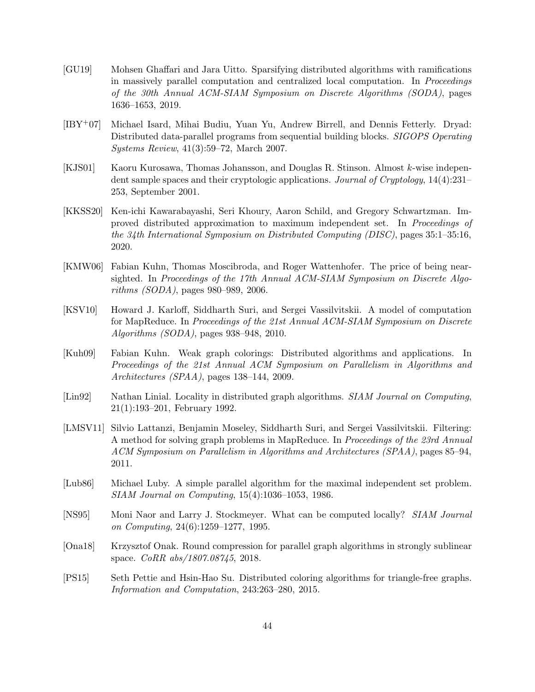- <span id="page-44-0"></span>[GU19] Mohsen Ghaffari and Jara Uitto. Sparsifying distributed algorithms with ramifications in massively parallel computation and centralized local computation. In Proceedings of the 30th Annual ACM-SIAM Symposium on Discrete Algorithms (SODA), pages 1636–1653, 2019.
- [IBY+07] Michael Isard, Mihai Budiu, Yuan Yu, Andrew Birrell, and Dennis Fetterly. Dryad: Distributed data-parallel programs from sequential building blocks. SIGOPS Operating Systems Review, 41(3):59–72, March 2007.
- [KJS01] Kaoru Kurosawa, Thomas Johansson, and Douglas R. Stinson. Almost k-wise independent sample spaces and their cryptologic applications. Journal of Cryptology, 14(4):231– 253, September 2001.
- [KKSS20] Ken-ichi Kawarabayashi, Seri Khoury, Aaron Schild, and Gregory Schwartzman. Improved distributed approximation to maximum independent set. In Proceedings of the 34th International Symposium on Distributed Computing (DISC), pages 35:1–35:16, 2020.
- [KMW06] Fabian Kuhn, Thomas Moscibroda, and Roger Wattenhofer. The price of being nearsighted. In Proceedings of the 17th Annual ACM-SIAM Symposium on Discrete Algorithms (SODA), pages 980–989, 2006.
- [KSV10] Howard J. Karloff, Siddharth Suri, and Sergei Vassilvitskii. A model of computation for MapReduce. In Proceedings of the 21st Annual ACM-SIAM Symposium on Discrete Algorithms (SODA), pages 938–948, 2010.
- [Kuh09] Fabian Kuhn. Weak graph colorings: Distributed algorithms and applications. In Proceedings of the 21st Annual ACM Symposium on Parallelism in Algorithms and Architectures (SPAA), pages 138–144, 2009.
- [Lin92] Nathan Linial. Locality in distributed graph algorithms. SIAM Journal on Computing, 21(1):193–201, February 1992.
- [LMSV11] Silvio Lattanzi, Benjamin Moseley, Siddharth Suri, and Sergei Vassilvitskii. Filtering: A method for solving graph problems in MapReduce. In Proceedings of the 23rd Annual ACM Symposium on Parallelism in Algorithms and Architectures (SPAA), pages 85–94, 2011.
- [Lub86] Michael Luby. A simple parallel algorithm for the maximal independent set problem. SIAM Journal on Computing, 15(4):1036–1053, 1986.
- [NS95] Moni Naor and Larry J. Stockmeyer. What can be computed locally? SIAM Journal on Computing, 24(6):1259–1277, 1995.
- [Ona18] Krzysztof Onak. Round compression for parallel graph algorithms in strongly sublinear space. CoRR abs/1807.08745, 2018.
- [PS15] Seth Pettie and Hsin-Hao Su. Distributed coloring algorithms for triangle-free graphs. Information and Computation, 243:263–280, 2015.